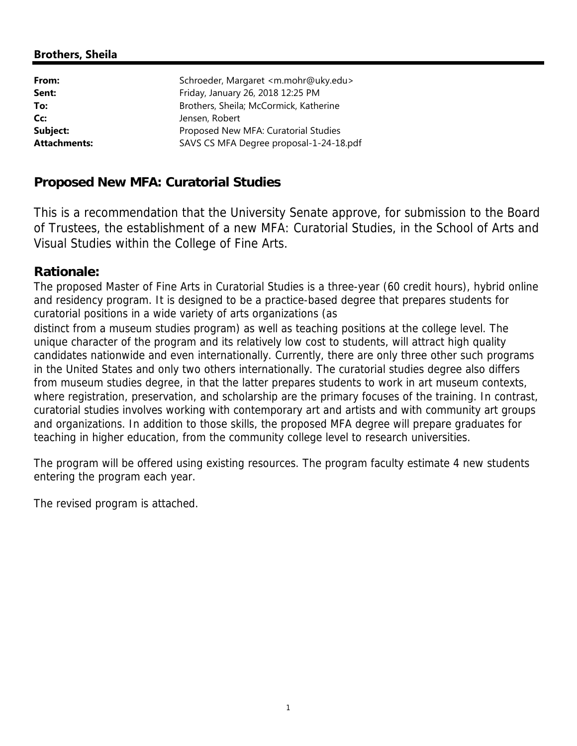# **Brothers, Sheila**

| From:               | Schroeder, Margaret <m.mohr@uky.edu></m.mohr@uky.edu> |
|---------------------|-------------------------------------------------------|
| Sent:               | Friday, January 26, 2018 12:25 PM                     |
| To:                 | Brothers, Sheila; McCormick, Katherine                |
| Cc:                 | Jensen, Robert                                        |
| Subject:            | Proposed New MFA: Curatorial Studies                  |
| <b>Attachments:</b> | SAVS CS MFA Degree proposal-1-24-18.pdf               |

# **Proposed New MFA: Curatorial Studies**

This is a recommendation that the University Senate approve, for submission to the Board of Trustees, the establishment of a new MFA: Curatorial Studies, in the School of Arts and Visual Studies within the College of Fine Arts.

# **Rationale:**

The proposed Master of Fine Arts in Curatorial Studies is a three-year (60 credit hours), hybrid online and residency program. It is designed to be a practice-based degree that prepares students for curatorial positions in a wide variety of arts organizations (as

distinct from a museum studies program) as well as teaching positions at the college level. The unique character of the program and its relatively low cost to students, will attract high quality candidates nationwide and even internationally. Currently, there are only three other such programs in the United States and only two others internationally. The curatorial studies degree also differs from museum studies degree, in that the latter prepares students to work in art museum contexts, where registration, preservation, and scholarship are the primary focuses of the training. In contrast, curatorial studies involves working with contemporary art and artists and with community art groups and organizations. In addition to those skills, the proposed MFA degree will prepare graduates for teaching in higher education, from the community college level to research universities.

The program will be offered using existing resources. The program faculty estimate 4 new students entering the program each year.

The revised program is attached.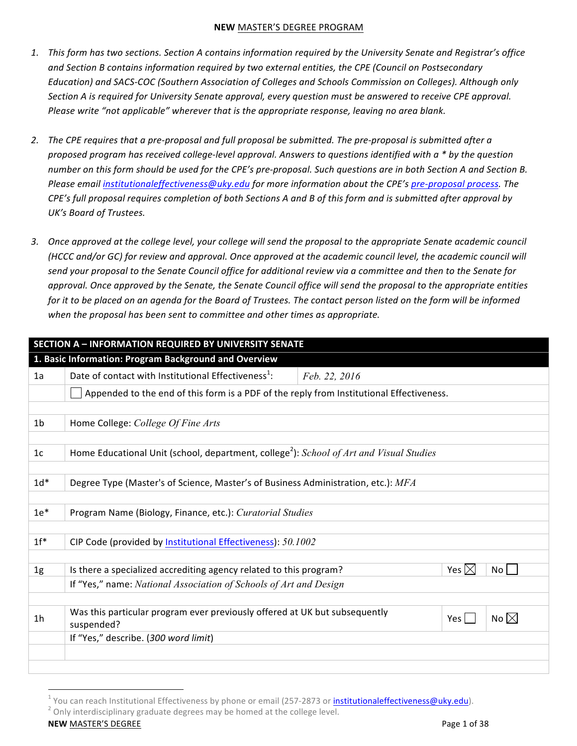- 1. This form has two sections. Section A contains information required by the University Senate and Registrar's office and Section B contains information required by two external entities, the CPE (Council on Postsecondary Education) and SACS-COC (Southern Association of Colleges and Schools Commission on Colleges). Although only Section A is required for University Senate approval, every question must be answered to receive CPE approval. *Please* write "not applicable" wherever that is the appropriate response, leaving no area blank.
- 2. The CPE requires that a pre-proposal and full proposal be submitted. The pre-proposal is submitted after a proposed program has received college-level approval. Answers to questions identified with a \* by the question number on this form should be used for the CPE's pre-proposal. Such questions are in both Section A and Section B. *Please email institutionaleffectiveness@uky.edu for more information about the CPE's pre-proposal process. The CPE's* full proposal requires completion of both Sections A and B of this form and is submitted after approval by *UK's Board of Trustees.*
- 3. Once approved at the college level, your college will send the proposal to the appropriate Senate academic council *(HCCC* and/or GC) for review and approval. Once approved at the academic council level, the academic council will send your proposal to the Senate Council office for additional review via a committee and then to the Senate for *approval.* Once approved by the Senate, the Senate Council office will send the proposal to the appropriate entities *for* it to be placed on an agenda for the Board of Trustees. The contact person listed on the form will be informed when the proposal has been sent to committee and other times as appropriate.

|                | <b>SECTION A - INFORMATION REQUIRED BY UNIVERSITY SENATE</b>                                        |               |                       |  |  |
|----------------|-----------------------------------------------------------------------------------------------------|---------------|-----------------------|--|--|
|                | 1. Basic Information: Program Background and Overview                                               |               |                       |  |  |
| 1a             | Date of contact with Institutional Effectiveness <sup>1</sup> :                                     | Feb. 22, 2016 |                       |  |  |
|                | Appended to the end of this form is a PDF of the reply from Institutional Effectiveness.            |               |                       |  |  |
|                |                                                                                                     |               |                       |  |  |
| 1 <sub>b</sub> | Home College: College Of Fine Arts                                                                  |               |                       |  |  |
|                |                                                                                                     |               |                       |  |  |
| 1 <sub>c</sub> | Home Educational Unit (school, department, college <sup>2</sup> ): School of Art and Visual Studies |               |                       |  |  |
|                |                                                                                                     |               |                       |  |  |
| $1d*$          | Degree Type (Master's of Science, Master's of Business Administration, etc.): MFA                   |               |                       |  |  |
|                |                                                                                                     |               |                       |  |  |
| $1e*$          | Program Name (Biology, Finance, etc.): Curatorial Studies                                           |               |                       |  |  |
|                |                                                                                                     |               |                       |  |  |
| $1f^*$         | CIP Code (provided by Institutional Effectiveness): 50.1002                                         |               |                       |  |  |
|                |                                                                                                     |               |                       |  |  |
| 1g             | Is there a specialized accrediting agency related to this program?                                  |               | Yes $\boxtimes$<br>No |  |  |
|                | If "Yes," name: National Association of Schools of Art and Design                                   |               |                       |  |  |
|                |                                                                                                     |               |                       |  |  |
| 1 <sub>h</sub> | Was this particular program ever previously offered at UK but subsequently<br>suspended?            |               | No $\boxtimes$<br>Yes |  |  |
|                | If "Yes," describe. (300 word limit)                                                                |               |                       |  |  |
|                |                                                                                                     |               |                       |  |  |
|                |                                                                                                     |               |                       |  |  |

 <sup>1</sup> You can reach Institutional Effectiveness by phone or email (257-2873 or <u>i<mark>nstitutionaleffectiveness@uky.edu</mark>)</u>.<br><sup>2</sup> Only interdisciplinary graduate degrees may be homed at the college level.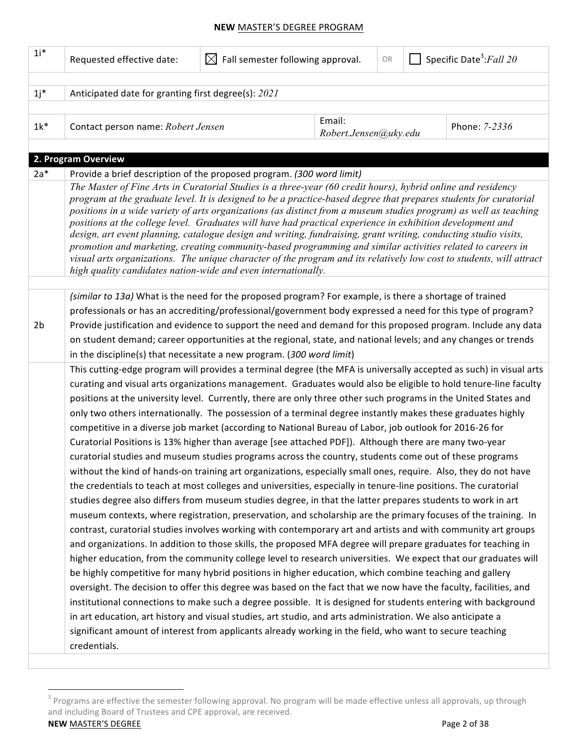| $1i^*$         | Requested effective date:                                                                                                                                                                                                                                                                                                                                                                                                                                                                                                                                                                                                                                                                                                                                                                                                                                                                                                                                                                                                                                                                                                                                                                                                                                                                                                                                                                                                                                                                                                                                                                                                                                                                        | Fall semester following approval.<br>$\bowtie$ |                                 | OR | Specific Date <sup>3</sup> : Fall 20 |               |  |  |
|----------------|--------------------------------------------------------------------------------------------------------------------------------------------------------------------------------------------------------------------------------------------------------------------------------------------------------------------------------------------------------------------------------------------------------------------------------------------------------------------------------------------------------------------------------------------------------------------------------------------------------------------------------------------------------------------------------------------------------------------------------------------------------------------------------------------------------------------------------------------------------------------------------------------------------------------------------------------------------------------------------------------------------------------------------------------------------------------------------------------------------------------------------------------------------------------------------------------------------------------------------------------------------------------------------------------------------------------------------------------------------------------------------------------------------------------------------------------------------------------------------------------------------------------------------------------------------------------------------------------------------------------------------------------------------------------------------------------------|------------------------------------------------|---------------------------------|----|--------------------------------------|---------------|--|--|
|                |                                                                                                                                                                                                                                                                                                                                                                                                                                                                                                                                                                                                                                                                                                                                                                                                                                                                                                                                                                                                                                                                                                                                                                                                                                                                                                                                                                                                                                                                                                                                                                                                                                                                                                  |                                                |                                 |    |                                      |               |  |  |
| $1j^*$         | Anticipated date for granting first degree(s): 2021                                                                                                                                                                                                                                                                                                                                                                                                                                                                                                                                                                                                                                                                                                                                                                                                                                                                                                                                                                                                                                                                                                                                                                                                                                                                                                                                                                                                                                                                                                                                                                                                                                              |                                                |                                 |    |                                      |               |  |  |
|                |                                                                                                                                                                                                                                                                                                                                                                                                                                                                                                                                                                                                                                                                                                                                                                                                                                                                                                                                                                                                                                                                                                                                                                                                                                                                                                                                                                                                                                                                                                                                                                                                                                                                                                  |                                                |                                 |    |                                      |               |  |  |
| $1k^*$         | Contact person name: Robert Jensen                                                                                                                                                                                                                                                                                                                                                                                                                                                                                                                                                                                                                                                                                                                                                                                                                                                                                                                                                                                                                                                                                                                                                                                                                                                                                                                                                                                                                                                                                                                                                                                                                                                               |                                                | Email:<br>Robert.Jensen@uky.edu |    |                                      | Phone: 7-2336 |  |  |
|                |                                                                                                                                                                                                                                                                                                                                                                                                                                                                                                                                                                                                                                                                                                                                                                                                                                                                                                                                                                                                                                                                                                                                                                                                                                                                                                                                                                                                                                                                                                                                                                                                                                                                                                  |                                                |                                 |    |                                      |               |  |  |
|                | 2. Program Overview                                                                                                                                                                                                                                                                                                                                                                                                                                                                                                                                                                                                                                                                                                                                                                                                                                                                                                                                                                                                                                                                                                                                                                                                                                                                                                                                                                                                                                                                                                                                                                                                                                                                              |                                                |                                 |    |                                      |               |  |  |
| $2a*$          | Provide a brief description of the proposed program. (300 word limit)                                                                                                                                                                                                                                                                                                                                                                                                                                                                                                                                                                                                                                                                                                                                                                                                                                                                                                                                                                                                                                                                                                                                                                                                                                                                                                                                                                                                                                                                                                                                                                                                                            |                                                |                                 |    |                                      |               |  |  |
|                | The Master of Fine Arts in Curatorial Studies is a three-year (60 credit hours), hybrid online and residency<br>program at the graduate level. It is designed to be a practice-based degree that prepares students for curatorial<br>positions in a wide variety of arts organizations (as distinct from a museum studies program) as well as teaching<br>positions at the college level. Graduates will have had practical experience in exhibition development and<br>design, art event planning, catalogue design and writing, fundraising, grant writing, conducting studio visits,<br>promotion and marketing, creating community-based programming and similar activities related to careers in<br>visual arts organizations. The unique character of the program and its relatively low cost to students, will attract<br>high quality candidates nation-wide and even internationally.                                                                                                                                                                                                                                                                                                                                                                                                                                                                                                                                                                                                                                                                                                                                                                                                   |                                                |                                 |    |                                      |               |  |  |
|                |                                                                                                                                                                                                                                                                                                                                                                                                                                                                                                                                                                                                                                                                                                                                                                                                                                                                                                                                                                                                                                                                                                                                                                                                                                                                                                                                                                                                                                                                                                                                                                                                                                                                                                  |                                                |                                 |    |                                      |               |  |  |
| 2 <sub>b</sub> | (similar to 13a) What is the need for the proposed program? For example, is there a shortage of trained<br>professionals or has an accrediting/professional/government body expressed a need for this type of program?<br>Provide justification and evidence to support the need and demand for this proposed program. Include any data<br>on student demand; career opportunities at the regional, state, and national levels; and any changes or trends<br>in the discipline(s) that necessitate a new program. (300 word limit)<br>This cutting-edge program will provides a terminal degree (the MFA is universally accepted as such) in visual arts<br>curating and visual arts organizations management. Graduates would also be eligible to hold tenure-line faculty<br>positions at the university level. Currently, there are only three other such programs in the United States and<br>only two others internationally. The possession of a terminal degree instantly makes these graduates highly<br>competitive in a diverse job market (according to National Bureau of Labor, job outlook for 2016-26 for<br>Curatorial Positions is 13% higher than average [see attached PDF]). Although there are many two-year<br>curatorial studies and museum studies programs across the country, students come out of these programs<br>without the kind of hands-on training art organizations, especially small ones, require. Also, they do not have<br>the credentials to teach at most colleges and universities, especially in tenure-line positions. The curatorial<br>studies degree also differs from museum studies degree, in that the latter prepares students to work in art |                                                |                                 |    |                                      |               |  |  |
|                | museum contexts, where registration, preservation, and scholarship are the primary focuses of the training. In<br>contrast, curatorial studies involves working with contemporary art and artists and with community art groups<br>and organizations. In addition to those skills, the proposed MFA degree will prepare graduates for teaching in<br>higher education, from the community college level to research universities. We expect that our graduates will<br>be highly competitive for many hybrid positions in higher education, which combine teaching and gallery<br>oversight. The decision to offer this degree was based on the fact that we now have the faculty, facilities, and<br>institutional connections to make such a degree possible. It is designed for students entering with background<br>in art education, art history and visual studies, art studio, and arts administration. We also anticipate a<br>significant amount of interest from applicants already working in the field, who want to secure teaching<br>credentials.                                                                                                                                                                                                                                                                                                                                                                                                                                                                                                                                                                                                                                  |                                                |                                 |    |                                      |               |  |  |

**NEW** MASTER'S DEGREE PAGE PAGE 2 of 38  $^3$  Programs are effective the semester following approval. No program will be made effective unless all approvals, up through and including Board of Trustees and CPE approval, are received.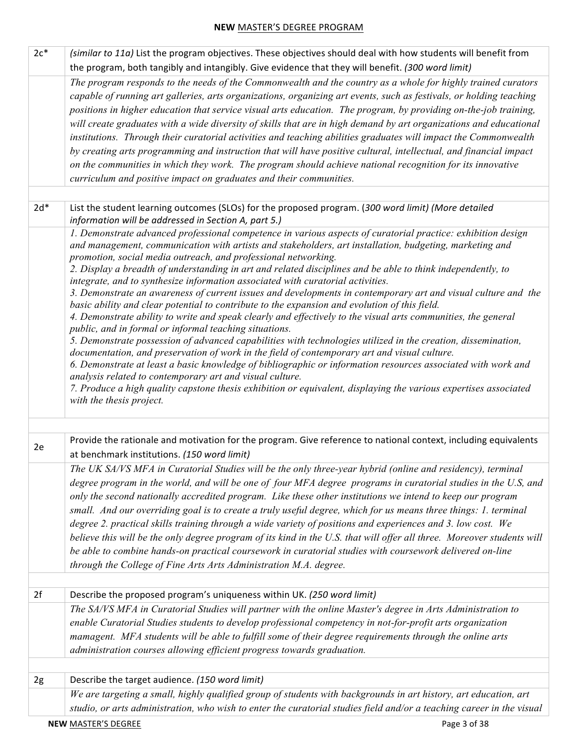| $2c*$ | (similar to 11a) List the program objectives. These objectives should deal with how students will benefit from                                                                                                                                                                                                                                                                                                                                                                                                                                                                                                                                                                                                                                                                                                                                                                                                                                                                                                                                                                                                                                                                                                                                                                                                                                                                                                                        |
|-------|---------------------------------------------------------------------------------------------------------------------------------------------------------------------------------------------------------------------------------------------------------------------------------------------------------------------------------------------------------------------------------------------------------------------------------------------------------------------------------------------------------------------------------------------------------------------------------------------------------------------------------------------------------------------------------------------------------------------------------------------------------------------------------------------------------------------------------------------------------------------------------------------------------------------------------------------------------------------------------------------------------------------------------------------------------------------------------------------------------------------------------------------------------------------------------------------------------------------------------------------------------------------------------------------------------------------------------------------------------------------------------------------------------------------------------------|
|       | the program, both tangibly and intangibly. Give evidence that they will benefit. (300 word limit)                                                                                                                                                                                                                                                                                                                                                                                                                                                                                                                                                                                                                                                                                                                                                                                                                                                                                                                                                                                                                                                                                                                                                                                                                                                                                                                                     |
|       | The program responds to the needs of the Commonwealth and the country as a whole for highly trained curators<br>capable of running art galleries, arts organizations, organizing art events, such as festivals, or holding teaching<br>positions in higher education that service visual arts education. The program, by providing on-the-job training,<br>will create graduates with a wide diversity of skills that are in high demand by art organizations and educational<br>institutions. Through their curatorial activities and teaching abilities graduates will impact the Commonwealth<br>by creating arts programming and instruction that will have positive cultural, intellectual, and financial impact<br>on the communities in which they work. The program should achieve national recognition for its innovative<br>curriculum and positive impact on graduates and their communities.                                                                                                                                                                                                                                                                                                                                                                                                                                                                                                                              |
|       |                                                                                                                                                                                                                                                                                                                                                                                                                                                                                                                                                                                                                                                                                                                                                                                                                                                                                                                                                                                                                                                                                                                                                                                                                                                                                                                                                                                                                                       |
| $2d*$ | List the student learning outcomes (SLOs) for the proposed program. (300 word limit) (More detailed<br>information will be addressed in Section A, part 5.)                                                                                                                                                                                                                                                                                                                                                                                                                                                                                                                                                                                                                                                                                                                                                                                                                                                                                                                                                                                                                                                                                                                                                                                                                                                                           |
|       | 1. Demonstrate advanced professional competence in various aspects of curatorial practice: exhibition design<br>and management, communication with artists and stakeholders, art installation, budgeting, marketing and<br>promotion, social media outreach, and professional networking.<br>2. Display a breadth of understanding in art and related disciplines and be able to think independently, to<br>integrate, and to synthesize information associated with curatorial activities.<br>3. Demonstrate an awareness of current issues and developments in contemporary art and visual culture and the<br>basic ability and clear potential to contribute to the expansion and evolution of this field.<br>4. Demonstrate ability to write and speak clearly and effectively to the visual arts communities, the general<br>public, and in formal or informal teaching situations.<br>5. Demonstrate possession of advanced capabilities with technologies utilized in the creation, dissemination,<br>documentation, and preservation of work in the field of contemporary art and visual culture.<br>6. Demonstrate at least a basic knowledge of bibliographic or information resources associated with work and<br>analysis related to contemporary art and visual culture.<br>7. Produce a high quality capstone thesis exhibition or equivalent, displaying the various expertises associated<br>with the thesis project. |
|       |                                                                                                                                                                                                                                                                                                                                                                                                                                                                                                                                                                                                                                                                                                                                                                                                                                                                                                                                                                                                                                                                                                                                                                                                                                                                                                                                                                                                                                       |
| 2e    | Provide the rationale and motivation for the program. Give reference to national context, including equivalents<br>at benchmark institutions. (150 word limit)                                                                                                                                                                                                                                                                                                                                                                                                                                                                                                                                                                                                                                                                                                                                                                                                                                                                                                                                                                                                                                                                                                                                                                                                                                                                        |
|       | The UK SA/VS MFA in Curatorial Studies will be the only three-year hybrid (online and residency), terminal<br>degree program in the world, and will be one of four MFA degree programs in curatorial studies in the U.S, and<br>only the second nationally accredited program. Like these other institutions we intend to keep our program<br>small. And our overriding goal is to create a truly useful degree, which for us means three things: 1. terminal<br>degree 2. practical skills training through a wide variety of positions and experiences and 3. low cost. We<br>believe this will be the only degree program of its kind in the U.S. that will offer all three. Moreover students will<br>be able to combine hands-on practical coursework in curatorial studies with coursework delivered on-line<br>through the College of Fine Arts Arts Administration M.A. degree.                                                                                                                                                                                                                                                                                                                                                                                                                                                                                                                                               |
| 2f    | Describe the proposed program's uniqueness within UK. (250 word limit)                                                                                                                                                                                                                                                                                                                                                                                                                                                                                                                                                                                                                                                                                                                                                                                                                                                                                                                                                                                                                                                                                                                                                                                                                                                                                                                                                                |
|       | The SA/VS MFA in Curatorial Studies will partner with the online Master's degree in Arts Administration to<br>enable Curatorial Studies students to develop professional competency in not-for-profit arts organization<br>mamagent. MFA students will be able to fulfill some of their degree requirements through the online arts<br>administration courses allowing efficient progress towards graduation.                                                                                                                                                                                                                                                                                                                                                                                                                                                                                                                                                                                                                                                                                                                                                                                                                                                                                                                                                                                                                         |
|       |                                                                                                                                                                                                                                                                                                                                                                                                                                                                                                                                                                                                                                                                                                                                                                                                                                                                                                                                                                                                                                                                                                                                                                                                                                                                                                                                                                                                                                       |
| 2g    | Describe the target audience. (150 word limit)                                                                                                                                                                                                                                                                                                                                                                                                                                                                                                                                                                                                                                                                                                                                                                                                                                                                                                                                                                                                                                                                                                                                                                                                                                                                                                                                                                                        |
|       | We are targeting a small, highly qualified group of students with backgrounds in art history, art education, art                                                                                                                                                                                                                                                                                                                                                                                                                                                                                                                                                                                                                                                                                                                                                                                                                                                                                                                                                                                                                                                                                                                                                                                                                                                                                                                      |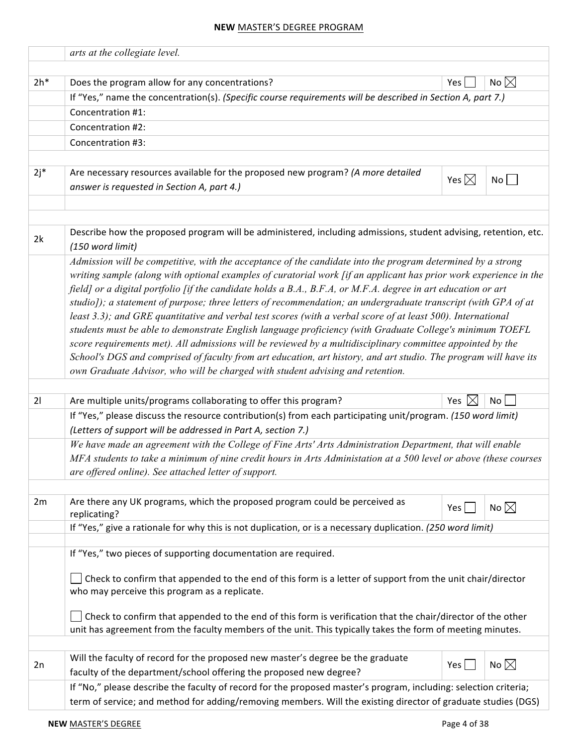|        | arts at the collegiate level.                                                                                                                                                                                                    |                  |                |  |  |  |  |  |
|--------|----------------------------------------------------------------------------------------------------------------------------------------------------------------------------------------------------------------------------------|------------------|----------------|--|--|--|--|--|
| $2h*$  | Does the program allow for any concentrations?                                                                                                                                                                                   | Yes              | No $\boxtimes$ |  |  |  |  |  |
|        | If "Yes," name the concentration(s). (Specific course requirements will be described in Section A, part 7.)                                                                                                                      |                  |                |  |  |  |  |  |
|        | Concentration #1:                                                                                                                                                                                                                |                  |                |  |  |  |  |  |
|        | Concentration #2:                                                                                                                                                                                                                |                  |                |  |  |  |  |  |
|        | Concentration #3:                                                                                                                                                                                                                |                  |                |  |  |  |  |  |
|        |                                                                                                                                                                                                                                  |                  |                |  |  |  |  |  |
| $2j^*$ | Are necessary resources available for the proposed new program? (A more detailed                                                                                                                                                 |                  |                |  |  |  |  |  |
|        | answer is requested in Section A, part 4.)                                                                                                                                                                                       | Yes $\boxtimes$  | No             |  |  |  |  |  |
|        |                                                                                                                                                                                                                                  |                  |                |  |  |  |  |  |
|        |                                                                                                                                                                                                                                  |                  |                |  |  |  |  |  |
| 2k     | Describe how the proposed program will be administered, including admissions, student advising, retention, etc.<br>(150 word limit)                                                                                              |                  |                |  |  |  |  |  |
|        | Admission will be competitive, with the acceptance of the candidate into the program determined by a strong<br>writing sample (along with optional examples of curatorial work [if an applicant has prior work experience in the |                  |                |  |  |  |  |  |
|        | field] or a digital portfolio [if the candidate holds a B.A., B.F.A, or M.F.A. degree in art education or art<br>studio]); a statement of purpose; three letters of recommendation; an undergraduate transcript (with GPA of at  |                  |                |  |  |  |  |  |
|        | least 3.3); and GRE quantitative and verbal test scores (with a verbal score of at least 500). International                                                                                                                     |                  |                |  |  |  |  |  |
|        | students must be able to demonstrate English language proficiency (with Graduate College's minimum TOEFL                                                                                                                         |                  |                |  |  |  |  |  |
|        | score requirements met). All admissions will be reviewed by a multidisciplinary committee appointed by the<br>School's DGS and comprised of faculty from art education, art history, and art studio. The program will have its   |                  |                |  |  |  |  |  |
|        | own Graduate Advisor, who will be charged with student advising and retention.                                                                                                                                                   |                  |                |  |  |  |  |  |
|        |                                                                                                                                                                                                                                  |                  |                |  |  |  |  |  |
| 21     | Are multiple units/programs collaborating to offer this program?                                                                                                                                                                 | Yes $\mathsf{K}$ | No             |  |  |  |  |  |
|        | If "Yes," please discuss the resource contribution(s) from each participating unit/program. (150 word limit)                                                                                                                     |                  |                |  |  |  |  |  |
|        | (Letters of support will be addressed in Part A, section 7.)<br>We have made an agreement with the College of Fine Arts' Arts Administration Department, that will enable                                                        |                  |                |  |  |  |  |  |
|        | MFA students to take a minimum of nine credit hours in Arts Administation at a 500 level or above (these courses                                                                                                                 |                  |                |  |  |  |  |  |
|        | are offered online). See attached letter of support.                                                                                                                                                                             |                  |                |  |  |  |  |  |
|        |                                                                                                                                                                                                                                  |                  |                |  |  |  |  |  |
| 2m     | Are there any UK programs, which the proposed program could be perceived as<br>replicating?                                                                                                                                      | Yes $\vert$      | No $\boxtimes$ |  |  |  |  |  |
|        | If "Yes," give a rationale for why this is not duplication, or is a necessary duplication. (250 word limit)                                                                                                                      |                  |                |  |  |  |  |  |
|        |                                                                                                                                                                                                                                  |                  |                |  |  |  |  |  |
|        | If "Yes," two pieces of supporting documentation are required.                                                                                                                                                                   |                  |                |  |  |  |  |  |
|        | Check to confirm that appended to the end of this form is a letter of support from the unit chair/director<br>who may perceive this program as a replicate.                                                                      |                  |                |  |  |  |  |  |
|        | Check to confirm that appended to the end of this form is verification that the chair/director of the other                                                                                                                      |                  |                |  |  |  |  |  |
|        | unit has agreement from the faculty members of the unit. This typically takes the form of meeting minutes.                                                                                                                       |                  |                |  |  |  |  |  |
|        |                                                                                                                                                                                                                                  |                  |                |  |  |  |  |  |
| 2n     | Will the faculty of record for the proposed new master's degree be the graduate<br>faculty of the department/school offering the proposed new degree?                                                                            | Yes              | No $\boxtimes$ |  |  |  |  |  |
|        | If "No," please describe the faculty of record for the proposed master's program, including: selection criteria;                                                                                                                 |                  |                |  |  |  |  |  |
|        | term of service; and method for adding/removing members. Will the existing director of graduate studies (DGS)                                                                                                                    |                  |                |  |  |  |  |  |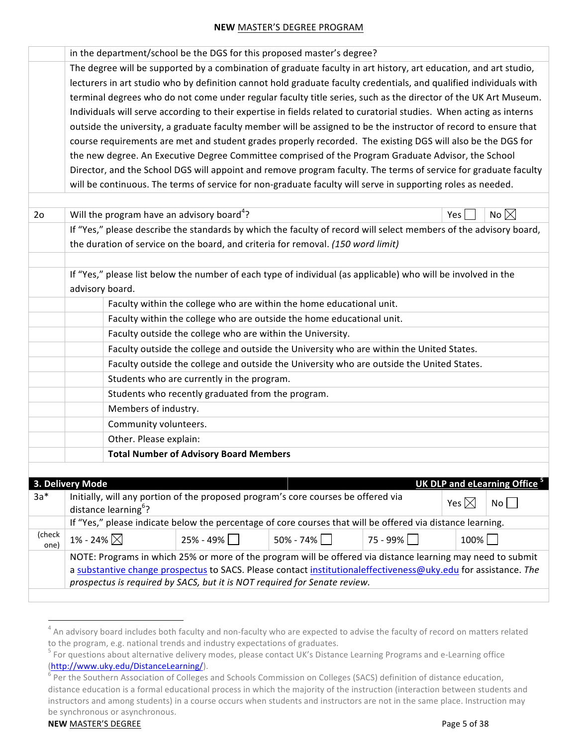|                | in the department/school be the DGS for this proposed master's degree?                                                |                                                            |                                                                                           |          |                                          |  |  |
|----------------|-----------------------------------------------------------------------------------------------------------------------|------------------------------------------------------------|-------------------------------------------------------------------------------------------|----------|------------------------------------------|--|--|
|                | The degree will be supported by a combination of graduate faculty in art history, art education, and art studio,      |                                                            |                                                                                           |          |                                          |  |  |
|                | lecturers in art studio who by definition cannot hold graduate faculty credentials, and qualified individuals with    |                                                            |                                                                                           |          |                                          |  |  |
|                | terminal degrees who do not come under regular faculty title series, such as the director of the UK Art Museum.       |                                                            |                                                                                           |          |                                          |  |  |
|                | Individuals will serve according to their expertise in fields related to curatorial studies. When acting as interns   |                                                            |                                                                                           |          |                                          |  |  |
|                | outside the university, a graduate faculty member will be assigned to be the instructor of record to ensure that      |                                                            |                                                                                           |          |                                          |  |  |
|                | course requirements are met and student grades properly recorded. The existing DGS will also be the DGS for           |                                                            |                                                                                           |          |                                          |  |  |
|                | the new degree. An Executive Degree Committee comprised of the Program Graduate Advisor, the School                   |                                                            |                                                                                           |          |                                          |  |  |
|                | Director, and the School DGS will appoint and remove program faculty. The terms of service for graduate faculty       |                                                            |                                                                                           |          |                                          |  |  |
|                | will be continuous. The terms of service for non-graduate faculty will serve in supporting roles as needed.           |                                                            |                                                                                           |          |                                          |  |  |
|                |                                                                                                                       |                                                            |                                                                                           |          |                                          |  |  |
| 2 <sub>o</sub> | Will the program have an advisory board <sup>4</sup> ?                                                                |                                                            |                                                                                           |          | No $\boxtimes$<br>Yes                    |  |  |
|                | If "Yes," please describe the standards by which the faculty of record will select members of the advisory board,     |                                                            |                                                                                           |          |                                          |  |  |
|                | the duration of service on the board, and criteria for removal. (150 word limit)                                      |                                                            |                                                                                           |          |                                          |  |  |
|                |                                                                                                                       |                                                            |                                                                                           |          |                                          |  |  |
|                | If "Yes," please list below the number of each type of individual (as applicable) who will be involved in the         |                                                            |                                                                                           |          |                                          |  |  |
|                | advisory board.                                                                                                       |                                                            |                                                                                           |          |                                          |  |  |
|                |                                                                                                                       |                                                            | Faculty within the college who are within the home educational unit.                      |          |                                          |  |  |
|                |                                                                                                                       |                                                            | Faculty within the college who are outside the home educational unit.                     |          |                                          |  |  |
|                |                                                                                                                       | Faculty outside the college who are within the University. |                                                                                           |          |                                          |  |  |
|                |                                                                                                                       |                                                            | Faculty outside the college and outside the University who are within the United States.  |          |                                          |  |  |
|                |                                                                                                                       |                                                            | Faculty outside the college and outside the University who are outside the United States. |          |                                          |  |  |
|                |                                                                                                                       | Students who are currently in the program.                 |                                                                                           |          |                                          |  |  |
|                |                                                                                                                       | Students who recently graduated from the program.          |                                                                                           |          |                                          |  |  |
|                | Members of industry.                                                                                                  |                                                            |                                                                                           |          |                                          |  |  |
|                | Community volunteers.                                                                                                 |                                                            |                                                                                           |          |                                          |  |  |
|                | Other. Please explain:                                                                                                |                                                            |                                                                                           |          |                                          |  |  |
|                |                                                                                                                       | <b>Total Number of Advisory Board Members</b>              |                                                                                           |          |                                          |  |  |
|                |                                                                                                                       |                                                            |                                                                                           |          |                                          |  |  |
|                | 3. Delivery Mode                                                                                                      |                                                            |                                                                                           |          | UK DLP and eLearning Office <sup>5</sup> |  |  |
| $3a*$          | Initially, will any portion of the proposed program's core courses be offered via<br>distance learning <sup>6</sup> ? |                                                            |                                                                                           |          | Yes $\boxtimes$<br>No                    |  |  |
|                | If "Yes," please indicate below the percentage of core courses that will be offered via distance learning.            |                                                            |                                                                                           |          |                                          |  |  |
| (check<br>one) | 1% - 24% $\boxtimes$                                                                                                  | $25% - 49%$                                                | $50\% - 74\%$                                                                             | 75 - 99% | 100%                                     |  |  |
|                | NOTE: Programs in which 25% or more of the program will be offered via distance learning may need to submit           |                                                            |                                                                                           |          |                                          |  |  |
|                | a substantive change prospectus to SACS. Please contact institutionaleffectiveness@uky.edu for assistance. The        |                                                            |                                                                                           |          |                                          |  |  |
|                | prospectus is required by SACS, but it is NOT required for Senate review.                                             |                                                            |                                                                                           |          |                                          |  |  |

 $4$  An advisory board includes both faculty and non-faculty who are expected to advise the faculty of record on matters related to the program, e.g. national trends and industry expectations of graduates.

 $<sup>5</sup>$  For questions about alternative delivery modes, please contact UK's Distance Learning Programs and e-Learning office</sup> (http://www.uky.edu/DistanceLearning/).<br>
<sup>6</sup> Per the Southern Association of Colleges and Schools Commission on Colleges (SACS) definition of distance education,

distance education is a formal educational process in which the majority of the instruction (interaction between students and instructors and among students) in a course occurs when students and instructors are not in the same place. Instruction may be synchronous or asynchronous.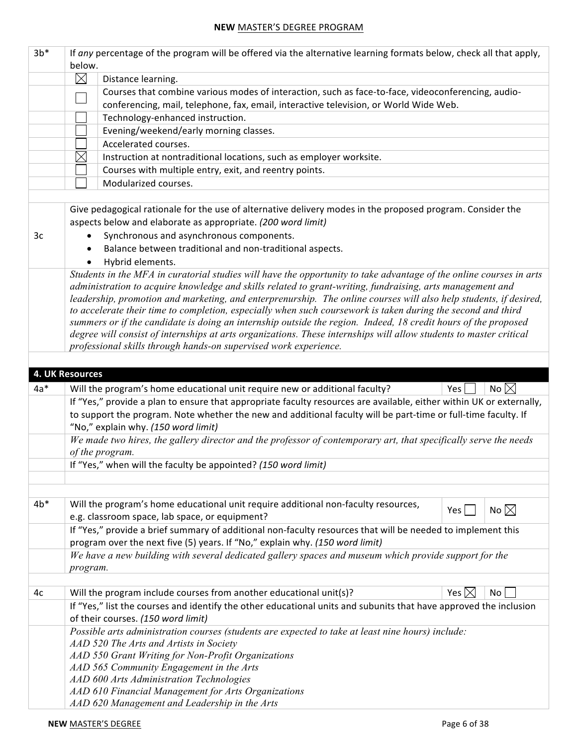| $3b*$ | If any percentage of the program will be offered via the alternative learning formats below, check all that apply, |                                                                                                                      |                                    |  |  |  |  |
|-------|--------------------------------------------------------------------------------------------------------------------|----------------------------------------------------------------------------------------------------------------------|------------------------------------|--|--|--|--|
|       | below.                                                                                                             |                                                                                                                      |                                    |  |  |  |  |
|       | $\boxtimes$                                                                                                        | Distance learning.                                                                                                   |                                    |  |  |  |  |
|       |                                                                                                                    | Courses that combine various modes of interaction, such as face-to-face, videoconferencing, audio-                   |                                    |  |  |  |  |
|       |                                                                                                                    | conferencing, mail, telephone, fax, email, interactive television, or World Wide Web.                                |                                    |  |  |  |  |
|       |                                                                                                                    | Technology-enhanced instruction.                                                                                     |                                    |  |  |  |  |
|       | Evening/weekend/early morning classes.                                                                             |                                                                                                                      |                                    |  |  |  |  |
|       |                                                                                                                    | Accelerated courses.                                                                                                 |                                    |  |  |  |  |
|       | $\times$                                                                                                           | Instruction at nontraditional locations, such as employer worksite.                                                  |                                    |  |  |  |  |
|       |                                                                                                                    | Courses with multiple entry, exit, and reentry points.                                                               |                                    |  |  |  |  |
|       |                                                                                                                    | Modularized courses.                                                                                                 |                                    |  |  |  |  |
|       |                                                                                                                    |                                                                                                                      |                                    |  |  |  |  |
|       |                                                                                                                    | Give pedagogical rationale for the use of alternative delivery modes in the proposed program. Consider the           |                                    |  |  |  |  |
|       |                                                                                                                    | aspects below and elaborate as appropriate. (200 word limit)                                                         |                                    |  |  |  |  |
| 3c    |                                                                                                                    | Synchronous and asynchronous components.                                                                             |                                    |  |  |  |  |
|       |                                                                                                                    | Balance between traditional and non-traditional aspects.                                                             |                                    |  |  |  |  |
|       |                                                                                                                    | Hybrid elements.                                                                                                     |                                    |  |  |  |  |
|       |                                                                                                                    | Students in the MFA in curatorial studies will have the opportunity to take advantage of the online courses in arts  |                                    |  |  |  |  |
|       |                                                                                                                    | administration to acquire knowledge and skills related to grant-writing, fundraising, arts management and            |                                    |  |  |  |  |
|       |                                                                                                                    | leadership, promotion and marketing, and enterprenurship. The online courses will also help students, if desired,    |                                    |  |  |  |  |
|       |                                                                                                                    | to accelerate their time to completion, especially when such coursework is taken during the second and third         |                                    |  |  |  |  |
|       |                                                                                                                    | summers or if the candidate is doing an internship outside the region. Indeed, 18 credit hours of the proposed       |                                    |  |  |  |  |
|       |                                                                                                                    | degree will consist of internships at arts organizations. These internships will allow students to master critical   |                                    |  |  |  |  |
|       |                                                                                                                    | professional skills through hands-on supervised work experience.                                                     |                                    |  |  |  |  |
|       |                                                                                                                    |                                                                                                                      |                                    |  |  |  |  |
|       | <b>4. UK Resources</b>                                                                                             |                                                                                                                      |                                    |  |  |  |  |
| $4a*$ |                                                                                                                    | Will the program's home educational unit require new or additional faculty?                                          | No $\boxtimes$<br>Yes              |  |  |  |  |
|       |                                                                                                                    | If "Yes," provide a plan to ensure that appropriate faculty resources are available, either within UK or externally, |                                    |  |  |  |  |
|       |                                                                                                                    | to support the program. Note whether the new and additional faculty will be part-time or full-time faculty. If       |                                    |  |  |  |  |
|       |                                                                                                                    | "No," explain why. (150 word limit)                                                                                  |                                    |  |  |  |  |
|       |                                                                                                                    |                                                                                                                      |                                    |  |  |  |  |
|       | of the program.                                                                                                    |                                                                                                                      |                                    |  |  |  |  |
|       |                                                                                                                    | We made two hires, the gallery director and the professor of contemporary art, that specifically serve the needs     |                                    |  |  |  |  |
|       |                                                                                                                    | If "Yes," when will the faculty be appointed? (150 word limit)                                                       |                                    |  |  |  |  |
|       |                                                                                                                    |                                                                                                                      |                                    |  |  |  |  |
|       |                                                                                                                    |                                                                                                                      |                                    |  |  |  |  |
| $4b*$ |                                                                                                                    | Will the program's home educational unit require additional non-faculty resources,                                   |                                    |  |  |  |  |
|       |                                                                                                                    | e.g. classroom space, lab space, or equipment?                                                                       | No $\boxtimes$<br>Yes              |  |  |  |  |
|       |                                                                                                                    | If "Yes," provide a brief summary of additional non-faculty resources that will be needed to implement this          |                                    |  |  |  |  |
|       |                                                                                                                    | program over the next five (5) years. If "No," explain why. (150 word limit)                                         |                                    |  |  |  |  |
|       |                                                                                                                    | We have a new building with several dedicated gallery spaces and museum which provide support for the                |                                    |  |  |  |  |
|       | program.                                                                                                           |                                                                                                                      |                                    |  |  |  |  |
|       |                                                                                                                    |                                                                                                                      |                                    |  |  |  |  |
| 4c    |                                                                                                                    | Will the program include courses from another educational unit(s)?                                                   | Yes $\boxtimes$<br>No <sub>1</sub> |  |  |  |  |
|       |                                                                                                                    | If "Yes," list the courses and identify the other educational units and subunits that have approved the inclusion    |                                    |  |  |  |  |
|       |                                                                                                                    | of their courses. (150 word limit)                                                                                   |                                    |  |  |  |  |
|       |                                                                                                                    | Possible arts administration courses (students are expected to take at least nine hours) include:                    |                                    |  |  |  |  |
|       |                                                                                                                    | AAD 520 The Arts and Artists in Society                                                                              |                                    |  |  |  |  |
|       |                                                                                                                    | AAD 550 Grant Writing for Non-Profit Organizations                                                                   |                                    |  |  |  |  |
|       |                                                                                                                    | AAD 565 Community Engagement in the Arts                                                                             |                                    |  |  |  |  |
|       |                                                                                                                    | AAD 600 Arts Administration Technologies                                                                             |                                    |  |  |  |  |
|       |                                                                                                                    | AAD 610 Financial Management for Arts Organizations<br>AAD 620 Management and Leadership in the Arts                 |                                    |  |  |  |  |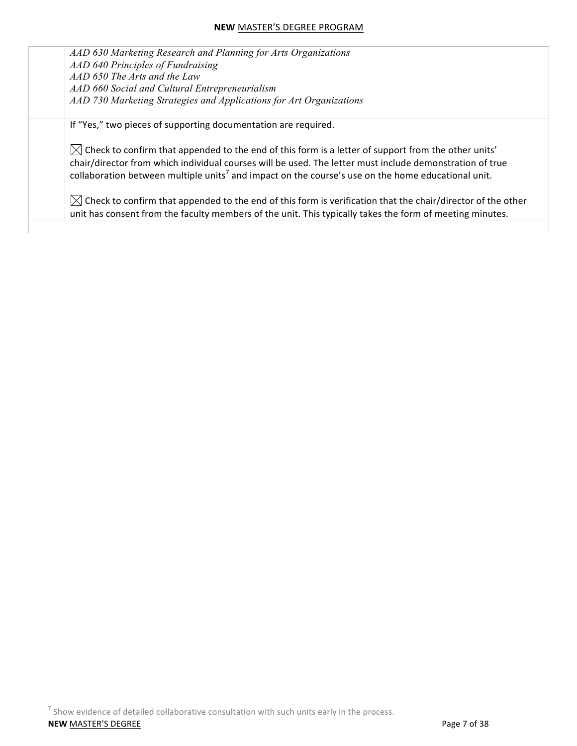*AAD 630 Marketing Research and Planning for Arts Organizations AAD 640 Principles of Fundraising AAD 650 The Arts and the Law AAD 660 Social and Cultural Entrepreneurialism AAD 730 Marketing Strategies and Applications for Art Organizations*

If "Yes," two pieces of supporting documentation are required.

 $\boxtimes$  Check to confirm that appended to the end of this form is a letter of support from the other units' chair/director from which individual courses will be used. The letter must include demonstration of true collaboration between multiple units<sup>7</sup> and impact on the course's use on the home educational unit.

 $\boxtimes$  Check to confirm that appended to the end of this form is verification that the chair/director of the other unit has consent from the faculty members of the unit. This typically takes the form of meeting minutes.

**NEW** MASTER'S DEGREE **Page 7 of 38**  $<sup>7</sup>$  Show evidence of detailed collaborative consultation with such units early in the process.</sup>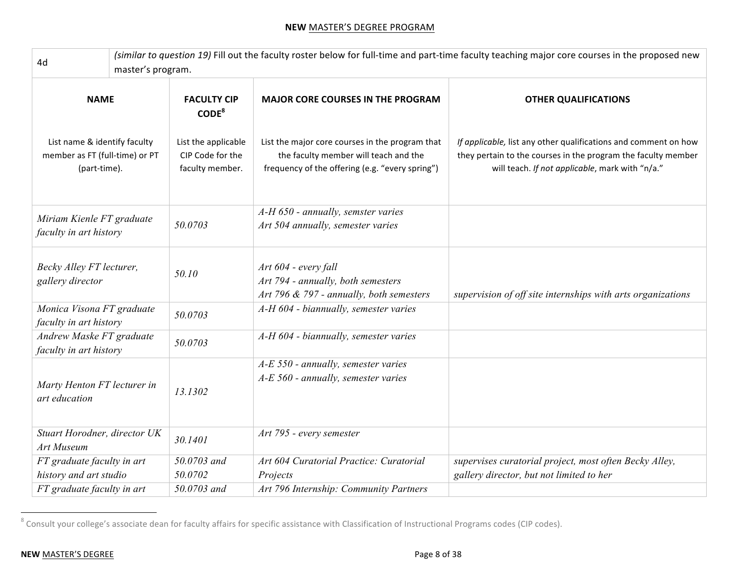| 4d                                                                             | (similar to question 19) Fill out the faculty roster below for full-time and part-time faculty teaching major core courses in the proposed new<br>master's program. |                                                            |                                                                                                                                             |                                                                                                                                                                                     |  |
|--------------------------------------------------------------------------------|---------------------------------------------------------------------------------------------------------------------------------------------------------------------|------------------------------------------------------------|---------------------------------------------------------------------------------------------------------------------------------------------|-------------------------------------------------------------------------------------------------------------------------------------------------------------------------------------|--|
| <b>NAME</b>                                                                    |                                                                                                                                                                     | <b>FACULTY CIP</b><br>CODE <sup>8</sup>                    | <b>MAJOR CORE COURSES IN THE PROGRAM</b>                                                                                                    | <b>OTHER QUALIFICATIONS</b>                                                                                                                                                         |  |
| List name & identify faculty<br>member as FT (full-time) or PT<br>(part-time). |                                                                                                                                                                     | List the applicable<br>CIP Code for the<br>faculty member. | List the major core courses in the program that<br>the faculty member will teach and the<br>frequency of the offering (e.g. "every spring") | If applicable, list any other qualifications and comment on how<br>they pertain to the courses in the program the faculty member<br>will teach. If not applicable, mark with "n/a." |  |
| Miriam Kienle FT graduate<br>faculty in art history                            |                                                                                                                                                                     | 50.0703                                                    | A-H 650 - annually, semster varies<br>Art 504 annually, semester varies                                                                     |                                                                                                                                                                                     |  |
| Becky Alley FT lecturer,<br>gallery director                                   |                                                                                                                                                                     | 50.10                                                      | Art 604 - every fall<br>Art 794 - annually, both semesters<br>Art 796 & 797 - annually, both semesters                                      | supervision of off site internships with arts organizations                                                                                                                         |  |
| Monica Visona FT graduate<br>faculty in art history                            |                                                                                                                                                                     | 50.0703                                                    | A-H 604 - biannually, semester varies                                                                                                       |                                                                                                                                                                                     |  |
| Andrew Maske FT graduate<br>faculty in art history                             |                                                                                                                                                                     | 50.0703                                                    | A-H 604 - biannually, semester varies                                                                                                       |                                                                                                                                                                                     |  |
| Marty Henton FT lecturer in<br>art education                                   |                                                                                                                                                                     | 13.1302                                                    | A-E 550 - annually, semester varies<br>A-E 560 - annually, semester varies                                                                  |                                                                                                                                                                                     |  |
| Stuart Horodner, director UK<br>Art Museum                                     |                                                                                                                                                                     | 30.1401                                                    | Art 795 - every semester                                                                                                                    |                                                                                                                                                                                     |  |
| FT graduate faculty in art<br>history and art studio                           |                                                                                                                                                                     | 50.0703 and<br>50.0702                                     | Art 604 Curatorial Practice: Curatorial<br>Projects                                                                                         | supervises curatorial project, most often Becky Alley,<br>gallery director, but not limited to her                                                                                  |  |
| FT graduate faculty in art                                                     |                                                                                                                                                                     | 50.0703 and                                                | Art 796 Internship: Community Partners                                                                                                      |                                                                                                                                                                                     |  |

 $^8$  Consult your college's associate dean for faculty affairs for specific assistance with Classification of Instructional Programs codes (CIP codes).

<u> 1989 - Johann Barn, mars ann an t-Amhain an t-Amhain an t-Amhain an t-Amhain an t-Amhain an t-Amhain an t-Amh</u>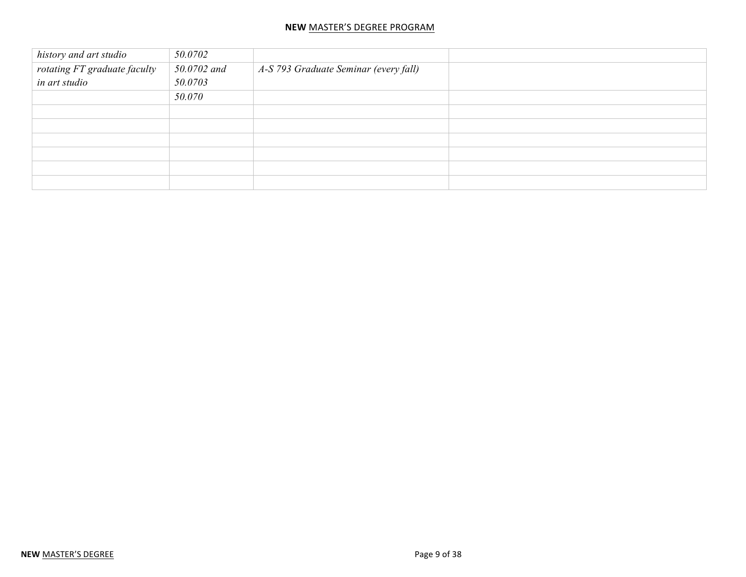| history and art studio       | 50.0702     |                                       |  |
|------------------------------|-------------|---------------------------------------|--|
| rotating FT graduate faculty | 50.0702 and | A-S 793 Graduate Seminar (every fall) |  |
| in art studio                | 50.0703     |                                       |  |
|                              | 50.070      |                                       |  |
|                              |             |                                       |  |
|                              |             |                                       |  |
|                              |             |                                       |  |
|                              |             |                                       |  |
|                              |             |                                       |  |
|                              |             |                                       |  |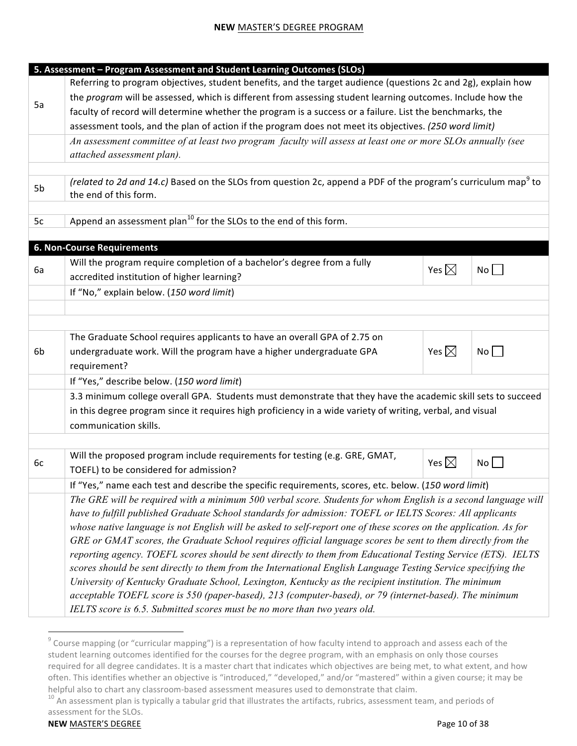|    | 5. Assessment - Program Assessment and Student Learning Outcomes (SLOs)                                                   |                 |    |  |  |  |
|----|---------------------------------------------------------------------------------------------------------------------------|-----------------|----|--|--|--|
|    | Referring to program objectives, student benefits, and the target audience (questions 2c and 2g), explain how             |                 |    |  |  |  |
|    | the program will be assessed, which is different from assessing student learning outcomes. Include how the                |                 |    |  |  |  |
| 5a | faculty of record will determine whether the program is a success or a failure. List the benchmarks, the                  |                 |    |  |  |  |
|    | assessment tools, and the plan of action if the program does not meet its objectives. (250 word limit)                    |                 |    |  |  |  |
|    | An assessment committee of at least two program faculty will assess at least one or more SLOs annually (see               |                 |    |  |  |  |
|    | attached assessment plan).                                                                                                |                 |    |  |  |  |
|    |                                                                                                                           |                 |    |  |  |  |
| 5b | (related to 2d and 14.c) Based on the SLOs from question 2c, append a PDF of the program's curriculum map <sup>9</sup> to |                 |    |  |  |  |
|    | the end of this form.                                                                                                     |                 |    |  |  |  |
|    |                                                                                                                           |                 |    |  |  |  |
| 5c | Append an assessment plan <sup>10</sup> for the SLOs to the end of this form.                                             |                 |    |  |  |  |
|    | <b>6. Non-Course Requirements</b>                                                                                         |                 |    |  |  |  |
|    | Will the program require completion of a bachelor's degree from a fully                                                   |                 |    |  |  |  |
| 6a | accredited institution of higher learning?                                                                                | Yes $\boxtimes$ | No |  |  |  |
|    | If "No," explain below. (150 word limit)                                                                                  |                 |    |  |  |  |
|    |                                                                                                                           |                 |    |  |  |  |
|    |                                                                                                                           |                 |    |  |  |  |
|    | The Graduate School requires applicants to have an overall GPA of 2.75 on                                                 |                 |    |  |  |  |
| 6b | undergraduate work. Will the program have a higher undergraduate GPA                                                      | Yes $\boxtimes$ | No |  |  |  |
|    | requirement?                                                                                                              |                 |    |  |  |  |
|    | If "Yes," describe below. (150 word limit)                                                                                |                 |    |  |  |  |
|    | 3.3 minimum college overall GPA. Students must demonstrate that they have the academic skill sets to succeed              |                 |    |  |  |  |
|    | in this degree program since it requires high proficiency in a wide variety of writing, verbal, and visual                |                 |    |  |  |  |
|    | communication skills.                                                                                                     |                 |    |  |  |  |
|    |                                                                                                                           |                 |    |  |  |  |
|    | Will the proposed program include requirements for testing (e.g. GRE, GMAT,                                               |                 |    |  |  |  |
| 6c | TOEFL) to be considered for admission?                                                                                    | Yes $\boxtimes$ | No |  |  |  |
|    | If "Yes," name each test and describe the specific requirements, scores, etc. below. (150 word limit)                     |                 |    |  |  |  |
|    | The GRE will be required with a minimum 500 verbal score. Students for whom English is a second language will             |                 |    |  |  |  |
|    | have to fulfill published Graduate School standards for admission: TOEFL or IELTS Scores: All applicants                  |                 |    |  |  |  |
|    | whose native language is not English will be asked to self-report one of these scores on the application. As for          |                 |    |  |  |  |
|    | GRE or GMAT scores, the Graduate School requires official language scores be sent to them directly from the               |                 |    |  |  |  |
|    | reporting agency. TOEFL scores should be sent directly to them from Educational Testing Service (ETS). IELTS              |                 |    |  |  |  |
|    | scores should be sent directly to them from the International English Language Testing Service specifying the             |                 |    |  |  |  |
|    | University of Kentucky Graduate School, Lexington, Kentucky as the recipient institution. The minimum                     |                 |    |  |  |  |
|    | acceptable TOEFL score is 550 (paper-based), 213 (computer-based), or 79 (internet-based). The minimum                    |                 |    |  |  |  |
|    | IELTS score is 6.5. Submitted scores must be no more than two years old.                                                  |                 |    |  |  |  |
|    |                                                                                                                           |                 |    |  |  |  |

 $^9$  Course mapping (or "curricular mapping") is a representation of how faculty intend to approach and assess each of the student learning outcomes identified for the courses for the degree program, with an emphasis on only those courses required for all degree candidates. It is a master chart that indicates which objectives are being met, to what extent, and how often. This identifies whether an objective is "introduced," "developed," and/or "mastered" within a given course; it may be helpful also to chart any classroom-based assessment measures used to demonstrate that claim.<br><sup>10</sup> An assessment plan is typically a tabular grid that illustrates the artifacts, rubrics, assessment team, and periods of

assessment for the SLOs.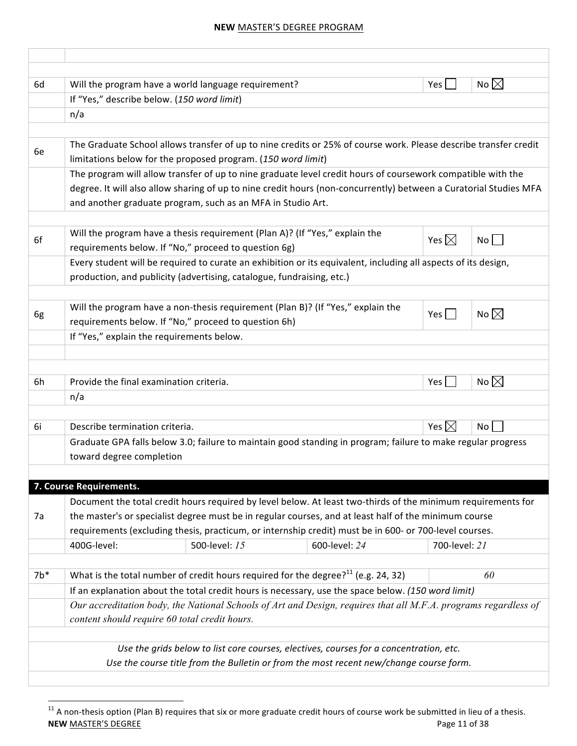| 6d    |                                            | Will the program have a world language requirement?                                                                                                                              |               | Yes             | No $\boxtimes$ |
|-------|--------------------------------------------|----------------------------------------------------------------------------------------------------------------------------------------------------------------------------------|---------------|-----------------|----------------|
|       | If "Yes," describe below. (150 word limit) |                                                                                                                                                                                  |               |                 |                |
|       | n/a                                        |                                                                                                                                                                                  |               |                 |                |
|       |                                            |                                                                                                                                                                                  |               |                 |                |
| 6e    |                                            | The Graduate School allows transfer of up to nine credits or 25% of course work. Please describe transfer credit<br>limitations below for the proposed program. (150 word limit) |               |                 |                |
|       |                                            | The program will allow transfer of up to nine graduate level credit hours of coursework compatible with the                                                                      |               |                 |                |
|       |                                            | degree. It will also allow sharing of up to nine credit hours (non-concurrently) between a Curatorial Studies MFA                                                                |               |                 |                |
|       |                                            | and another graduate program, such as an MFA in Studio Art.                                                                                                                      |               |                 |                |
|       |                                            |                                                                                                                                                                                  |               |                 |                |
| 6f    |                                            | Will the program have a thesis requirement (Plan A)? (If "Yes," explain the                                                                                                      |               | Yes $\boxtimes$ | No             |
|       |                                            | requirements below. If "No," proceed to question 6g)                                                                                                                             |               |                 |                |
|       |                                            | Every student will be required to curate an exhibition or its equivalent, including all aspects of its design,                                                                   |               |                 |                |
|       |                                            | production, and publicity (advertising, catalogue, fundraising, etc.)                                                                                                            |               |                 |                |
|       |                                            |                                                                                                                                                                                  |               |                 |                |
| 6g    |                                            | Will the program have a non-thesis requirement (Plan B)? (If "Yes," explain the                                                                                                  |               | $Yes$           | No $\boxtimes$ |
|       |                                            | requirements below. If "No," proceed to question 6h)                                                                                                                             |               |                 |                |
|       | If "Yes," explain the requirements below.  |                                                                                                                                                                                  |               |                 |                |
|       |                                            |                                                                                                                                                                                  |               |                 |                |
|       |                                            |                                                                                                                                                                                  |               |                 |                |
| 6h    | Provide the final examination criteria.    |                                                                                                                                                                                  |               | Yes l           | No $\boxtimes$ |
|       | n/a                                        |                                                                                                                                                                                  |               |                 |                |
| 6i    | Describe termination criteria.             |                                                                                                                                                                                  |               | Yes $\boxtimes$ | <b>No</b>      |
|       |                                            |                                                                                                                                                                                  |               |                 |                |
|       | toward degree completion                   | Graduate GPA falls below 3.0; failure to maintain good standing in program; failure to make regular progress                                                                     |               |                 |                |
|       |                                            |                                                                                                                                                                                  |               |                 |                |
|       | 7. Course Requirements.                    |                                                                                                                                                                                  |               |                 |                |
|       |                                            | Document the total credit hours required by level below. At least two-thirds of the minimum requirements for                                                                     |               |                 |                |
| 7a    |                                            | the master's or specialist degree must be in regular courses, and at least half of the minimum course                                                                            |               |                 |                |
|       |                                            | requirements (excluding thesis, practicum, or internship credit) must be in 600- or 700-level courses.                                                                           |               |                 |                |
|       | 400G-level:                                | 500-level: 15                                                                                                                                                                    | 600-level: 24 | 700-level: 21   |                |
|       |                                            |                                                                                                                                                                                  |               |                 |                |
| $7b*$ |                                            | What is the total number of credit hours required for the degree? $11$ (e.g. 24, 32)                                                                                             |               |                 | 60             |
|       |                                            | If an explanation about the total credit hours is necessary, use the space below. (150 word limit)                                                                               |               |                 |                |
|       |                                            | Our accreditation body, the National Schools of Art and Design, requires that all M.F.A. programs regardless of                                                                  |               |                 |                |
|       |                                            |                                                                                                                                                                                  |               |                 |                |
|       |                                            | content should require 60 total credit hours.                                                                                                                                    |               |                 |                |
|       |                                            |                                                                                                                                                                                  |               |                 |                |
|       |                                            | Use the grids below to list core courses, electives, courses for a concentration, etc.                                                                                           |               |                 |                |

**NEW** MASTER'S DEGREE PAGE PAGE PAGE 21 of 38  $11$  A non-thesis option (Plan B) requires that six or more graduate credit hours of course work be submitted in lieu of a thesis.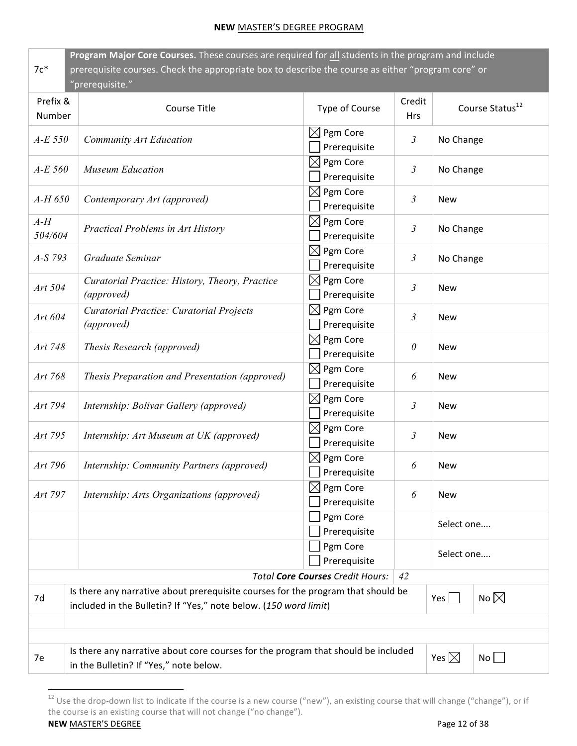| Program Major Core Courses. These courses are required for all students in the program and include<br>prerequisite courses. Check the appropriate box to describe the course as either "program core" or<br>$7c*$<br>"prerequisite." |                                                                                                                                                      |                                         |                      |                             |  |  |
|--------------------------------------------------------------------------------------------------------------------------------------------------------------------------------------------------------------------------------------|------------------------------------------------------------------------------------------------------------------------------------------------------|-----------------------------------------|----------------------|-----------------------------|--|--|
| Prefix &<br>Number                                                                                                                                                                                                                   | Course Title                                                                                                                                         | Type of Course                          | Credit<br><b>Hrs</b> | Course Status <sup>12</sup> |  |  |
| $A-E$ 550                                                                                                                                                                                                                            | <b>Community Art Education</b>                                                                                                                       | $\boxtimes$ Pgm Core<br>Prerequisite    | 3                    | No Change                   |  |  |
| $A-E$ 560                                                                                                                                                                                                                            | <b>Museum Education</b>                                                                                                                              | $\boxtimes$ Pgm Core<br>Prerequisite    | 3                    | No Change                   |  |  |
| $A-H$ 650                                                                                                                                                                                                                            | Contemporary Art (approved)                                                                                                                          | $\boxtimes$ Pgm Core<br>Prerequisite    | $\mathfrak{Z}$       | <b>New</b>                  |  |  |
| $A-H$<br>504/604                                                                                                                                                                                                                     | Practical Problems in Art History                                                                                                                    | $\boxtimes$ Pgm Core<br>Prerequisite    | $\mathfrak{Z}$       | No Change                   |  |  |
| A-S 793                                                                                                                                                                                                                              | Graduate Seminar                                                                                                                                     | $\boxtimes$ Pgm Core<br>Prerequisite    | $\mathfrak{Z}$       | No Change                   |  |  |
| Art 504                                                                                                                                                                                                                              | Curatorial Practice: History, Theory, Practice<br>(approved)                                                                                         | Pgm Core<br>$\bowtie$<br>Prerequisite   | 3                    | <b>New</b>                  |  |  |
| Art 604                                                                                                                                                                                                                              | Curatorial Practice: Curatorial Projects<br>(approved)                                                                                               | $\bowtie$<br>Pgm Core<br>Prerequisite   | $\mathfrak{Z}$       | <b>New</b>                  |  |  |
| Art 748                                                                                                                                                                                                                              | Thesis Research (approved)                                                                                                                           | Pgm Core<br>$\bowtie$<br>Prerequisite   | $\theta$             | <b>New</b>                  |  |  |
| Art 768                                                                                                                                                                                                                              | Thesis Preparation and Presentation (approved)                                                                                                       | $\bowtie$<br>Pgm Core<br>Prerequisite   | 6                    | <b>New</b>                  |  |  |
| Art 794                                                                                                                                                                                                                              | Internship: Bolivar Gallery (approved)                                                                                                               | $\boxtimes$ Pgm Core<br>Prerequisite    | $\mathfrak{Z}$       | <b>New</b>                  |  |  |
| Art 795                                                                                                                                                                                                                              | Internship: Art Museum at UK (approved)                                                                                                              | $\boxtimes$ Pgm Core<br>Prerequisite    | 3                    | <b>New</b>                  |  |  |
| Art 796                                                                                                                                                                                                                              | Internship: Community Partners (approved)                                                                                                            | $\boxtimes$ Pgm Core<br>Prerequisite    | 6                    | <b>New</b>                  |  |  |
| Art 797                                                                                                                                                                                                                              | Internship: Arts Organizations (approved)                                                                                                            | $\boxtimes$<br>Pgm Core<br>Prerequisite | 6                    | <b>New</b>                  |  |  |
|                                                                                                                                                                                                                                      |                                                                                                                                                      | Pgm Core<br>Prerequisite                |                      | Select one                  |  |  |
|                                                                                                                                                                                                                                      | Pgm Core<br>Prerequisite                                                                                                                             |                                         | Select one           |                             |  |  |
| Total Core Courses Credit Hours:<br>42                                                                                                                                                                                               |                                                                                                                                                      |                                         |                      |                             |  |  |
| 7d                                                                                                                                                                                                                                   | Is there any narrative about prerequisite courses for the program that should be<br>included in the Bulletin? If "Yes," note below. (150 word limit) |                                         |                      | No $\boxtimes$<br>Yes       |  |  |
|                                                                                                                                                                                                                                      |                                                                                                                                                      |                                         |                      |                             |  |  |
|                                                                                                                                                                                                                                      |                                                                                                                                                      |                                         |                      |                             |  |  |
| 7e                                                                                                                                                                                                                                   | Is there any narrative about core courses for the program that should be included<br>Yes $\boxtimes$<br>No<br>in the Bulletin? If "Yes," note below. |                                         |                      |                             |  |  |

**NEW** MASTER'S DEGREE PAGE PAGE 2 OF 38 <sup>12</sup> Use the drop-down list to indicate if the course is a new course ("new"), an existing course that will change ("change"), or if the course is an existing course that will not change ("no change").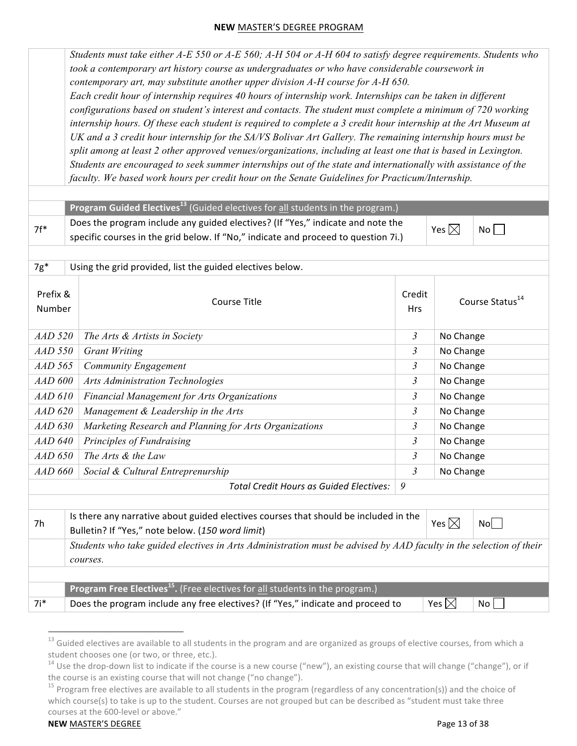*Students must take either A-E 550 or A-E 560; A-H 504 or A-H 604 to satisfy degree requirements. Students who took a contemporary art history course as undergraduates or who have considerable coursework in contemporary art, may substitute another upper division A-H course for A-H 650. Each credit hour of internship requires 40 hours of internship work. Internships can be taken in different configurations based on student's interest and contacts. The student must complete a minimum of 720 working internship hours. Of these each student is required to complete a 3 credit hour internship at the Art Museum at UK and a 3 credit hour internship for the SA/VS Bolivar Art Gallery. The remaining internship hours must be split among at least 2 other approved venues/organizations, including at least one that is based in Lexington. Students are encouraged to seek summer internships out of the state and internationally with assistance of the faculty. We based work hours per credit hour on the Senate Guidelines for Practicum/Internship.* **Program Guided Electives**<sup>13</sup> (Guided electives for all students in the program.)  $7f^*$  Does the program include any guided electives? (If "Yes," indicate and note the specific courses in the grid below. If "No," indicate and proceed to question 7i.) Yes  $\boxtimes$  No  $\Box$  $7g^*$  Using the grid provided, list the guided electives below. Prefix & Number Course Title Credit **Hrs** Course Status<sup>14</sup> *AAD* 520 *The Arts & Artists in Society* **3** No Change *AAD* 550 Grant Writing **3** No Change *AAD* 565 Community Engagement **3** No Change *AAD* 600 *Arts Administration Technologies* **3** No Change *AAD* 610 *Financial Management for Arts Organizations* **1998 1998** 3 No Change *AAD* 620 *Management & Leadership in the Arts* **3** 3 No Change *AAD* 630 *Marketing Research and Planning for Arts Organizations* 3 No Change *AAD* 640 Principles of Fundraising **3** No Change *AAD* 650 *The Arts & the Law* **3** No Change *AAD* 660 Social & Cultural Entreprenurship 3 No Change *Total Credit Hours as Guided Electives: 9*  $7h$  Is there any narrative about guided electives courses that should be included in the Bulletin? If "Yes," note below. (150 word limit) Yes  $\boxtimes$  No $\Box$ *Students who take guided electives in Arts Administration must be advised by AAD faculty in the selection of their courses.* **Program Free Electives<sup>15</sup>.** (Free electives for all students in the program.) 7i\* Boes the program include any free electives? (If "Yes," indicate and proceed to  $\forall$ es  $\boxtimes$  No

 $^{13}$  Guided electives are available to all students in the program and are organized as groups of elective courses, from which a student chooses one (or two, or three, etc.).<br><sup>14</sup> Use the drop-down list to indicate if the course is a new course ("new"), an existing course that will change ("change"), or if

the course is an existing course that will not change ("no change").

<sup>&</sup>lt;sup>15</sup> Program free electives are available to all students in the program (regardless of any concentration(s)) and the choice of which course(s) to take is up to the student. Courses are not grouped but can be described as "student must take three courses at the 600-level or above."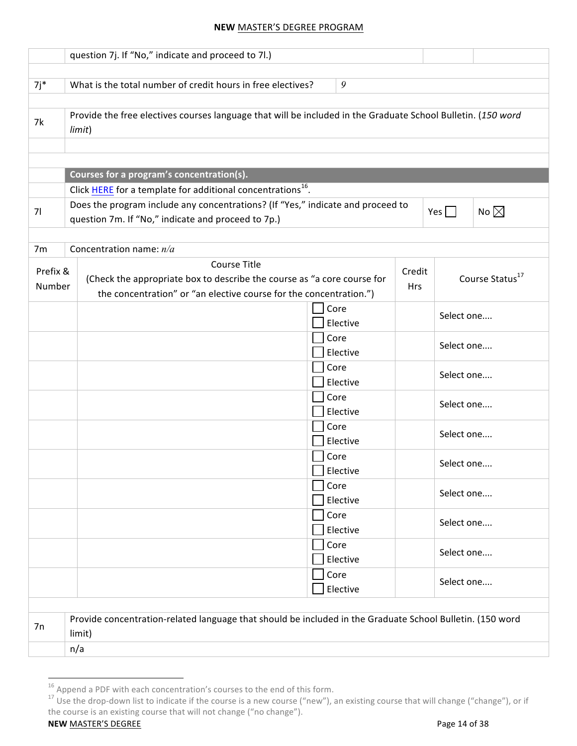|          | question 7j. If "No," indicate and proceed to 7l.)                                                                                    |  |                  |            |            |                             |
|----------|---------------------------------------------------------------------------------------------------------------------------------------|--|------------------|------------|------------|-----------------------------|
|          | What is the total number of credit hours in free electives?                                                                           |  | 9                |            |            |                             |
| $7j*$    |                                                                                                                                       |  |                  |            |            |                             |
| 7k       | Provide the free electives courses language that will be included in the Graduate School Bulletin. (150 word<br>limit)                |  |                  |            |            |                             |
|          |                                                                                                                                       |  |                  |            |            |                             |
|          |                                                                                                                                       |  |                  |            |            |                             |
|          | Courses for a program's concentration(s).                                                                                             |  |                  |            |            |                             |
|          | Click HERE for a template for additional concentrations <sup>16</sup> .                                                               |  |                  |            |            |                             |
| 71       | Does the program include any concentrations? (If "Yes," indicate and proceed to<br>question 7m. If "No," indicate and proceed to 7p.) |  |                  |            | $Yes$      | No $\boxtimes$              |
|          |                                                                                                                                       |  |                  |            |            |                             |
| 7m       | Concentration name: $n/a$                                                                                                             |  |                  |            |            |                             |
| Prefix & | <b>Course Title</b>                                                                                                                   |  |                  | Credit     |            |                             |
| Number   | (Check the appropriate box to describe the course as "a core course for                                                               |  |                  | <b>Hrs</b> |            | Course Status <sup>17</sup> |
|          | the concentration" or "an elective course for the concentration.")                                                                    |  |                  |            |            |                             |
|          |                                                                                                                                       |  | Core             |            | Select one |                             |
|          | Elective<br>Core                                                                                                                      |  |                  |            |            |                             |
|          |                                                                                                                                       |  | Elective         |            | Select one |                             |
|          |                                                                                                                                       |  | Core<br>Elective |            | Select one |                             |
|          |                                                                                                                                       |  | Core             |            | Select one |                             |
|          |                                                                                                                                       |  | Elective<br>Core |            |            |                             |
|          |                                                                                                                                       |  | Elective         |            | Select one |                             |
|          |                                                                                                                                       |  | Core<br>Elective |            | Select one |                             |
|          |                                                                                                                                       |  | Core<br>Elective |            | Select one |                             |
|          |                                                                                                                                       |  | Core<br>Elective |            | Select one |                             |
|          |                                                                                                                                       |  | Core<br>Elective |            | Select one |                             |
|          |                                                                                                                                       |  | Core<br>Elective |            | Select one |                             |
|          |                                                                                                                                       |  |                  |            |            |                             |
| 7n       | Provide concentration-related language that should be included in the Graduate School Bulletin. (150 word<br>limit)                   |  |                  |            |            |                             |
|          | n/a                                                                                                                                   |  |                  |            |            |                             |

<sup>&</sup>lt;sup>16</sup> Append a PDF with each concentration's courses to the end of this form.<br><sup>17</sup> Use the drop-down list to indicate if the course is a new course ("new"), an existing course that will change ("change"), or if the course is an existing course that will not change ("no change").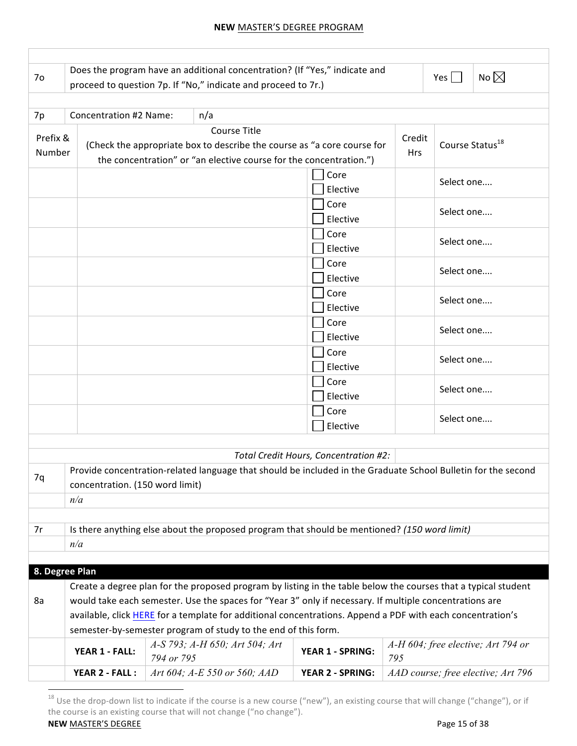| 7 <sub>o</sub>     |                                 |            | Does the program have an additional concentration? (If "Yes," indicate and<br>proceed to question 7p. If "No," indicate and proceed to 7r.)                          |                                       |                      | No $\boxtimes$<br>Yes $ $                                                                                     |
|--------------------|---------------------------------|------------|----------------------------------------------------------------------------------------------------------------------------------------------------------------------|---------------------------------------|----------------------|---------------------------------------------------------------------------------------------------------------|
| 7p                 | <b>Concentration #2 Name:</b>   |            | n/a                                                                                                                                                                  |                                       |                      |                                                                                                               |
| Prefix &<br>Number |                                 |            | <b>Course Title</b><br>(Check the appropriate box to describe the course as "a core course for<br>the concentration" or "an elective course for the concentration.") |                                       | Credit<br><b>Hrs</b> | Course Status <sup>18</sup>                                                                                   |
|                    |                                 |            |                                                                                                                                                                      | Core<br>Elective                      |                      | Select one                                                                                                    |
|                    |                                 |            |                                                                                                                                                                      | Core<br>Elective                      |                      | Select one                                                                                                    |
|                    |                                 |            |                                                                                                                                                                      | Core<br>Elective                      |                      | Select one                                                                                                    |
|                    |                                 |            |                                                                                                                                                                      | Core<br>Elective                      |                      | Select one                                                                                                    |
|                    |                                 |            |                                                                                                                                                                      | Core<br>Elective                      |                      | Select one                                                                                                    |
|                    |                                 |            |                                                                                                                                                                      | Core<br>Elective                      |                      | Select one                                                                                                    |
|                    |                                 |            |                                                                                                                                                                      | Core<br>Elective                      |                      | Select one                                                                                                    |
|                    |                                 |            |                                                                                                                                                                      | Core<br>Elective                      |                      | Select one                                                                                                    |
|                    |                                 |            |                                                                                                                                                                      | Core<br>Elective                      |                      | Select one                                                                                                    |
|                    |                                 |            |                                                                                                                                                                      | Total Credit Hours, Concentration #2: |                      |                                                                                                               |
|                    |                                 |            |                                                                                                                                                                      |                                       |                      | Provide concentration-related language that should be included in the Graduate School Bulletin for the second |
| 7q                 | concentration. (150 word limit) |            |                                                                                                                                                                      |                                       |                      |                                                                                                               |
|                    | n/a                             |            |                                                                                                                                                                      |                                       |                      |                                                                                                               |
|                    |                                 |            |                                                                                                                                                                      |                                       |                      |                                                                                                               |
| 7r                 |                                 |            | Is there anything else about the proposed program that should be mentioned? (150 word limit)                                                                         |                                       |                      |                                                                                                               |
|                    | n/a                             |            |                                                                                                                                                                      |                                       |                      |                                                                                                               |
|                    | 8. Degree Plan                  |            |                                                                                                                                                                      |                                       |                      |                                                                                                               |
|                    |                                 |            | Create a degree plan for the proposed program by listing in the table below the courses that a typical student                                                       |                                       |                      |                                                                                                               |
| 8a                 |                                 |            | would take each semester. Use the spaces for "Year 3" only if necessary. If multiple concentrations are                                                              |                                       |                      |                                                                                                               |
|                    |                                 |            | available, click HERE for a template for additional concentrations. Append a PDF with each concentration's                                                           |                                       |                      |                                                                                                               |
|                    |                                 |            | semester-by-semester program of study to the end of this form.                                                                                                       |                                       |                      |                                                                                                               |
|                    | YEAR 1 - FALL:                  | 794 or 795 | A-S 793; A-H 650; Art 504; Art                                                                                                                                       | YEAR 1 - SPRING:                      | 795                  | A-H 604; free elective; Art 794 or                                                                            |
|                    | YEAR 2 - FALL :                 |            | Art 604; A-E 550 or 560; AAD                                                                                                                                         | <b>YEAR 2 - SPRING:</b>               |                      | AAD course; free elective; Art 796                                                                            |

**NEW** MASTER'S DEGREE PAGE PAGE 25 of 38  $^{18}$  Use the drop-down list to indicate if the course is a new course ("new"), an existing course that will change ("change"), or if the course is an existing course that will not change ("no change").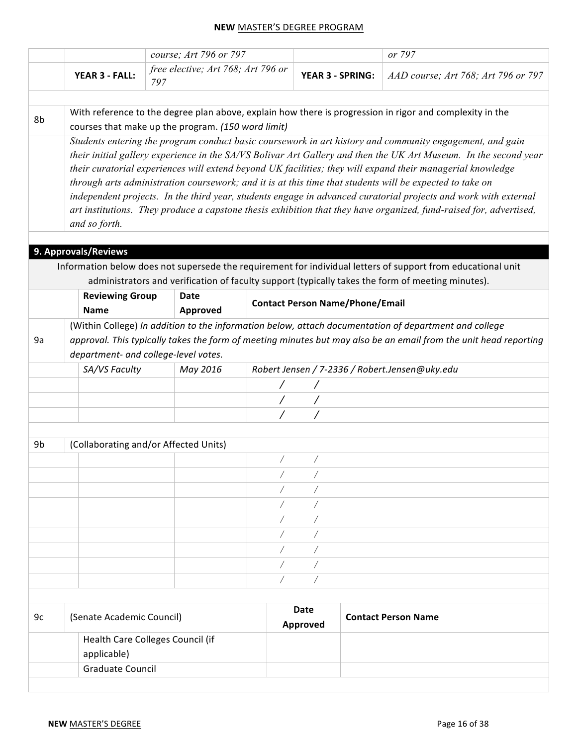|    |                           | course; Art 796 or 797                             |                         |                                        | or 797                                                                                                             |
|----|---------------------------|----------------------------------------------------|-------------------------|----------------------------------------|--------------------------------------------------------------------------------------------------------------------|
|    | YEAR 3 - FALL:            | free elective; Art 768; Art 796 or<br>797          |                         | <b>YEAR 3 - SPRING:</b>                | AAD course; Art 768; Art 796 or 797                                                                                |
|    |                           |                                                    |                         |                                        |                                                                                                                    |
| 8b |                           | courses that make up the program. (150 word limit) |                         |                                        | With reference to the degree plan above, explain how there is progression in rigor and complexity in the           |
|    |                           |                                                    |                         |                                        | Students entering the program conduct basic coursework in art history and community engagement, and gain           |
|    |                           |                                                    |                         |                                        | their initial gallery experience in the SA/VS Bolivar Art Gallery and then the UK Art Museum. In the second year   |
|    |                           |                                                    |                         |                                        | their curatorial experiences will extend beyond UK facilities; they will expand their managerial knowledge         |
|    |                           |                                                    |                         |                                        | through arts administration coursework; and it is at this time that students will be expected to take on           |
|    |                           |                                                    |                         |                                        | independent projects. In the third year, students engage in advanced curatorial projects and work with external    |
|    | and so forth.             |                                                    |                         |                                        | art institutions. They produce a capstone thesis exhibition that they have organized, fund-raised for, advertised, |
|    |                           |                                                    |                         |                                        |                                                                                                                    |
|    | 9. Approvals/Reviews      |                                                    |                         |                                        |                                                                                                                    |
|    |                           |                                                    |                         |                                        | Information below does not supersede the requirement for individual letters of support from educational unit       |
|    |                           |                                                    |                         |                                        | administrators and verification of faculty support (typically takes the form of meeting minutes).                  |
|    | <b>Reviewing Group</b>    | <b>Date</b>                                        |                         | <b>Contact Person Name/Phone/Email</b> |                                                                                                                    |
|    | <b>Name</b>               | Approved                                           |                         |                                        |                                                                                                                    |
|    |                           |                                                    |                         |                                        | (Within College) In addition to the information below, attach documentation of department and college              |
| 9a |                           |                                                    |                         |                                        | approval. This typically takes the form of meeting minutes but may also be an email from the unit head reporting   |
|    |                           | department- and college-level votes.               |                         |                                        |                                                                                                                    |
|    | SA/VS Faculty             | May 2016                                           |                         |                                        | Robert Jensen / 7-2336 / Robert.Jensen@uky.edu                                                                     |
|    |                           |                                                    |                         |                                        |                                                                                                                    |
|    |                           |                                                    |                         |                                        |                                                                                                                    |
|    |                           |                                                    |                         |                                        |                                                                                                                    |
|    |                           |                                                    |                         |                                        |                                                                                                                    |
| 9b |                           | (Collaborating and/or Affected Units)              |                         |                                        |                                                                                                                    |
|    |                           |                                                    |                         |                                        |                                                                                                                    |
|    |                           |                                                    |                         |                                        |                                                                                                                    |
|    |                           |                                                    |                         |                                        |                                                                                                                    |
|    |                           |                                                    |                         |                                        |                                                                                                                    |
|    |                           |                                                    |                         |                                        |                                                                                                                    |
|    |                           |                                                    |                         |                                        |                                                                                                                    |
|    |                           |                                                    |                         |                                        |                                                                                                                    |
|    |                           |                                                    |                         |                                        |                                                                                                                    |
|    |                           |                                                    |                         |                                        |                                                                                                                    |
|    |                           |                                                    |                         |                                        |                                                                                                                    |
| 9c |                           |                                                    |                         |                                        |                                                                                                                    |
|    | (Senate Academic Council) |                                                    | <b>Date</b><br>Approved |                                        | <b>Contact Person Name</b>                                                                                         |
|    |                           | Health Care Colleges Council (if                   |                         |                                        |                                                                                                                    |
|    | applicable)               |                                                    |                         |                                        |                                                                                                                    |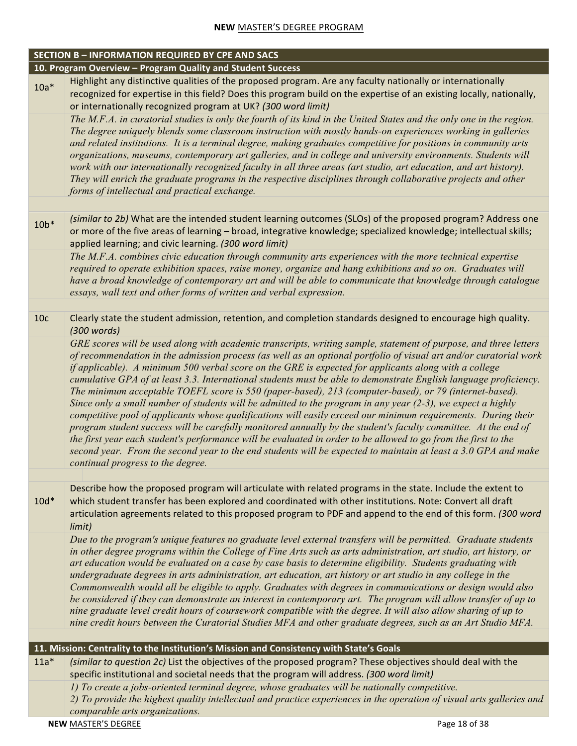|                 | <b>SECTION B - INFORMATION REQUIRED BY CPE AND SACS</b>                                                                                                                                                                                                                                                                                                                                                                                                                                                                                                                                                                                                                                                                                                                                                                                                                                                                                                                                                                                                                                                                                                                                                 |
|-----------------|---------------------------------------------------------------------------------------------------------------------------------------------------------------------------------------------------------------------------------------------------------------------------------------------------------------------------------------------------------------------------------------------------------------------------------------------------------------------------------------------------------------------------------------------------------------------------------------------------------------------------------------------------------------------------------------------------------------------------------------------------------------------------------------------------------------------------------------------------------------------------------------------------------------------------------------------------------------------------------------------------------------------------------------------------------------------------------------------------------------------------------------------------------------------------------------------------------|
|                 | 10. Program Overview - Program Quality and Student Success                                                                                                                                                                                                                                                                                                                                                                                                                                                                                                                                                                                                                                                                                                                                                                                                                                                                                                                                                                                                                                                                                                                                              |
| $10a*$          | Highlight any distinctive qualities of the proposed program. Are any faculty nationally or internationally<br>recognized for expertise in this field? Does this program build on the expertise of an existing locally, nationally,<br>or internationally recognized program at UK? (300 word limit)                                                                                                                                                                                                                                                                                                                                                                                                                                                                                                                                                                                                                                                                                                                                                                                                                                                                                                     |
|                 | The M.F.A. in curatorial studies is only the fourth of its kind in the United States and the only one in the region.<br>The degree uniquely blends some classroom instruction with mostly hands-on experiences working in galleries<br>and related institutions. It is a terminal degree, making graduates competitive for positions in community arts<br>organizations, museums, contemporary art galleries, and in college and university environments. Students will<br>work with our internationally recognized faculty in all three areas (art studio, art education, and art history).<br>They will enrich the graduate programs in the respective disciplines through collaborative projects and other<br>forms of intellectual and practical exchange.                                                                                                                                                                                                                                                                                                                                                                                                                                          |
|                 |                                                                                                                                                                                                                                                                                                                                                                                                                                                                                                                                                                                                                                                                                                                                                                                                                                                                                                                                                                                                                                                                                                                                                                                                         |
| $10b*$          | (similar to 2b) What are the intended student learning outcomes (SLOs) of the proposed program? Address one<br>or more of the five areas of learning - broad, integrative knowledge; specialized knowledge; intellectual skills;<br>applied learning; and civic learning. (300 word limit)                                                                                                                                                                                                                                                                                                                                                                                                                                                                                                                                                                                                                                                                                                                                                                                                                                                                                                              |
|                 | The M.F.A. combines civic education through community arts experiences with the more technical expertise<br>required to operate exhibition spaces, raise money, organize and hang exhibitions and so on. Graduates will<br>have a broad knowledge of contemporary art and will be able to communicate that knowledge through catalogue<br>essays, wall text and other forms of written and verbal expression.                                                                                                                                                                                                                                                                                                                                                                                                                                                                                                                                                                                                                                                                                                                                                                                           |
|                 |                                                                                                                                                                                                                                                                                                                                                                                                                                                                                                                                                                                                                                                                                                                                                                                                                                                                                                                                                                                                                                                                                                                                                                                                         |
| 10 <sub>c</sub> | Clearly state the student admission, retention, and completion standards designed to encourage high quality.<br>(300 words)                                                                                                                                                                                                                                                                                                                                                                                                                                                                                                                                                                                                                                                                                                                                                                                                                                                                                                                                                                                                                                                                             |
|                 | GRE scores will be used along with academic transcripts, writing sample, statement of purpose, and three letters<br>of recommendation in the admission process (as well as an optional portfolio of visual art and/or curatorial work<br>if applicable). A minimum 500 verbal score on the GRE is expected for applicants along with a college<br>cumulative GPA of at least 3.3. International students must be able to demonstrate English language proficiency.<br>The minimum acceptable TOEFL score is 550 (paper-based), 213 (computer-based), or 79 (internet-based).<br>Since only a small number of students will be admitted to the program in any year (2-3), we expect a highly<br>competitive pool of applicants whose qualifications will easily exceed our minimum requirements. During their<br>program student success will be carefully monitored annually by the student's faculty committee. At the end of<br>the first year each student's performance will be evaluated in order to be allowed to go from the first to the<br>second year. From the second year to the end students will be expected to maintain at least a 3.0 GPA and make<br>continual progress to the degree. |
|                 |                                                                                                                                                                                                                                                                                                                                                                                                                                                                                                                                                                                                                                                                                                                                                                                                                                                                                                                                                                                                                                                                                                                                                                                                         |
| $10d*$          | Describe how the proposed program will articulate with related programs in the state. Include the extent to<br>which student transfer has been explored and coordinated with other institutions. Note: Convert all draft<br>articulation agreements related to this proposed program to PDF and append to the end of this form. (300 word<br>limit)                                                                                                                                                                                                                                                                                                                                                                                                                                                                                                                                                                                                                                                                                                                                                                                                                                                     |
|                 | Due to the program's unique features no graduate level external transfers will be permitted. Graduate students<br>in other degree programs within the College of Fine Arts such as arts administration, art studio, art history, or<br>art education would be evaluated on a case by case basis to determine eligibility. Students graduating with<br>undergraduate degrees in arts administration, art education, art history or art studio in any college in the<br>Commonwealth would all be eligible to apply. Graduates with degrees in communications or design would also<br>be considered if they can demonstrate an interest in contemporary art. The program will allow transfer of up to<br>nine graduate level credit hours of coursework compatible with the degree. It will also allow sharing of up to<br>nine credit hours between the Curatorial Studies MFA and other graduate degrees, such as an Art Studio MFA.                                                                                                                                                                                                                                                                    |
|                 | 11. Mission: Centrality to the Institution's Mission and Consistency with State's Goals                                                                                                                                                                                                                                                                                                                                                                                                                                                                                                                                                                                                                                                                                                                                                                                                                                                                                                                                                                                                                                                                                                                 |
| $11a*$          | (similar to question 2c) List the objectives of the proposed program? These objectives should deal with the<br>specific institutional and societal needs that the program will address. (300 word limit)                                                                                                                                                                                                                                                                                                                                                                                                                                                                                                                                                                                                                                                                                                                                                                                                                                                                                                                                                                                                |
|                 | 1) To create a jobs-oriented terminal degree, whose graduates will be nationally competitive.<br>2) To provide the highest quality intellectual and practice experiences in the operation of visual arts galleries and<br>comparable arts organizations.                                                                                                                                                                                                                                                                                                                                                                                                                                                                                                                                                                                                                                                                                                                                                                                                                                                                                                                                                |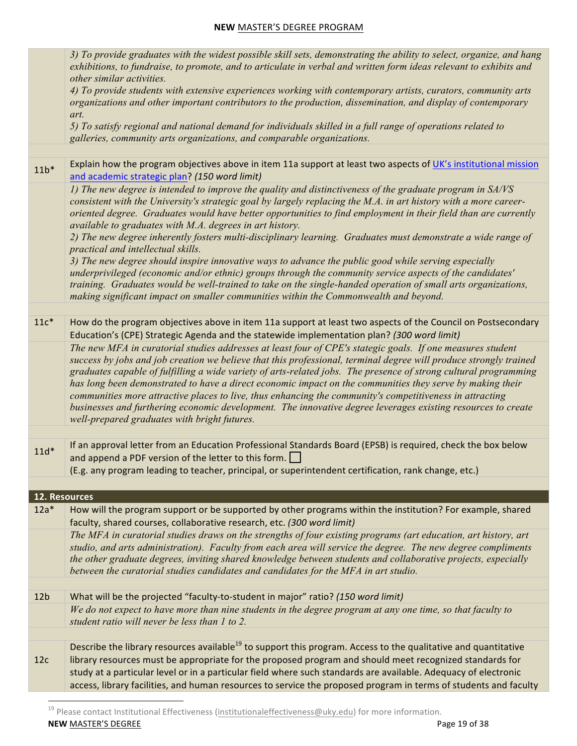|                 | 3) To provide graduates with the widest possible skill sets, demonstrating the ability to select, organize, and hang<br>exhibitions, to fundraise, to promote, and to articulate in verbal and written form ideas relevant to exhibits and<br>other similar activities.                                                                                                                                                                                                                                                                                                                                                                                                                                                                      |
|-----------------|----------------------------------------------------------------------------------------------------------------------------------------------------------------------------------------------------------------------------------------------------------------------------------------------------------------------------------------------------------------------------------------------------------------------------------------------------------------------------------------------------------------------------------------------------------------------------------------------------------------------------------------------------------------------------------------------------------------------------------------------|
|                 | 4) To provide students with extensive experiences working with contemporary artists, curators, community arts<br>organizations and other important contributors to the production, dissemination, and display of contemporary<br>art.                                                                                                                                                                                                                                                                                                                                                                                                                                                                                                        |
|                 | 5) To satisfy regional and national demand for individuals skilled in a full range of operations related to<br>galleries, community arts organizations, and comparable organizations.                                                                                                                                                                                                                                                                                                                                                                                                                                                                                                                                                        |
|                 |                                                                                                                                                                                                                                                                                                                                                                                                                                                                                                                                                                                                                                                                                                                                              |
| $11b*$          | Explain how the program objectives above in item 11a support at least two aspects of UK's institutional mission<br>and academic strategic plan? (150 word limit)                                                                                                                                                                                                                                                                                                                                                                                                                                                                                                                                                                             |
|                 | 1) The new degree is intended to improve the quality and distinctiveness of the graduate program in SA/VS<br>consistent with the University's strategic goal by largely replacing the M.A. in art history with a more career-<br>oriented degree. Graduates would have better opportunities to find employment in their field than are currently<br>available to graduates with M.A. degrees in art history.                                                                                                                                                                                                                                                                                                                                 |
|                 | 2) The new degree inherently fosters multi-disciplinary learning. Graduates must demonstrate a wide range of<br>practical and intellectual skills.                                                                                                                                                                                                                                                                                                                                                                                                                                                                                                                                                                                           |
|                 | 3) The new degree should inspire innovative ways to advance the public good while serving especially<br>underprivileged (economic and/or ethnic) groups through the community service aspects of the candidates'<br>training. Graduates would be well-trained to take on the single-handed operation of small arts organizations,<br>making significant impact on smaller communities within the Commonwealth and beyond.                                                                                                                                                                                                                                                                                                                    |
|                 |                                                                                                                                                                                                                                                                                                                                                                                                                                                                                                                                                                                                                                                                                                                                              |
| $11c*$          | How do the program objectives above in item 11a support at least two aspects of the Council on Postsecondary<br>Education's (CPE) Strategic Agenda and the statewide implementation plan? (300 word limit)                                                                                                                                                                                                                                                                                                                                                                                                                                                                                                                                   |
|                 | The new MFA in curatorial studies addresses at least four of CPE's stategic goals. If one measures student<br>success by jobs and job creation we believe that this professional, terminal degree will produce strongly trained<br>graduates capable of fulfilling a wide variety of arts-related jobs. The presence of strong cultural programming<br>has long been demonstrated to have a direct economic impact on the communities they serve by making their<br>communities more attractive places to live, thus enhancing the community's competitiveness in attracting<br>businesses and furthering economic development. The innovative degree leverages existing resources to create<br>well-prepared graduates with bright futures. |
|                 |                                                                                                                                                                                                                                                                                                                                                                                                                                                                                                                                                                                                                                                                                                                                              |
| $11d*$          | If an approval letter from an Education Professional Standards Board (EPSB) is required, check the box below<br>and append a PDF version of the letter to this form. $\Box$<br>(E.g. any program leading to teacher, principal, or superintendent certification, rank change, etc.)                                                                                                                                                                                                                                                                                                                                                                                                                                                          |
|                 |                                                                                                                                                                                                                                                                                                                                                                                                                                                                                                                                                                                                                                                                                                                                              |
| 12. Resources   |                                                                                                                                                                                                                                                                                                                                                                                                                                                                                                                                                                                                                                                                                                                                              |
| $12a*$          | How will the program support or be supported by other programs within the institution? For example, shared<br>faculty, shared courses, collaborative research, etc. (300 word limit)                                                                                                                                                                                                                                                                                                                                                                                                                                                                                                                                                         |
|                 | The MFA in curatorial studies draws on the strengths of four existing programs (art education, art history, art<br>studio, and arts administration). Faculty from each area will service the degree. The new degree compliments<br>the other graduate degrees, inviting shared knowledge between students and collaborative projects, especially<br>between the curatorial studies candidates and candidates for the MFA in art studio.                                                                                                                                                                                                                                                                                                      |
|                 |                                                                                                                                                                                                                                                                                                                                                                                                                                                                                                                                                                                                                                                                                                                                              |
| 12 <sub>b</sub> | What will be the projected "faculty-to-student in major" ratio? (150 word limit)<br>We do not expect to have more than nine students in the degree program at any one time, so that faculty to                                                                                                                                                                                                                                                                                                                                                                                                                                                                                                                                               |
|                 | student ratio will never be less than 1 to 2.                                                                                                                                                                                                                                                                                                                                                                                                                                                                                                                                                                                                                                                                                                |
|                 | Describe the library resources available <sup>19</sup> to support this program. Access to the qualitative and quantitative                                                                                                                                                                                                                                                                                                                                                                                                                                                                                                                                                                                                                   |
| 12c             | library resources must be appropriate for the proposed program and should meet recognized standards for<br>study at a particular level or in a particular field where such standards are available. Adequacy of electronic<br>access, library facilities, and human resources to service the proposed program in terms of students and faculty                                                                                                                                                                                                                                                                                                                                                                                               |
|                 |                                                                                                                                                                                                                                                                                                                                                                                                                                                                                                                                                                                                                                                                                                                                              |

**NEW** MASTER'S DEGREE PAGE PAGE PAGE 23 OF 38 <sup>19</sup> Please contact Institutional Effectiveness (institutionaleffectiveness@uky.edu) for more information.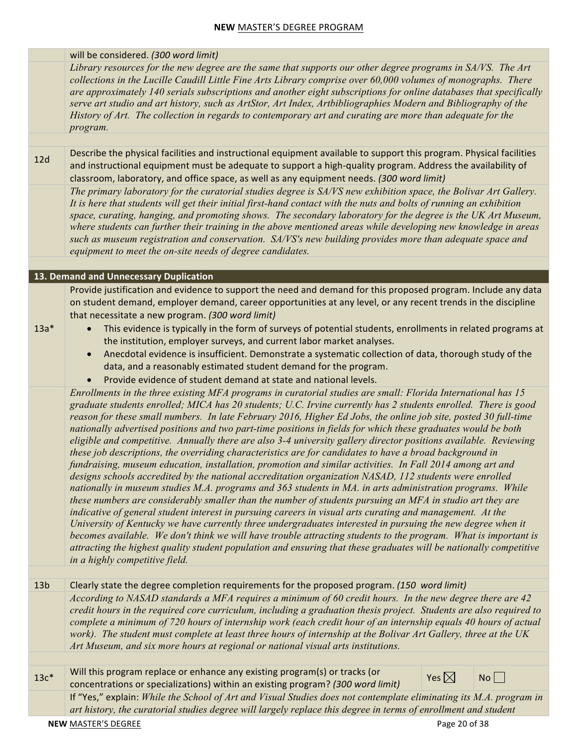#### will be considered. (300 word limit)

*Library resources for the new degree are the same that supports our other degree programs in SA/VS. The Art collections in the Lucille Caudill Little Fine Arts Library comprise over 60,000 volumes of monographs. There are approximately 140 serials subscriptions and another eight subscriptions for online databases that specifically serve art studio and art history, such as ArtStor, Art Index, Artbibliographies Modern and Bibliography of the History of Art. The collection in regards to contemporary art and curating are more than adequate for the program.* 

12d Describe the physical facilities and instructional equipment available to support this program. Physical facilities and instructional equipment must be adequate to support a high-quality program. Address the availability of classroom, laboratory, and office space, as well as any equipment needs. (300 word limit) *The primary laboratory for the curatorial studies degree is SA/VS new exhibition space, the Bolivar Art Gallery. It is here that students will get their initial first-hand contact with the nuts and bolts of running an exhibition space, curating, hanging, and promoting shows. The secondary laboratory for the degree is the UK Art Museum, where students can further their training in the above mentioned areas while developing new knowledge in areas such as museum registration and conservation. SA/VS's new building provides more than adequate space and equipment to meet the on-site needs of degree candidates.*

#### **13. Demand and Unnecessary Duplication**

Provide justification and evidence to support the need and demand for this proposed program. Include any data on student demand, employer demand, career opportunities at any level, or any recent trends in the discipline that necessitate a new program. (300 word limit)

- 13a\* • This evidence is typically in the form of surveys of potential students, enrollments in related programs at the institution, employer surveys, and current labor market analyses.
	- Anecdotal evidence is insufficient. Demonstrate a systematic collection of data, thorough study of the data, and a reasonably estimated student demand for the program.
	- Provide evidence of student demand at state and national levels.

*Enrollments in the three existing MFA programs in curatorial studies are small: Florida International has 15 graduate students enrolled; MICA has 20 students; U.C. Irvine currently has 2 students enrolled. There is good reason for these small numbers. In late February 2016, Higher Ed Jobs, the online job site, posted 30 full-time nationally advertised positions and two part-time positions in fields for which these graduates would be both eligible and competitive. Annually there are also 3-4 university gallery director positions available. Reviewing these job descriptions, the overriding characteristics are for candidates to have a broad background in fundraising, museum education, installation, promotion and similar activities. In Fall 2014 among art and designs schools accredited by the national accreditation organization NASAD, 112 students were enrolled nationally in museum studies M.A. programs and 363 students in MA. in arts administration programs. While these numbers are considerably smaller than the number of students pursuing an MFA in studio art they are indicative of general student interest in pursuing careers in visual arts curating and management. At the University of Kentucky we have currently three undergraduates interested in pursuing the new degree when it becomes available. We don't think we will have trouble attracting students to the program. What is important is attracting the highest quality student population and ensuring that these graduates will be nationally competitive in a highly competitive field.*

# 13b Clearly state the degree completion requirements for the proposed program. (150 word limit) *According to NASAD standards a MFA requires a minimum of 60 credit hours. In the new degree there are 42 credit hours in the required core curriculum, including a graduation thesis project. Students are also required to*

*complete a minimum of 720 hours of internship work (each credit hour of an internship equals 40 hours of actual work). The student must complete at least three hours of internship at the Bolivar Art Gallery, three at the UK Art Museum, and six more hours at regional or national visual arts institutions.*

 $13c*$ Will this program replace or enhance any existing program(s) or tracks (or concentrations or specializations) within an existing program? *(300 word limit)* Yes  $\boxtimes$  No  $\square$ If "Yes," explain: *While the School of Art and Visual Studies does not contemplate eliminating its M.A. program in art history, the curatorial studies degree will largely replace this degree in terms of enrollment and student*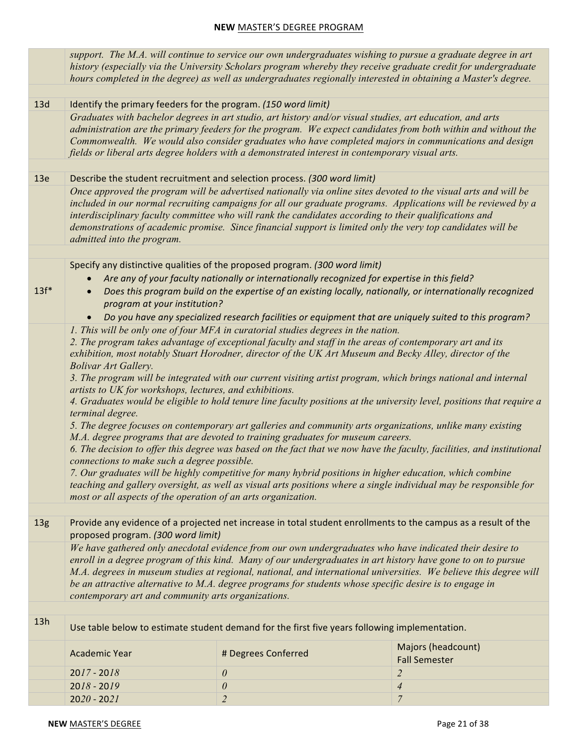|                 |                                                                                                                                                                                                                            |                                                                                                                                                                                                                                                                                  | support. The M.A. will continue to service our own undergraduates wishing to pursue a graduate degree in art<br>history (especially via the University Scholars program whereby they receive graduate credit for undergraduate<br>hours completed in the degree) as well as undergraduates regionally interested in obtaining a Master's degree.                                                                                                                                                                                                                                                                                                                                                                                                                                                                              |
|-----------------|----------------------------------------------------------------------------------------------------------------------------------------------------------------------------------------------------------------------------|----------------------------------------------------------------------------------------------------------------------------------------------------------------------------------------------------------------------------------------------------------------------------------|-------------------------------------------------------------------------------------------------------------------------------------------------------------------------------------------------------------------------------------------------------------------------------------------------------------------------------------------------------------------------------------------------------------------------------------------------------------------------------------------------------------------------------------------------------------------------------------------------------------------------------------------------------------------------------------------------------------------------------------------------------------------------------------------------------------------------------|
|                 |                                                                                                                                                                                                                            |                                                                                                                                                                                                                                                                                  |                                                                                                                                                                                                                                                                                                                                                                                                                                                                                                                                                                                                                                                                                                                                                                                                                               |
| 13d             |                                                                                                                                                                                                                            | Identify the primary feeders for the program. (150 word limit)                                                                                                                                                                                                                   |                                                                                                                                                                                                                                                                                                                                                                                                                                                                                                                                                                                                                                                                                                                                                                                                                               |
|                 |                                                                                                                                                                                                                            | Graduates with bachelor degrees in art studio, art history and/or visual studies, art education, and arts<br>fields or liberal arts degree holders with a demonstrated interest in contemporary visual arts.                                                                     | administration are the primary feeders for the program. We expect candidates from both within and without the<br>Commonwealth. We would also consider graduates who have completed majors in communications and design                                                                                                                                                                                                                                                                                                                                                                                                                                                                                                                                                                                                        |
|                 |                                                                                                                                                                                                                            |                                                                                                                                                                                                                                                                                  |                                                                                                                                                                                                                                                                                                                                                                                                                                                                                                                                                                                                                                                                                                                                                                                                                               |
| 13e             | admitted into the program.                                                                                                                                                                                                 | Describe the student recruitment and selection process. (300 word limit)<br>interdisciplinary faculty committee who will rank the candidates according to their qualifications and                                                                                               | Once approved the program will be advertised nationally via online sites devoted to the visual arts and will be<br>included in our normal recruiting campaigns for all our graduate programs. Applications will be reviewed by a<br>demonstrations of academic promise. Since financial support is limited only the very top candidates will be                                                                                                                                                                                                                                                                                                                                                                                                                                                                               |
|                 |                                                                                                                                                                                                                            |                                                                                                                                                                                                                                                                                  |                                                                                                                                                                                                                                                                                                                                                                                                                                                                                                                                                                                                                                                                                                                                                                                                                               |
|                 |                                                                                                                                                                                                                            | Specify any distinctive qualities of the proposed program. (300 word limit)                                                                                                                                                                                                      |                                                                                                                                                                                                                                                                                                                                                                                                                                                                                                                                                                                                                                                                                                                                                                                                                               |
| $13f*$          | program at your institution?                                                                                                                                                                                               | Are any of your faculty nationally or internationally recognized for expertise in this field?                                                                                                                                                                                    | Does this program build on the expertise of an existing locally, nationally, or internationally recognized                                                                                                                                                                                                                                                                                                                                                                                                                                                                                                                                                                                                                                                                                                                    |
|                 |                                                                                                                                                                                                                            |                                                                                                                                                                                                                                                                                  | Do you have any specialized research facilities or equipment that are uniquely suited to this program?                                                                                                                                                                                                                                                                                                                                                                                                                                                                                                                                                                                                                                                                                                                        |
|                 | <b>Bolivar Art Gallery.</b><br>artists to UK for workshops, lectures, and exhibitions.<br>terminal degree.<br>connections to make such a degree possible.<br>most or all aspects of the operation of an arts organization. | 1. This will be only one of four MFA in curatorial studies degrees in the nation.<br>2. The program takes advantage of exceptional faculty and staff in the areas of contemporary art and its<br>M.A. degree programs that are devoted to training graduates for museum careers. | exhibition, most notably Stuart Horodner, director of the UK Art Museum and Becky Alley, director of the<br>3. The program will be integrated with our current visiting artist program, which brings national and internal<br>4. Graduates would be eligible to hold tenure line faculty positions at the university level, positions that require a<br>5. The degree focuses on contemporary art galleries and community arts organizations, unlike many existing<br>6. The decision to offer this degree was based on the fact that we now have the faculty, facilities, and institutional<br>7. Our graduates will be highly competitive for many hybrid positions in higher education, which combine<br>teaching and gallery oversight, as well as visual arts positions where a single individual may be responsible for |
| 13 <sub>g</sub> | proposed program. (300 word limit)                                                                                                                                                                                         |                                                                                                                                                                                                                                                                                  | Provide any evidence of a projected net increase in total student enrollments to the campus as a result of the                                                                                                                                                                                                                                                                                                                                                                                                                                                                                                                                                                                                                                                                                                                |
|                 | contemporary art and community arts organizations.                                                                                                                                                                         | be an attractive alternative to M.A. degree programs for students whose specific desire is to engage in                                                                                                                                                                          | We have gathered only anecdotal evidence from our own undergraduates who have indicated their desire to<br>enroll in a degree program of this kind. Many of our undergraduates in art history have gone to on to pursue<br>M.A. degrees in museum studies at regional, national, and international universities. We believe this degree will                                                                                                                                                                                                                                                                                                                                                                                                                                                                                  |
| 13h             |                                                                                                                                                                                                                            | Use table below to estimate student demand for the first five years following implementation.                                                                                                                                                                                    |                                                                                                                                                                                                                                                                                                                                                                                                                                                                                                                                                                                                                                                                                                                                                                                                                               |
|                 | <b>Academic Year</b>                                                                                                                                                                                                       | # Degrees Conferred                                                                                                                                                                                                                                                              | Majors (headcount)<br><b>Fall Semester</b>                                                                                                                                                                                                                                                                                                                                                                                                                                                                                                                                                                                                                                                                                                                                                                                    |
|                 | $2017 - 2018$                                                                                                                                                                                                              | 0                                                                                                                                                                                                                                                                                | $\overline{2}$                                                                                                                                                                                                                                                                                                                                                                                                                                                                                                                                                                                                                                                                                                                                                                                                                |
|                 | $2018 - 2019$                                                                                                                                                                                                              | $\theta$                                                                                                                                                                                                                                                                         | $\overline{\mathcal{A}}$                                                                                                                                                                                                                                                                                                                                                                                                                                                                                                                                                                                                                                                                                                                                                                                                      |
|                 | $2020 - 2021$                                                                                                                                                                                                              | $\overline{2}$                                                                                                                                                                                                                                                                   | $\overline{7}$                                                                                                                                                                                                                                                                                                                                                                                                                                                                                                                                                                                                                                                                                                                                                                                                                |
|                 |                                                                                                                                                                                                                            |                                                                                                                                                                                                                                                                                  |                                                                                                                                                                                                                                                                                                                                                                                                                                                                                                                                                                                                                                                                                                                                                                                                                               |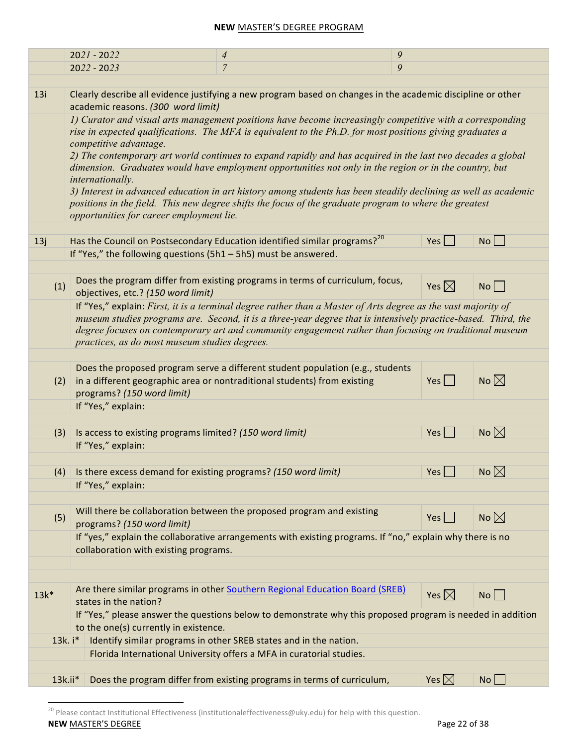|        | $2021 - 2022$                                                   | 9<br>$\overline{4}$                                                                                                                                                                                                   |                 |                |
|--------|-----------------------------------------------------------------|-----------------------------------------------------------------------------------------------------------------------------------------------------------------------------------------------------------------------|-----------------|----------------|
|        | $2022 - 2023$                                                   | 9<br>$\overline{7}$                                                                                                                                                                                                   |                 |                |
|        |                                                                 |                                                                                                                                                                                                                       |                 |                |
| 13i    | academic reasons. (300 word limit)                              | Clearly describe all evidence justifying a new program based on changes in the academic discipline or other                                                                                                           |                 |                |
|        |                                                                 | 1) Curator and visual arts management positions have become increasingly competitive with a corresponding                                                                                                             |                 |                |
|        |                                                                 | rise in expected qualifications. The MFA is equivalent to the Ph.D. for most positions giving graduates a                                                                                                             |                 |                |
|        | competitive advantage.                                          |                                                                                                                                                                                                                       |                 |                |
|        |                                                                 | 2) The contemporary art world continues to expand rapidly and has acquired in the last two decades a global<br>dimension. Graduates would have employment opportunities not only in the region or in the country, but |                 |                |
|        | internationally.                                                |                                                                                                                                                                                                                       |                 |                |
|        |                                                                 | 3) Interest in advanced education in art history among students has been steadily declining as well as academic                                                                                                       |                 |                |
|        |                                                                 | positions in the field. This new degree shifts the focus of the graduate program to where the greatest                                                                                                                |                 |                |
|        | opportunities for career employment lie.                        |                                                                                                                                                                                                                       |                 |                |
|        |                                                                 |                                                                                                                                                                                                                       |                 |                |
| 13j    |                                                                 | Has the Council on Postsecondary Education identified similar programs? <sup>20</sup>                                                                                                                                 | Yes             | No             |
|        | If "Yes," the following questions (5h1 - 5h5) must be answered. |                                                                                                                                                                                                                       |                 |                |
|        |                                                                 |                                                                                                                                                                                                                       |                 |                |
| (1)    | objectives, etc.? (150 word limit)                              | Does the program differ from existing programs in terms of curriculum, focus,                                                                                                                                         | Yes $\boxtimes$ | No             |
|        |                                                                 | If "Yes," explain: First, it is a terminal degree rather than a Master of Arts degree as the vast majority of                                                                                                         |                 |                |
|        |                                                                 | museum studies programs are. Second, it is a three-year degree that is intensively practice-based. Third, the                                                                                                         |                 |                |
|        |                                                                 | degree focuses on contemporary art and community engagement rather than focusing on traditional museum                                                                                                                |                 |                |
|        | practices, as do most museum studies degrees.                   |                                                                                                                                                                                                                       |                 |                |
|        |                                                                 |                                                                                                                                                                                                                       |                 |                |
|        |                                                                 | Does the proposed program serve a different student population (e.g., students                                                                                                                                        |                 |                |
| (2)    |                                                                 | in a different geographic area or nontraditional students) from existing                                                                                                                                              | $Yes \mid \mid$ | No $\boxtimes$ |
|        | programs? (150 word limit)<br>If "Yes," explain:                |                                                                                                                                                                                                                       |                 |                |
|        |                                                                 |                                                                                                                                                                                                                       |                 |                |
| (3)    | Is access to existing programs limited? (150 word limit)        |                                                                                                                                                                                                                       | Yes             | No $\boxtimes$ |
|        | If "Yes," explain:                                              |                                                                                                                                                                                                                       |                 |                |
|        |                                                                 |                                                                                                                                                                                                                       |                 |                |
| (4)    | Is there excess demand for existing programs? (150 word limit)  |                                                                                                                                                                                                                       | Yes             | No $\boxtimes$ |
|        | If "Yes," explain:                                              |                                                                                                                                                                                                                       |                 |                |
|        |                                                                 |                                                                                                                                                                                                                       |                 |                |
| (5)    |                                                                 | Will there be collaboration between the proposed program and existing                                                                                                                                                 | $Yes \mid \mid$ | No $\boxtimes$ |
|        | programs? (150 word limit)                                      |                                                                                                                                                                                                                       |                 |                |
|        |                                                                 | If "yes," explain the collaborative arrangements with existing programs. If "no," explain why there is no                                                                                                             |                 |                |
|        | collaboration with existing programs.                           |                                                                                                                                                                                                                       |                 |                |
|        |                                                                 |                                                                                                                                                                                                                       |                 |                |
|        |                                                                 | Are there similar programs in other Southern Regional Education Board (SREB)                                                                                                                                          |                 |                |
| $13k*$ | states in the nation?                                           |                                                                                                                                                                                                                       | Yes $\boxtimes$ | $No$           |
|        |                                                                 | If "Yes," please answer the questions below to demonstrate why this proposed program is needed in addition                                                                                                            |                 |                |
|        | to the one(s) currently in existence.                           |                                                                                                                                                                                                                       |                 |                |
|        | 13k. i*                                                         | Identify similar programs in other SREB states and in the nation.                                                                                                                                                     |                 |                |
|        |                                                                 | Florida International University offers a MFA in curatorial studies.                                                                                                                                                  |                 |                |
|        |                                                                 |                                                                                                                                                                                                                       |                 |                |
|        | $13k.ii*$                                                       | Does the program differ from existing programs in terms of curriculum,                                                                                                                                                | Yes $\boxtimes$ | No             |

**NEW** MASTER'S DEGREE PAGE PAGE 22 of 38  $\overline{20}$  Please contact Institutional Effectiveness (institutionaleffectiveness@uky.edu) for help with this question.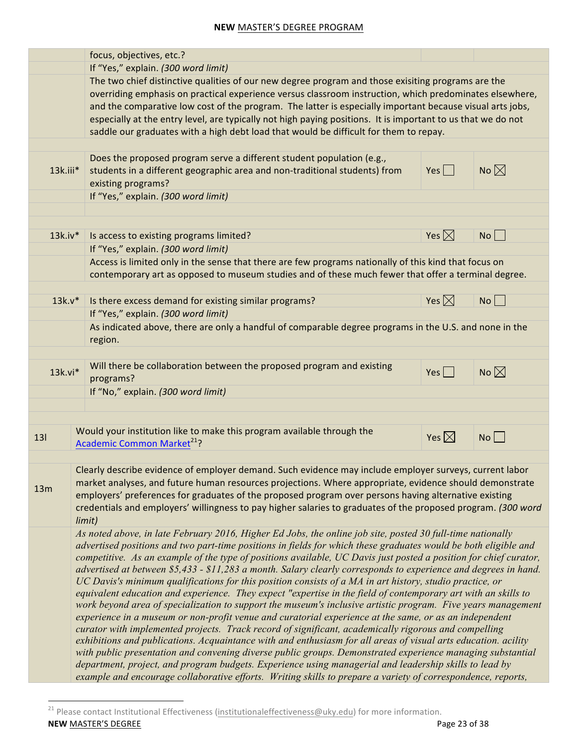|            |        | focus, objectives, etc.?                                                                                                                                                                                                                                                                                                                                                                                                                                                                                                                                                                                                                                                                                                                                                                                                                                                                                                                                                                                                                                                                                                                                                                                                                                                                                                                                                                                                                                                                        |                     |                |
|------------|--------|-------------------------------------------------------------------------------------------------------------------------------------------------------------------------------------------------------------------------------------------------------------------------------------------------------------------------------------------------------------------------------------------------------------------------------------------------------------------------------------------------------------------------------------------------------------------------------------------------------------------------------------------------------------------------------------------------------------------------------------------------------------------------------------------------------------------------------------------------------------------------------------------------------------------------------------------------------------------------------------------------------------------------------------------------------------------------------------------------------------------------------------------------------------------------------------------------------------------------------------------------------------------------------------------------------------------------------------------------------------------------------------------------------------------------------------------------------------------------------------------------|---------------------|----------------|
|            |        | If "Yes," explain. (300 word limit)                                                                                                                                                                                                                                                                                                                                                                                                                                                                                                                                                                                                                                                                                                                                                                                                                                                                                                                                                                                                                                                                                                                                                                                                                                                                                                                                                                                                                                                             |                     |                |
|            |        | The two chief distinctive qualities of our new degree program and those exisiting programs are the<br>overriding emphasis on practical experience versus classroom instruction, which predominates elsewhere,<br>and the comparative low cost of the program. The latter is especially important because visual arts jobs,<br>especially at the entry level, are typically not high paying positions. It is important to us that we do not<br>saddle our graduates with a high debt load that would be difficult for them to repay.                                                                                                                                                                                                                                                                                                                                                                                                                                                                                                                                                                                                                                                                                                                                                                                                                                                                                                                                                             |                     |                |
|            |        |                                                                                                                                                                                                                                                                                                                                                                                                                                                                                                                                                                                                                                                                                                                                                                                                                                                                                                                                                                                                                                                                                                                                                                                                                                                                                                                                                                                                                                                                                                 |                     |                |
| 13k.iii*   |        | Does the proposed program serve a different student population (e.g.,<br>students in a different geographic area and non-traditional students) from<br>existing programs?                                                                                                                                                                                                                                                                                                                                                                                                                                                                                                                                                                                                                                                                                                                                                                                                                                                                                                                                                                                                                                                                                                                                                                                                                                                                                                                       | Yes $\Box$          | No $\boxtimes$ |
|            |        | If "Yes," explain. (300 word limit)                                                                                                                                                                                                                                                                                                                                                                                                                                                                                                                                                                                                                                                                                                                                                                                                                                                                                                                                                                                                                                                                                                                                                                                                                                                                                                                                                                                                                                                             |                     |                |
|            |        |                                                                                                                                                                                                                                                                                                                                                                                                                                                                                                                                                                                                                                                                                                                                                                                                                                                                                                                                                                                                                                                                                                                                                                                                                                                                                                                                                                                                                                                                                                 |                     |                |
|            |        |                                                                                                                                                                                                                                                                                                                                                                                                                                                                                                                                                                                                                                                                                                                                                                                                                                                                                                                                                                                                                                                                                                                                                                                                                                                                                                                                                                                                                                                                                                 |                     |                |
| $13k$ .iv* |        | Is access to existing programs limited?                                                                                                                                                                                                                                                                                                                                                                                                                                                                                                                                                                                                                                                                                                                                                                                                                                                                                                                                                                                                                                                                                                                                                                                                                                                                                                                                                                                                                                                         | Yes $\boxtimes$     | No             |
|            |        | If "Yes," explain. (300 word limit)                                                                                                                                                                                                                                                                                                                                                                                                                                                                                                                                                                                                                                                                                                                                                                                                                                                                                                                                                                                                                                                                                                                                                                                                                                                                                                                                                                                                                                                             |                     |                |
|            |        | Access is limited only in the sense that there are few programs nationally of this kind that focus on<br>contemporary art as opposed to museum studies and of these much fewer that offer a terminal degree.                                                                                                                                                                                                                                                                                                                                                                                                                                                                                                                                                                                                                                                                                                                                                                                                                                                                                                                                                                                                                                                                                                                                                                                                                                                                                    |                     |                |
|            |        |                                                                                                                                                                                                                                                                                                                                                                                                                                                                                                                                                                                                                                                                                                                                                                                                                                                                                                                                                                                                                                                                                                                                                                                                                                                                                                                                                                                                                                                                                                 |                     |                |
| $13k.v*$   |        | Is there excess demand for existing similar programs?                                                                                                                                                                                                                                                                                                                                                                                                                                                                                                                                                                                                                                                                                                                                                                                                                                                                                                                                                                                                                                                                                                                                                                                                                                                                                                                                                                                                                                           | Yes $\boxtimes$     | No             |
|            |        | If "Yes," explain. (300 word limit)                                                                                                                                                                                                                                                                                                                                                                                                                                                                                                                                                                                                                                                                                                                                                                                                                                                                                                                                                                                                                                                                                                                                                                                                                                                                                                                                                                                                                                                             |                     |                |
|            |        | As indicated above, there are only a handful of comparable degree programs in the U.S. and none in the<br>region.                                                                                                                                                                                                                                                                                                                                                                                                                                                                                                                                                                                                                                                                                                                                                                                                                                                                                                                                                                                                                                                                                                                                                                                                                                                                                                                                                                               |                     |                |
|            |        |                                                                                                                                                                                                                                                                                                                                                                                                                                                                                                                                                                                                                                                                                                                                                                                                                                                                                                                                                                                                                                                                                                                                                                                                                                                                                                                                                                                                                                                                                                 |                     |                |
| $13k.vi*$  |        | Will there be collaboration between the proposed program and existing<br>programs?                                                                                                                                                                                                                                                                                                                                                                                                                                                                                                                                                                                                                                                                                                                                                                                                                                                                                                                                                                                                                                                                                                                                                                                                                                                                                                                                                                                                              | Yes $\vert$ $\vert$ | No $\boxtimes$ |
|            |        | If "No," explain. (300 word limit)                                                                                                                                                                                                                                                                                                                                                                                                                                                                                                                                                                                                                                                                                                                                                                                                                                                                                                                                                                                                                                                                                                                                                                                                                                                                                                                                                                                                                                                              |                     |                |
|            |        |                                                                                                                                                                                                                                                                                                                                                                                                                                                                                                                                                                                                                                                                                                                                                                                                                                                                                                                                                                                                                                                                                                                                                                                                                                                                                                                                                                                                                                                                                                 |                     |                |
|            |        |                                                                                                                                                                                                                                                                                                                                                                                                                                                                                                                                                                                                                                                                                                                                                                                                                                                                                                                                                                                                                                                                                                                                                                                                                                                                                                                                                                                                                                                                                                 |                     |                |
| 131        |        | Would your institution like to make this program available through the<br>Academic Common Market <sup>21</sup> ?                                                                                                                                                                                                                                                                                                                                                                                                                                                                                                                                                                                                                                                                                                                                                                                                                                                                                                                                                                                                                                                                                                                                                                                                                                                                                                                                                                                | Yes $\boxtimes$     | $No$           |
|            |        |                                                                                                                                                                                                                                                                                                                                                                                                                                                                                                                                                                                                                                                                                                                                                                                                                                                                                                                                                                                                                                                                                                                                                                                                                                                                                                                                                                                                                                                                                                 |                     |                |
| 13m        | limit) | Clearly describe evidence of employer demand. Such evidence may include employer surveys, current labor<br>market analyses, and future human resources projections. Where appropriate, evidence should demonstrate<br>employers' preferences for graduates of the proposed program over persons having alternative existing<br>credentials and employers' willingness to pay higher salaries to graduates of the proposed program. (300 word                                                                                                                                                                                                                                                                                                                                                                                                                                                                                                                                                                                                                                                                                                                                                                                                                                                                                                                                                                                                                                                    |                     |                |
|            |        | As noted above, in late February 2016, Higher Ed Jobs, the online job site, posted 30 full-time nationally<br>advertised positions and two part-time positions in fields for which these graduates would be both eligible and<br>competitive. As an example of the type of positions available, UC Davis just posted a position for chief curator,<br>advertised at between \$5,433 - \$11,283 a month. Salary clearly corresponds to experience and degrees in hand.<br>UC Davis's minimum qualifications for this position consists of a MA in art history, studio practice, or<br>equivalent education and experience. They expect "expertise in the field of contemporary art with an skills to<br>work beyond area of specialization to support the museum's inclusive artistic program. Five years management<br>experience in a museum or non-profit venue and curatorial experience at the same, or as an independent<br>curator with implemented projects. Track record of significant, academically rigorous and compelling<br>exhibitions and publications. Acquaintance with and enthusiasm for all areas of visual arts education. acility<br>with public presentation and convening diverse public groups. Demonstrated experience managing substantial<br>department, project, and program budgets. Experience using managerial and leadership skills to lead by<br>example and encourage collaborative efforts. Writing skills to prepare a variety of correspondence, reports, |                     |                |

**NEW** MASTER'S DEGREE PAGE PAGE 23 of 38 <sup>21</sup> Please contact Institutional Effectiveness (institutionaleffectiveness@uky.edu) for more information.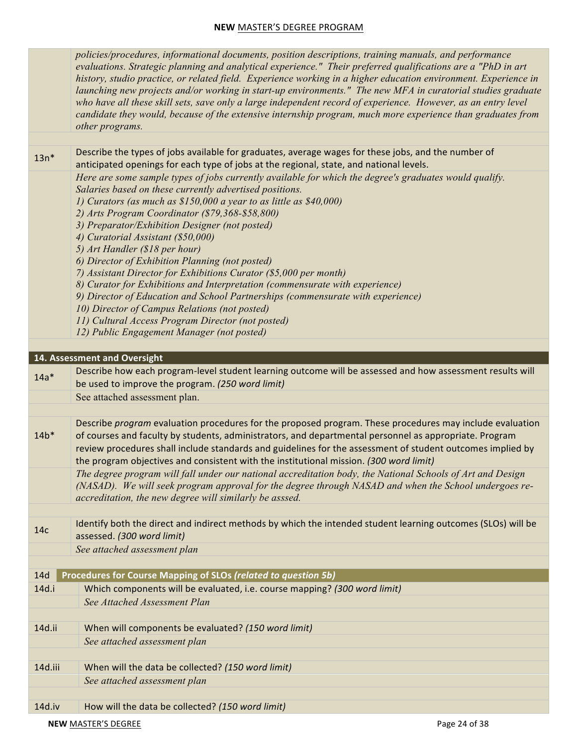*policies/procedures, informational documents, position descriptions, training manuals, and performance evaluations. Strategic planning and analytical experience." Their preferred qualifications are a "PhD in art history, studio practice, or related field. Experience working in a higher education environment. Experience in launching new projects and/or working in start-up environments." The new MFA in curatorial studies graduate*  who have all these skill sets, save only a large independent record of experience. However, as an entry level *candidate they would, because of the extensive internship program, much more experience than graduates from other programs.* 

 $13n*$ Describe the types of jobs available for graduates, average wages for these jobs, and the number of anticipated openings for each type of jobs at the regional, state, and national levels. *Here are some sample types of jobs currently available for which the degree's graduates would qualify. Salaries based on these currently advertised positions. 1) Curators (as much as \$150,000 a year to as little as \$40,000) 2) Arts Program Coordinator (\$79,368-\$58,800) 3) Preparator/Exhibition Designer (not posted) 4) Curatorial Assistant (\$50,000) 5) Art Handler (\$18 per hour) 6) Director of Exhibition Planning (not posted) 7) Assistant Director for Exhibitions Curator (\$5,000 per month) 8) Curator for Exhibitions and Interpretation (commensurate with experience) 9) Director of Education and School Partnerships (commensurate with experience) 10) Director of Campus Relations (not posted) 11) Cultural Access Program Director (not posted) 12) Public Engagement Manager (not posted)* 14. Assessment and Oversight

| $14a*$ | Describe how each program-level student learning outcome will be assessed and how assessment results will<br>be used to improve the program. (250 word limit)                                                                                                                                                                                                                                                              |
|--------|----------------------------------------------------------------------------------------------------------------------------------------------------------------------------------------------------------------------------------------------------------------------------------------------------------------------------------------------------------------------------------------------------------------------------|
|        | See attached assessment plan.                                                                                                                                                                                                                                                                                                                                                                                              |
|        |                                                                                                                                                                                                                                                                                                                                                                                                                            |
| $14b*$ | Describe program evaluation procedures for the proposed program. These procedures may include evaluation<br>of courses and faculty by students, administrators, and departmental personnel as appropriate. Program<br>review procedures shall include standards and guidelines for the assessment of student outcomes implied by<br>the program objectives and consistent with the institutional mission. (300 word limit) |
|        | The degree program will fall under our national accreditation body, the National Schools of Art and Design<br>(NASAD). We will seek program approval for the degree through NASAD and when the School undergoes re-<br>accreditation, the new degree will similarly be asssed.                                                                                                                                             |

14c **Identify** both the direct and indirect methods by which the intended student learning outcomes (SLOs) will be assessed. *(300 word limit)*

*See attached assessment plan*

| 14d     | Procedures for Course Mapping of SLOs (related to question 5b)            |
|---------|---------------------------------------------------------------------------|
| 14d.i   | Which components will be evaluated, i.e. course mapping? (300 word limit) |
|         | See Attached Assessment Plan                                              |
|         |                                                                           |
| 14d.ii  | When will components be evaluated? (150 word limit)                       |
|         | See attached assessment plan                                              |
|         |                                                                           |
| 14d.iii | When will the data be collected? (150 word limit)                         |
|         | See attached assessment plan                                              |
|         |                                                                           |
|         |                                                                           |

14d.iv [C] How will the data be collected? *(150 word limit)*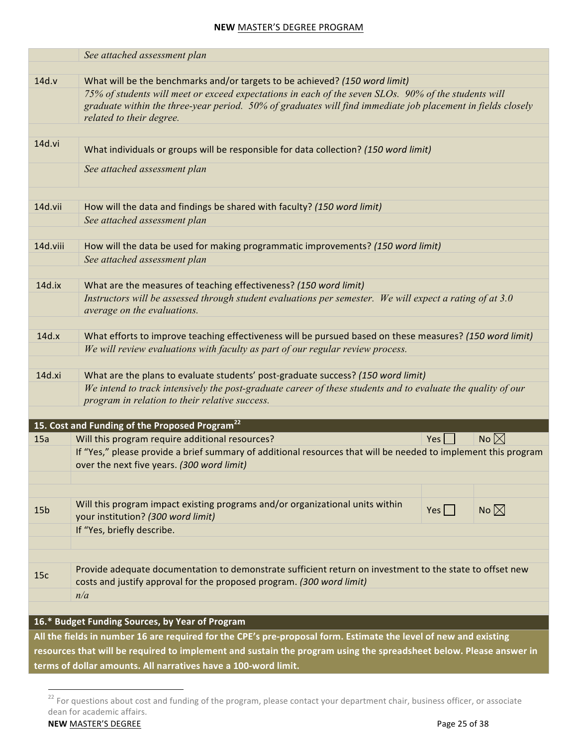|                 | See attached assessment plan                                                                                                                                                                                        |                  |                |
|-----------------|---------------------------------------------------------------------------------------------------------------------------------------------------------------------------------------------------------------------|------------------|----------------|
| 14d.v           | What will be the benchmarks and/or targets to be achieved? (150 word limit)                                                                                                                                         |                  |                |
|                 | 75% of students will meet or exceed expectations in each of the seven SLOs. 90% of the students will<br>graduate within the three-year period. 50% of graduates will find immediate job placement in fields closely |                  |                |
|                 | related to their degree.                                                                                                                                                                                            |                  |                |
| 14d.vi          | What individuals or groups will be responsible for data collection? (150 word limit)                                                                                                                                |                  |                |
|                 | See attached assessment plan                                                                                                                                                                                        |                  |                |
| 14d.vii         | How will the data and findings be shared with faculty? (150 word limit)                                                                                                                                             |                  |                |
|                 | See attached assessment plan                                                                                                                                                                                        |                  |                |
|                 |                                                                                                                                                                                                                     |                  |                |
| 14d.viii        | How will the data be used for making programmatic improvements? (150 word limit)                                                                                                                                    |                  |                |
|                 | See attached assessment plan                                                                                                                                                                                        |                  |                |
|                 |                                                                                                                                                                                                                     |                  |                |
| 14d.ix          | What are the measures of teaching effectiveness? (150 word limit)                                                                                                                                                   |                  |                |
|                 | Instructors will be assessed through student evaluations per semester. We will expect a rating of at 3.0<br>average on the evaluations.                                                                             |                  |                |
| 14d.x           |                                                                                                                                                                                                                     |                  |                |
|                 | What efforts to improve teaching effectiveness will be pursued based on these measures? (150 word limit)<br>We will review evaluations with faculty as part of our regular review process.                          |                  |                |
|                 |                                                                                                                                                                                                                     |                  |                |
| 14d.xi          | What are the plans to evaluate students' post-graduate success? (150 word limit)                                                                                                                                    |                  |                |
|                 | We intend to track intensively the post-graduate career of these students and to evaluate the quality of our<br>program in relation to their relative success.                                                      |                  |                |
|                 |                                                                                                                                                                                                                     |                  |                |
|                 | 15. Cost and Funding of the Proposed Program <sup>22</sup>                                                                                                                                                          |                  |                |
| 15a             | Will this program require additional resources?<br>If "Yes," please provide a brief summary of additional resources that will be needed to implement this program                                                   | Yes              | No $\boxtimes$ |
|                 | over the next five years. (300 word limit)                                                                                                                                                                          |                  |                |
|                 |                                                                                                                                                                                                                     |                  |                |
| 15 <sub>b</sub> | Will this program impact existing programs and/or organizational units within<br>your institution? (300 word limit)                                                                                                 | $Yes \mid \cdot$ | No $\boxtimes$ |
|                 | If "Yes, briefly describe.                                                                                                                                                                                          |                  |                |
|                 |                                                                                                                                                                                                                     |                  |                |
|                 |                                                                                                                                                                                                                     |                  |                |
| 15c             | Provide adequate documentation to demonstrate sufficient return on investment to the state to offset new<br>costs and justify approval for the proposed program. (300 word limit)                                   |                  |                |
|                 | n/a                                                                                                                                                                                                                 |                  |                |
|                 |                                                                                                                                                                                                                     |                  |                |
|                 | 16.* Budget Funding Sources, by Year of Program                                                                                                                                                                     |                  |                |
|                 | All the fields in number 16 are required for the CPE's pre-proposal form. Estimate the level of new and existing                                                                                                    |                  |                |
|                 | resources that will be required to implement and sustain the program using the spreadsheet below. Please answer in                                                                                                  |                  |                |
|                 | terms of dollar amounts. All narratives have a 100-word limit.                                                                                                                                                      |                  |                |

 $^{22}$  For questions about cost and funding of the program, please contact your department chair, business officer, or associate dean for academic affairs.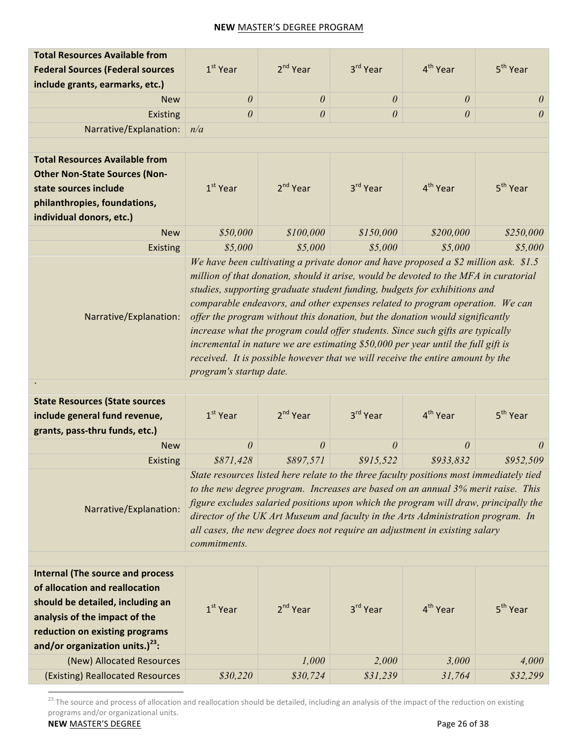| <b>Total Resources Available from</b>                                                                                                                                                                                     |                         |                       |                                                                                                                                                                                                                                                                                                                                                                                                                                                                                                                                                                                                                                                                                    |                      |                      |
|---------------------------------------------------------------------------------------------------------------------------------------------------------------------------------------------------------------------------|-------------------------|-----------------------|------------------------------------------------------------------------------------------------------------------------------------------------------------------------------------------------------------------------------------------------------------------------------------------------------------------------------------------------------------------------------------------------------------------------------------------------------------------------------------------------------------------------------------------------------------------------------------------------------------------------------------------------------------------------------------|----------------------|----------------------|
| <b>Federal Sources (Federal sources</b>                                                                                                                                                                                   | $1st$ Year              | 2 <sup>nd</sup> Year  | 3rd Year                                                                                                                                                                                                                                                                                                                                                                                                                                                                                                                                                                                                                                                                           | 4 <sup>th</sup> Year | 5 <sup>th</sup> Year |
| include grants, earmarks, etc.)                                                                                                                                                                                           |                         |                       |                                                                                                                                                                                                                                                                                                                                                                                                                                                                                                                                                                                                                                                                                    |                      |                      |
| <b>New</b>                                                                                                                                                                                                                | $\theta$                | $\theta$              | $\theta$                                                                                                                                                                                                                                                                                                                                                                                                                                                                                                                                                                                                                                                                           | $\theta$             | $\theta$             |
| <b>Existing</b>                                                                                                                                                                                                           | $\theta$                | $\boldsymbol{\theta}$ | $\theta$                                                                                                                                                                                                                                                                                                                                                                                                                                                                                                                                                                                                                                                                           | $\theta$             | $\theta$             |
| Narrative/Explanation:                                                                                                                                                                                                    | n/a                     |                       |                                                                                                                                                                                                                                                                                                                                                                                                                                                                                                                                                                                                                                                                                    |                      |                      |
|                                                                                                                                                                                                                           |                         |                       |                                                                                                                                                                                                                                                                                                                                                                                                                                                                                                                                                                                                                                                                                    |                      |                      |
| <b>Total Resources Available from</b><br><b>Other Non-State Sources (Non-</b><br>state sources include<br>philanthropies, foundations,<br>individual donors, etc.)                                                        | $1st$ Year              | 2 <sup>nd</sup> Year  | 3rd Year                                                                                                                                                                                                                                                                                                                                                                                                                                                                                                                                                                                                                                                                           | 4 <sup>th</sup> Year | 5 <sup>th</sup> Year |
| <b>New</b>                                                                                                                                                                                                                | \$50,000                | \$100,000             | \$150,000                                                                                                                                                                                                                                                                                                                                                                                                                                                                                                                                                                                                                                                                          | \$200,000            | \$250,000            |
| Existing                                                                                                                                                                                                                  | \$5,000                 | \$5,000               | \$5,000                                                                                                                                                                                                                                                                                                                                                                                                                                                                                                                                                                                                                                                                            | \$5,000              | \$5,000              |
| Narrative/Explanation:                                                                                                                                                                                                    | program's startup date. |                       | We have been cultivating a private donor and have proposed a \$2 million ask. \$1.5<br>million of that donation, should it arise, would be devoted to the MFA in curatorial<br>studies, supporting graduate student funding, budgets for exhibitions and<br>comparable endeavors, and other expenses related to program operation. We can<br>offer the program without this donation, but the donation would significantly<br>increase what the program could offer students. Since such gifts are typically<br>incremental in nature we are estimating \$50,000 per year until the full gift is<br>received. It is possible however that we will receive the entire amount by the |                      |                      |
| <b>State Resources (State sources</b>                                                                                                                                                                                     |                         |                       |                                                                                                                                                                                                                                                                                                                                                                                                                                                                                                                                                                                                                                                                                    |                      |                      |
|                                                                                                                                                                                                                           |                         |                       |                                                                                                                                                                                                                                                                                                                                                                                                                                                                                                                                                                                                                                                                                    |                      |                      |
| include general fund revenue,<br>grants, pass-thru funds, etc.)                                                                                                                                                           | $1st$ Year              | 2 <sup>nd</sup> Year  | 3rd Year                                                                                                                                                                                                                                                                                                                                                                                                                                                                                                                                                                                                                                                                           | 4 <sup>th</sup> Year | 5 <sup>th</sup> Year |
| <b>New</b>                                                                                                                                                                                                                | 0                       | $\theta$              | $\theta$                                                                                                                                                                                                                                                                                                                                                                                                                                                                                                                                                                                                                                                                           | $\theta$             | 0                    |
| Existing                                                                                                                                                                                                                  | \$871,428               | \$897,571             | \$915,522                                                                                                                                                                                                                                                                                                                                                                                                                                                                                                                                                                                                                                                                          | \$933,832            | \$952,509            |
| Narrative/Explanation:                                                                                                                                                                                                    | commitments.            |                       | State resources listed here relate to the three faculty positions most immediately tied<br>to the new degree program. Increases are based on an annual 3% merit raise. This<br>figure excludes salaried positions upon which the program will draw, principally the<br>director of the UK Art Museum and faculty in the Arts Administration program. In<br>all cases, the new degree does not require an adjustment in existing salary                                                                                                                                                                                                                                             |                      |                      |
|                                                                                                                                                                                                                           |                         |                       |                                                                                                                                                                                                                                                                                                                                                                                                                                                                                                                                                                                                                                                                                    |                      |                      |
| <b>Internal (The source and process</b><br>of allocation and reallocation<br>should be detailed, including an<br>analysis of the impact of the<br>reduction on existing programs<br>and/or organization units.) $^{23}$ : | $1st$ Year              | 2 <sup>nd</sup> Year  | 3rd Year                                                                                                                                                                                                                                                                                                                                                                                                                                                                                                                                                                                                                                                                           | 4 <sup>th</sup> Year | 5 <sup>th</sup> Year |
| (New) Allocated Resources                                                                                                                                                                                                 |                         | 1,000                 | 2,000                                                                                                                                                                                                                                                                                                                                                                                                                                                                                                                                                                                                                                                                              | 3,000                | 4,000                |

 $\frac{23}{100}$  The source and process of allocation and reallocation should be detailed, including an analysis of the impact of the reduction on existing programs and/or organizational units.

**NEW** MASTER'S DEGREE Page 26 of 38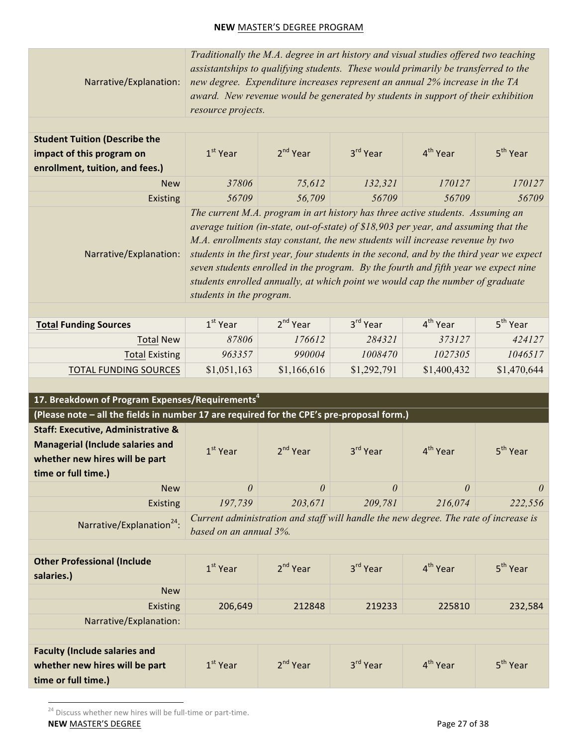Narrative/Explanation: *Traditionally the M.A. degree in art history and visual studies offered two teaching assistantships to qualifying students. These would primarily be transferred to the new degree. Expenditure increases represent an annual 2% increase in the TA award. New revenue would be generated by students in support of their exhibition resource projects.*

| <b>Student Tuition (Describe the</b> |            |            |                      |                                                                                |                      |
|--------------------------------------|------------|------------|----------------------|--------------------------------------------------------------------------------|----------------------|
| impact of this program on            | $1st$ Year | $2nd$ Year | 3 <sup>rd</sup> Year | 4 <sup>th</sup> Year                                                           | 5 <sup>th</sup> Year |
| enrollment, tuition, and fees.)      |            |            |                      |                                                                                |                      |
| <b>New</b>                           | 37806      | 75,612     | 132,321              | 170127                                                                         | 170127               |
| <b>Existing</b>                      | 56709      | 56,709     | 56709                | 56709                                                                          | 56709                |
|                                      |            |            |                      | $The argument M_A$ program in gut bistom has three active students Assuming an |                      |

Narrative/Explanation: *The current M.A. program in art history has three active students. Assuming an average tuition (in-state, out-of-state) of \$18,903 per year, and assuming that the M.A. enrollments stay constant, the new students will increase revenue by two students in the first year, four students in the second, and by the third year we expect seven students enrolled in the program. By the fourth and fifth year we expect nine students enrolled annually, at which point we would cap the number of graduate students in the program.*

| <b>Total Funding Sources</b> | $1st$ Year  | $2nd$ Year  | 3 <sup>rd</sup> Year | 4 <sup>th</sup> Year | 5 <sup>th</sup> Year |
|------------------------------|-------------|-------------|----------------------|----------------------|----------------------|
| <b>Total New</b>             | 87806       | 176612      | 284321               | 373127               | 424127               |
| <b>Total Existing</b>        | 963357      | 990004      | 1008470              | 1027305              | 1046517              |
| <b>TOTAL FUNDING SOURCES</b> | \$1,051,163 | \$1,166,616 | \$1,292,791          | \$1,400,432          | \$1,470,644          |

| 17. Breakdown of Program Expenses/Requirements <sup>4</sup>                               |                                                                                                                |            |          |                      |                      |
|-------------------------------------------------------------------------------------------|----------------------------------------------------------------------------------------------------------------|------------|----------|----------------------|----------------------|
| (Please note - all the fields in number 17 are required for the CPE's pre-proposal form.) |                                                                                                                |            |          |                      |                      |
| <b>Staff: Executive, Administrative &amp;</b>                                             |                                                                                                                |            |          |                      |                      |
| <b>Managerial (Include salaries and</b>                                                   | $1st$ Year                                                                                                     | $2nd$ Year | 3rd Year | 4 <sup>th</sup> Year | 5 <sup>th</sup> Year |
| whether new hires will be part                                                            |                                                                                                                |            |          |                      |                      |
| time or full time.)                                                                       |                                                                                                                |            |          |                      |                      |
| <b>New</b>                                                                                | $\theta$                                                                                                       | $\theta$   | $\theta$ | $\theta$             | 0                    |
| <b>Existing</b>                                                                           | 197,739                                                                                                        | 203,671    | 209,781  | 216,074              | 222,556              |
| Narrative/Explanation <sup>24</sup> :                                                     | Current administration and staff will handle the new degree. The rate of increase is<br>based on an annual 3%. |            |          |                      |                      |
|                                                                                           |                                                                                                                |            |          |                      |                      |
| <b>Other Professional (Include</b><br>salaries.)                                          | $1st$ Year                                                                                                     | $2nd$ Year | 3rd Year | 4 <sup>th</sup> Year | 5 <sup>th</sup> Year |
| <b>New</b>                                                                                |                                                                                                                |            |          |                      |                      |
| <b>Existing</b>                                                                           | 206,649                                                                                                        | 212848     | 219233   | 225810               | 232,584              |
| Narrative/Explanation:                                                                    |                                                                                                                |            |          |                      |                      |
|                                                                                           |                                                                                                                |            |          |                      |                      |
| <b>Faculty (Include salaries and</b>                                                      |                                                                                                                |            |          |                      |                      |
| whether new hires will be part                                                            | $1st$ Year                                                                                                     | $2nd$ Year | 3rd Year | 4 <sup>th</sup> Year | 5 <sup>th</sup> Year |
| time or full time.)                                                                       |                                                                                                                |            |          |                      |                      |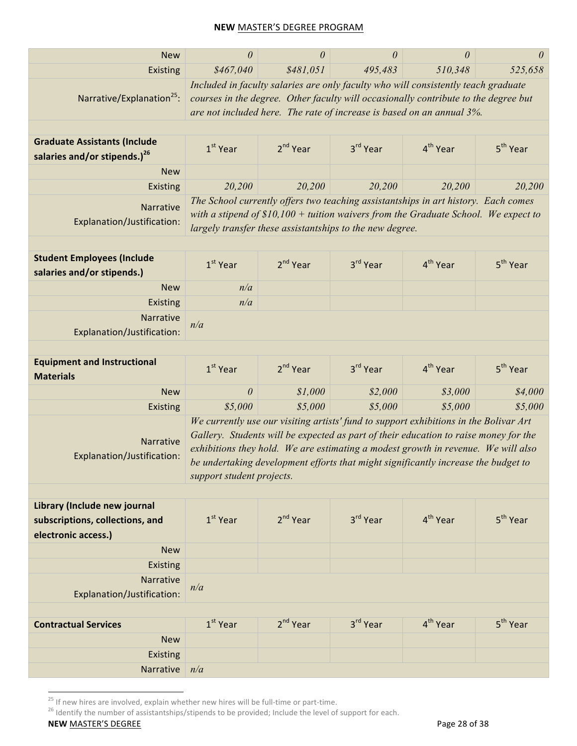| <b>New</b>                                                                             | 0                                                                                                                                                                                                                                                  | $\theta$             | 0                                                                                                                                                                                                                                                                                                                                                        | $\theta$             | 0                    |  |
|----------------------------------------------------------------------------------------|----------------------------------------------------------------------------------------------------------------------------------------------------------------------------------------------------------------------------------------------------|----------------------|----------------------------------------------------------------------------------------------------------------------------------------------------------------------------------------------------------------------------------------------------------------------------------------------------------------------------------------------------------|----------------------|----------------------|--|
| Existing                                                                               | \$467,040                                                                                                                                                                                                                                          | \$481,051            | 495,483                                                                                                                                                                                                                                                                                                                                                  | 510,348              | 525,658              |  |
| Narrative/Explanation <sup>25</sup> :                                                  | Included in faculty salaries are only faculty who will consistently teach graduate<br>courses in the degree. Other faculty will occasionally contribute to the degree but<br>are not included here. The rate of increase is based on an annual 3%. |                      |                                                                                                                                                                                                                                                                                                                                                          |                      |                      |  |
| <b>Graduate Assistants (Include</b><br>salaries and/or stipends.) <sup>26</sup>        | $1st$ Year                                                                                                                                                                                                                                         | $2nd$ Year           | 3rd Year                                                                                                                                                                                                                                                                                                                                                 | 4 <sup>th</sup> Year | 5 <sup>th</sup> Year |  |
| <b>New</b>                                                                             |                                                                                                                                                                                                                                                    |                      |                                                                                                                                                                                                                                                                                                                                                          |                      |                      |  |
| Existing                                                                               | 20,200                                                                                                                                                                                                                                             | 20,200               | 20,200                                                                                                                                                                                                                                                                                                                                                   | 20,200               | 20,200               |  |
| Narrative<br>Explanation/Justification:                                                | The School currently offers two teaching assistantships in art history. Each comes<br>with a stipend of $$10,100 +$ tuition waivers from the Graduate School. We expect to<br>largely transfer these assistantships to the new degree.             |                      |                                                                                                                                                                                                                                                                                                                                                          |                      |                      |  |
| <b>Student Employees (Include</b><br>salaries and/or stipends.)                        | $1st$ Year                                                                                                                                                                                                                                         | $2nd$ Year           | 3rd Year                                                                                                                                                                                                                                                                                                                                                 | 4 <sup>th</sup> Year | 5 <sup>th</sup> Year |  |
| <b>New</b>                                                                             | n/a                                                                                                                                                                                                                                                |                      |                                                                                                                                                                                                                                                                                                                                                          |                      |                      |  |
| Existing                                                                               | n/a                                                                                                                                                                                                                                                |                      |                                                                                                                                                                                                                                                                                                                                                          |                      |                      |  |
| <b>Narrative</b><br>Explanation/Justification:                                         | n/a                                                                                                                                                                                                                                                |                      |                                                                                                                                                                                                                                                                                                                                                          |                      |                      |  |
|                                                                                        |                                                                                                                                                                                                                                                    |                      |                                                                                                                                                                                                                                                                                                                                                          |                      |                      |  |
| <b>Equipment and Instructional</b><br><b>Materials</b>                                 | $1st$ Year                                                                                                                                                                                                                                         | 2 <sup>nd</sup> Year | 3rd Year                                                                                                                                                                                                                                                                                                                                                 | 4 <sup>th</sup> Year | 5 <sup>th</sup> Year |  |
| <b>New</b>                                                                             | $\theta$                                                                                                                                                                                                                                           | \$1,000              | \$2,000                                                                                                                                                                                                                                                                                                                                                  | \$3,000              | \$4,000              |  |
| Existing                                                                               | \$5,000                                                                                                                                                                                                                                            | \$5,000              | \$5,000                                                                                                                                                                                                                                                                                                                                                  | \$5,000              | \$5,000              |  |
| Narrative<br>Explanation/Justification:                                                | support student projects.                                                                                                                                                                                                                          |                      | We currently use our visiting artists' fund to support exhibitions in the Bolivar Art<br>Gallery. Students will be expected as part of their education to raise money for the<br>exhibitions they hold. We are estimating a modest growth in revenue. We will also<br>be undertaking development efforts that might significantly increase the budget to |                      |                      |  |
| Library (Include new journal<br>subscriptions, collections, and<br>electronic access.) | $1st$ Year                                                                                                                                                                                                                                         | $2nd$ Year           | 3rd Year                                                                                                                                                                                                                                                                                                                                                 | 4 <sup>th</sup> Year | 5 <sup>th</sup> Year |  |
| <b>New</b>                                                                             |                                                                                                                                                                                                                                                    |                      |                                                                                                                                                                                                                                                                                                                                                          |                      |                      |  |
| <b>Existing</b>                                                                        |                                                                                                                                                                                                                                                    |                      |                                                                                                                                                                                                                                                                                                                                                          |                      |                      |  |
| Narrative<br>Explanation/Justification:                                                | n/a                                                                                                                                                                                                                                                |                      |                                                                                                                                                                                                                                                                                                                                                          |                      |                      |  |
|                                                                                        |                                                                                                                                                                                                                                                    |                      |                                                                                                                                                                                                                                                                                                                                                          |                      |                      |  |
| <b>Contractual Services</b>                                                            | $1st$ Year                                                                                                                                                                                                                                         | 2 <sup>nd</sup> Year | 3 <sup>rd</sup> Year                                                                                                                                                                                                                                                                                                                                     | 4 <sup>th</sup> Year | 5 <sup>th</sup> Year |  |
| <b>New</b>                                                                             |                                                                                                                                                                                                                                                    |                      |                                                                                                                                                                                                                                                                                                                                                          |                      |                      |  |
| <b>Existing</b>                                                                        |                                                                                                                                                                                                                                                    |                      |                                                                                                                                                                                                                                                                                                                                                          |                      |                      |  |
| Narrative                                                                              | n/a                                                                                                                                                                                                                                                |                      |                                                                                                                                                                                                                                                                                                                                                          |                      |                      |  |

<sup>25</sup> If new hires are involved, explain whether new hires will be full-time or part-time.<br><sup>26</sup> Identify the number of assistantships/stipends to be provided; Include the level of support for each.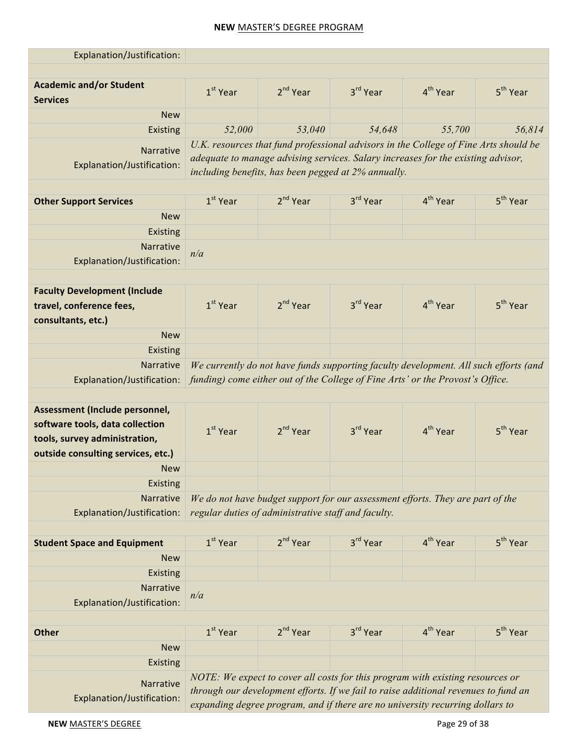| Explanation/Justification:                        |                      |                                                                                                                                                                      |                      |                      |                      |  |  |  |
|---------------------------------------------------|----------------------|----------------------------------------------------------------------------------------------------------------------------------------------------------------------|----------------------|----------------------|----------------------|--|--|--|
|                                                   |                      |                                                                                                                                                                      |                      |                      |                      |  |  |  |
| <b>Academic and/or Student</b><br><b>Services</b> | $1st$ Year           | $2nd$ Year                                                                                                                                                           | 3rd Year             | 4 <sup>th</sup> Year | 5 <sup>th</sup> Year |  |  |  |
| <b>New</b>                                        |                      |                                                                                                                                                                      |                      |                      |                      |  |  |  |
| Existing                                          | 52,000               | 53,040                                                                                                                                                               | 54,648               | 55,700               | 56,814               |  |  |  |
| <b>Narrative</b>                                  |                      | U.K. resources that fund professional advisors in the College of Fine Arts should be                                                                                 |                      |                      |                      |  |  |  |
| Explanation/Justification:                        |                      | adequate to manage advising services. Salary increases for the existing advisor,<br>including benefits, has been pegged at 2% annually.                              |                      |                      |                      |  |  |  |
|                                                   |                      |                                                                                                                                                                      |                      |                      |                      |  |  |  |
| <b>Other Support Services</b>                     | $1st$ Year           | $2nd$ Year                                                                                                                                                           | 3 <sup>rd</sup> Year | 4 <sup>th</sup> Year | 5 <sup>th</sup> Year |  |  |  |
| <b>New</b>                                        |                      |                                                                                                                                                                      |                      |                      |                      |  |  |  |
| Existing                                          |                      |                                                                                                                                                                      |                      |                      |                      |  |  |  |
| Narrative                                         | n/a                  |                                                                                                                                                                      |                      |                      |                      |  |  |  |
| Explanation/Justification:                        |                      |                                                                                                                                                                      |                      |                      |                      |  |  |  |
|                                                   |                      |                                                                                                                                                                      |                      |                      |                      |  |  |  |
| <b>Faculty Development (Include</b>               |                      |                                                                                                                                                                      |                      |                      |                      |  |  |  |
| travel, conference fees,                          | $1st$ Year           | $2nd$ Year                                                                                                                                                           | 3rd Year             | 4 <sup>th</sup> Year | 5 <sup>th</sup> Year |  |  |  |
| consultants, etc.)                                |                      |                                                                                                                                                                      |                      |                      |                      |  |  |  |
| <b>New</b>                                        |                      |                                                                                                                                                                      |                      |                      |                      |  |  |  |
| Existing                                          |                      |                                                                                                                                                                      |                      |                      |                      |  |  |  |
| Narrative                                         |                      | We currently do not have funds supporting faculty development. All such efforts (and                                                                                 |                      |                      |                      |  |  |  |
| Explanation/Justification:                        |                      | funding) come either out of the College of Fine Arts' or the Provost's Office.                                                                                       |                      |                      |                      |  |  |  |
|                                                   |                      |                                                                                                                                                                      |                      |                      |                      |  |  |  |
| Assessment (Include personnel,                    |                      |                                                                                                                                                                      |                      |                      |                      |  |  |  |
| software tools, data collection                   | 1 <sup>st</sup> Year | $2nd$ Year                                                                                                                                                           | 3rd Year             | 4 <sup>th</sup> Year | 5 <sup>th</sup> Year |  |  |  |
| tools, survey administration,                     |                      |                                                                                                                                                                      |                      |                      |                      |  |  |  |
| outside consulting services, etc.)                |                      |                                                                                                                                                                      |                      |                      |                      |  |  |  |
| New                                               |                      |                                                                                                                                                                      |                      |                      |                      |  |  |  |
| Existing                                          |                      |                                                                                                                                                                      |                      |                      |                      |  |  |  |
| Narrative                                         |                      | We do not have budget support for our assessment efforts. They are part of the                                                                                       |                      |                      |                      |  |  |  |
| Explanation/Justification:                        |                      | regular duties of administrative staff and faculty.                                                                                                                  |                      |                      |                      |  |  |  |
|                                                   |                      |                                                                                                                                                                      |                      |                      |                      |  |  |  |
| <b>Student Space and Equipment</b>                | $1st$ Year           | $2nd$ Year                                                                                                                                                           | 3rd Year             | 4 <sup>th</sup> Year | 5 <sup>th</sup> Year |  |  |  |
| <b>New</b>                                        |                      |                                                                                                                                                                      |                      |                      |                      |  |  |  |
| Existing                                          |                      |                                                                                                                                                                      |                      |                      |                      |  |  |  |
| Narrative                                         | n/a                  |                                                                                                                                                                      |                      |                      |                      |  |  |  |
| Explanation/Justification:                        |                      |                                                                                                                                                                      |                      |                      |                      |  |  |  |
|                                                   |                      |                                                                                                                                                                      |                      |                      |                      |  |  |  |
| <b>Other</b>                                      | $1st$ Year           | 2 <sup>nd</sup> Year                                                                                                                                                 | 3rd Year             | 4 <sup>th</sup> Year | 5 <sup>th</sup> Year |  |  |  |
| <b>New</b>                                        |                      |                                                                                                                                                                      |                      |                      |                      |  |  |  |
| Existing                                          |                      |                                                                                                                                                                      |                      |                      |                      |  |  |  |
| Narrative                                         |                      | NOTE: We expect to cover all costs for this program with existing resources or                                                                                       |                      |                      |                      |  |  |  |
| Explanation/Justification:                        |                      | through our development efforts. If we fail to raise additional revenues to fund an<br>expanding degree program, and if there are no university recurring dollars to |                      |                      |                      |  |  |  |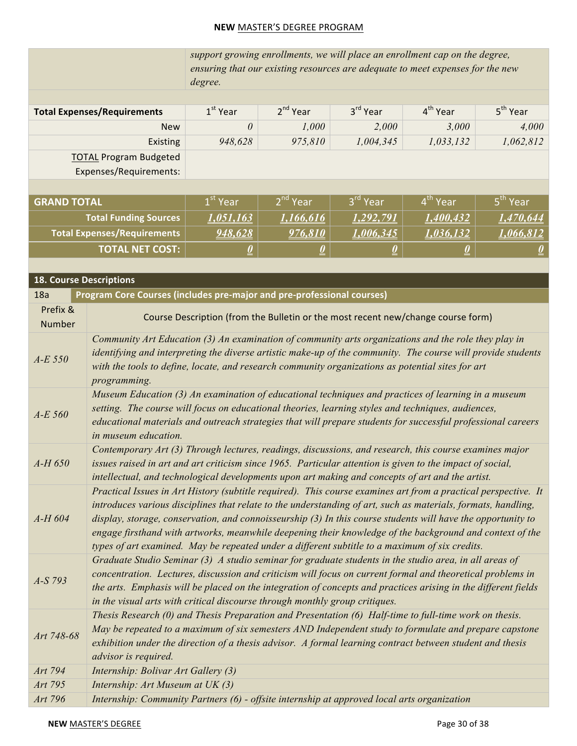|                                                         | support growing enrollments, we will place an enrollment cap on the degree,<br>ensuring that our existing resources are adequate to meet expenses for the new<br>degree. |            |                      |            |                      |  |
|---------------------------------------------------------|--------------------------------------------------------------------------------------------------------------------------------------------------------------------------|------------|----------------------|------------|----------------------|--|
| <b>Total Expenses/Requirements</b>                      | $1st$ Year                                                                                                                                                               | $2nd$ Year | 3 <sup>rd</sup> Year | $4th$ Year | 5 <sup>th</sup> Year |  |
| <b>New</b>                                              | $\theta$                                                                                                                                                                 | 1,000      | 2,000                | 3,000      | 4,000                |  |
| Existing                                                | 948,628                                                                                                                                                                  | 975,810    | 1,004,345            | 1,033,132  | 1,062,812            |  |
| <b>TOTAL Program Budgeted</b><br>Expenses/Requirements: |                                                                                                                                                                          |            |                      |            |                      |  |

| <b>GRAND TOTAL</b>           | $1^\mathrm{st}$ Year/ | 2 <sup>nd</sup> Year | 3 <sup>rd</sup> Year | 4 <sup>th</sup> Year | 5 <sup>th</sup> Year |
|------------------------------|-----------------------|----------------------|----------------------|----------------------|----------------------|
| <b>Total Funding Sources</b> | 1.051.163             | 1.166.616            | 1.292.791            | 1.400.432            |                      |
| Total Expenses/Requirements  | 948,628               | 976.810              | 1.006.345            | 1,036,132            | -066 812             |
| LTOTAL NET COST:             | ≚                     |                      |                      |                      |                      |

| <b>18. Course Descriptions</b> |                                                                                                                                                                                                                                                                                                                                                                                                                                                                                                                                                               |
|--------------------------------|---------------------------------------------------------------------------------------------------------------------------------------------------------------------------------------------------------------------------------------------------------------------------------------------------------------------------------------------------------------------------------------------------------------------------------------------------------------------------------------------------------------------------------------------------------------|
| 18a                            | <b>Program Core Courses (includes pre-major and pre-professional courses)</b>                                                                                                                                                                                                                                                                                                                                                                                                                                                                                 |
| Prefix &<br><b>Number</b>      | Course Description (from the Bulletin or the most recent new/change course form)                                                                                                                                                                                                                                                                                                                                                                                                                                                                              |
| $A-E$ 550                      | Community Art Education (3) An examination of community arts organizations and the role they play in<br>identifying and interpreting the diverse artistic make-up of the community. The course will provide students<br>with the tools to define, locate, and research community organizations as potential sites for art<br>programming.                                                                                                                                                                                                                     |
| $A-E$ 560                      | Museum Education (3) An examination of educational techniques and practices of learning in a museum<br>setting. The course will focus on educational theories, learning styles and techniques, audiences,<br>educational materials and outreach strategies that will prepare students for successful professional careers<br>in museum education.                                                                                                                                                                                                             |
| $A-H$ 650                      | Contemporary Art (3) Through lectures, readings, discussions, and research, this course examines major<br>issues raised in art and art criticism since 1965. Particular attention is given to the impact of social,<br>intellectual, and technological developments upon art making and concepts of art and the artist.                                                                                                                                                                                                                                       |
| $A-H$ 604                      | Practical Issues in Art History (subtitle required). This course examines art from a practical perspective. It<br>introduces various disciplines that relate to the understanding of art, such as materials, formats, handling,<br>display, storage, conservation, and connoisseurship (3) In this course students will have the opportunity to<br>engage firsthand with artworks, meanwhile deepening their knowledge of the background and context of the<br>types of art examined. May be repeated under a different subtitle to a maximum of six credits. |
| $A-S793$                       | Graduate Studio Seminar (3) A studio seminar for graduate students in the studio area, in all areas of<br>concentration. Lectures, discussion and criticism will focus on current formal and theoretical problems in<br>the arts. Emphasis will be placed on the integration of concepts and practices arising in the different fields<br>in the visual arts with critical discourse through monthly group critiques.                                                                                                                                         |
| Art 748-68                     | Thesis Research (0) and Thesis Preparation and Presentation (6) Half-time to full-time work on thesis.<br>May be repeated to a maximum of six semesters AND Independent study to formulate and prepare capstone<br>exhibition under the direction of a thesis advisor. A formal learning contract between student and thesis<br>advisor is required.                                                                                                                                                                                                          |
| Art 794                        | Internship: Bolivar Art Gallery (3)                                                                                                                                                                                                                                                                                                                                                                                                                                                                                                                           |
| Art 795                        | Internship: Art Museum at UK (3)                                                                                                                                                                                                                                                                                                                                                                                                                                                                                                                              |
| Art 796                        | Internship: Community Partners (6) - offsite internship at approved local arts organization                                                                                                                                                                                                                                                                                                                                                                                                                                                                   |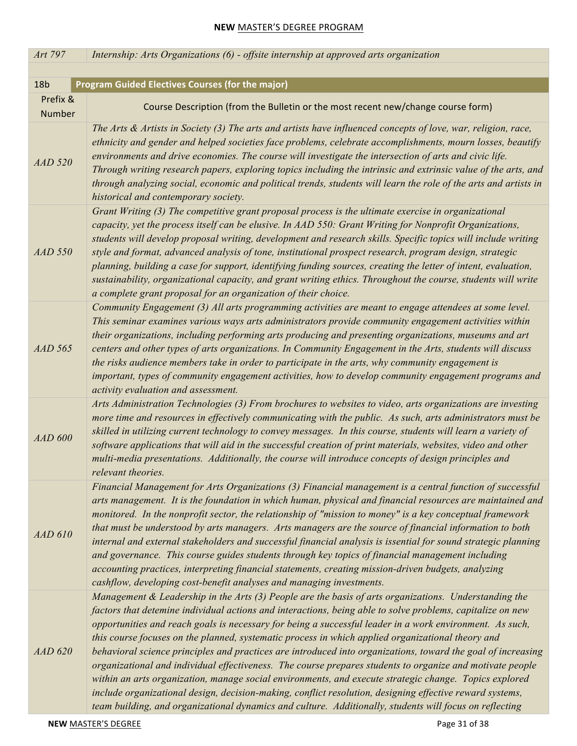| Art 797            | Internship: Arts Organizations (6) - offsite internship at approved arts organization                                                                                                                                                                                                                                                                                                                                                                                                                                                                                                                                                                                                                                                                                                                                                                                                                                                                                                              |
|--------------------|----------------------------------------------------------------------------------------------------------------------------------------------------------------------------------------------------------------------------------------------------------------------------------------------------------------------------------------------------------------------------------------------------------------------------------------------------------------------------------------------------------------------------------------------------------------------------------------------------------------------------------------------------------------------------------------------------------------------------------------------------------------------------------------------------------------------------------------------------------------------------------------------------------------------------------------------------------------------------------------------------|
|                    |                                                                                                                                                                                                                                                                                                                                                                                                                                                                                                                                                                                                                                                                                                                                                                                                                                                                                                                                                                                                    |
| 18 <sub>b</sub>    | <b>Program Guided Electives Courses (for the major)</b>                                                                                                                                                                                                                                                                                                                                                                                                                                                                                                                                                                                                                                                                                                                                                                                                                                                                                                                                            |
| Prefix &<br>Number | Course Description (from the Bulletin or the most recent new/change course form)                                                                                                                                                                                                                                                                                                                                                                                                                                                                                                                                                                                                                                                                                                                                                                                                                                                                                                                   |
| $AAD$ 520          | The Arts $\&$ Artists in Society (3) The arts and artists have influenced concepts of love, war, religion, race,<br>ethnicity and gender and helped societies face problems, celebrate accomplishments, mourn losses, beautify<br>environments and drive economies. The course will investigate the intersection of arts and civic life.<br>Through writing research papers, exploring topics including the intrinsic and extrinsic value of the arts, and<br>through analyzing social, economic and political trends, students will learn the role of the arts and artists in<br>historical and contemporary society.                                                                                                                                                                                                                                                                                                                                                                             |
| <b>AAD 550</b>     | Grant Writing (3) The competitive grant proposal process is the ultimate exercise in organizational<br>capacity, yet the process itself can be elusive. In AAD 550: Grant Writing for Nonprofit Organizations,<br>students will develop proposal writing, development and research skills. Specific topics will include writing<br>style and format, advanced analysis of tone, institutional prospect research, program design, strategic<br>planning, building a case for support, identifying funding sources, creating the letter of intent, evaluation,<br>sustainability, organizational capacity, and grant writing ethics. Throughout the course, students will write<br>a complete grant proposal for an organization of their choice.                                                                                                                                                                                                                                                    |
| <b>AAD 565</b>     | Community Engagement (3) All arts programming activities are meant to engage attendees at some level.<br>This seminar examines various ways arts administrators provide community engagement activities within<br>their organizations, including performing arts producing and presenting organizations, museums and art<br>centers and other types of arts organizations. In Community Engagement in the Arts, students will discuss<br>the risks audience members take in order to participate in the arts, why community engagement is<br>important, types of community engagement activities, how to develop community engagement programs and<br>activity evaluation and assessment.                                                                                                                                                                                                                                                                                                          |
| <b>AAD 600</b>     | Arts Administration Technologies (3) From brochures to websites to video, arts organizations are investing<br>more time and resources in effectively communicating with the public. As such, arts administrators must be<br>skilled in utilizing current technology to convey messages. In this course, students will learn a variety of<br>software applications that will aid in the successful creation of print materials, websites, video and other<br>multi-media presentations. Additionally, the course will introduce concepts of design principles and<br>relevant theories.                                                                                                                                                                                                                                                                                                                                                                                                             |
| AAD610             | Financial Management for Arts Organizations (3) Financial management is a central function of successful<br>arts management. It is the foundation in which human, physical and financial resources are maintained and<br>monitored. In the nonprofit sector, the relationship of "mission to money" is a key conceptual framework<br>that must be understood by arts managers. Arts managers are the source of financial information to both<br>internal and external stakeholders and successful financial analysis is issential for sound strategic planning<br>and governance. This course guides students through key topics of financial management including<br>accounting practices, interpreting financial statements, creating mission-driven budgets, analyzing<br>cashflow, developing cost-benefit analyses and managing investments.                                                                                                                                                  |
| <b>AAD 620</b>     | Management & Leadership in the Arts (3) People are the basis of arts organizations. Understanding the<br>factors that detemine individual actions and interactions, being able to solve problems, capitalize on new<br>opportunities and reach goals is necessary for being a successful leader in a work environment. As such,<br>this course focuses on the planned, systematic process in which applied organizational theory and<br>behavioral science principles and practices are introduced into organizations, toward the goal of increasing<br>organizational and individual effectiveness. The course prepares students to organize and motivate people<br>within an arts organization, manage social environments, and execute strategic change. Topics explored<br>include organizational design, decision-making, conflict resolution, designing effective reward systems,<br>team building, and organizational dynamics and culture. Additionally, students will focus on reflecting |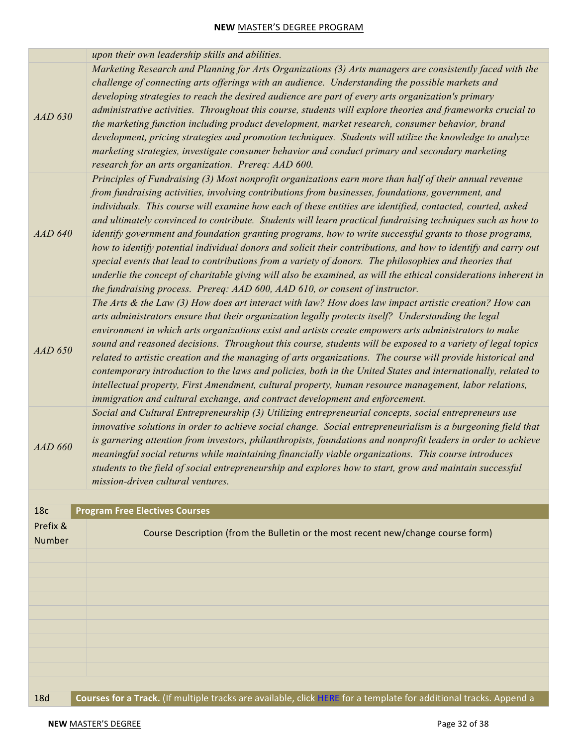|                    | upon their own leadership skills and abilities.                                                                                                                                                                                                                                                                                                                                                                                                                                                                                                                                                                                                                                                                                                                                                                                                                                                                                                                                     |
|--------------------|-------------------------------------------------------------------------------------------------------------------------------------------------------------------------------------------------------------------------------------------------------------------------------------------------------------------------------------------------------------------------------------------------------------------------------------------------------------------------------------------------------------------------------------------------------------------------------------------------------------------------------------------------------------------------------------------------------------------------------------------------------------------------------------------------------------------------------------------------------------------------------------------------------------------------------------------------------------------------------------|
| <b>AAD 630</b>     | Marketing Research and Planning for Arts Organizations (3) Arts managers are consistently faced with the<br>challenge of connecting arts offerings with an audience. Understanding the possible markets and<br>developing strategies to reach the desired audience are part of every arts organization's primary<br>administrative activities. Throughout this course, students will explore theories and frameworks crucial to<br>the marketing function including product development, market research, consumer behavior, brand<br>development, pricing strategies and promotion techniques. Students will utilize the knowledge to analyze<br>marketing strategies, investigate consumer behavior and conduct primary and secondary marketing<br>research for an arts organization. Prereq: AAD 600.                                                                                                                                                                            |
| <b>AAD 640</b>     | Principles of Fundraising (3) Most nonprofit organizations earn more than half of their annual revenue<br>from fundraising activities, involving contributions from businesses, foundations, government, and<br>individuals. This course will examine how each of these entities are identified, contacted, courted, asked<br>and ultimately convinced to contribute. Students will learn practical fundraising techniques such as how to<br>identify government and foundation granting programs, how to write successful grants to those programs,<br>how to identify potential individual donors and solicit their contributions, and how to identify and carry out<br>special events that lead to contributions from a variety of donors. The philosophies and theories that<br>underlie the concept of charitable giving will also be examined, as will the ethical considerations inherent in<br>the fundraising process. Prereq: AAD 600, AAD 610, or consent of instructor. |
| <b>AAD 650</b>     | The Arts $\&$ the Law (3) How does art interact with law? How does law impact artistic creation? How can<br>arts administrators ensure that their organization legally protects itself? Understanding the legal<br>environment in which arts organizations exist and artists create empowers arts administrators to make<br>sound and reasoned decisions. Throughout this course, students will be exposed to a variety of legal topics<br>related to artistic creation and the managing of arts organizations. The course will provide historical and<br>contemporary introduction to the laws and policies, both in the United States and internationally, related to<br>intellectual property, First Amendment, cultural property, human resource management, labor relations,<br>immigration and cultural exchange, and contract development and enforcement.                                                                                                                   |
| <b>AAD 660</b>     | Social and Cultural Entrepreneurship (3) Utilizing entrepreneurial concepts, social entrepreneurs use<br>innovative solutions in order to achieve social change. Social entrepreneurialism is a burgeoning field that<br>is garnering attention from investors, philanthropists, foundations and nonprofit leaders in order to achieve<br>meaningful social returns while maintaining financially viable organizations. This course introduces<br>students to the field of social entrepreneurship and explores how to start, grow and maintain successful<br>mission-driven cultural ventures.                                                                                                                                                                                                                                                                                                                                                                                     |
| 18 <sub>c</sub>    | <b>Program Free Electives Courses</b>                                                                                                                                                                                                                                                                                                                                                                                                                                                                                                                                                                                                                                                                                                                                                                                                                                                                                                                                               |
| Prefix &<br>Number | Course Description (from the Bulletin or the most recent new/change course form)                                                                                                                                                                                                                                                                                                                                                                                                                                                                                                                                                                                                                                                                                                                                                                                                                                                                                                    |
|                    |                                                                                                                                                                                                                                                                                                                                                                                                                                                                                                                                                                                                                                                                                                                                                                                                                                                                                                                                                                                     |
|                    |                                                                                                                                                                                                                                                                                                                                                                                                                                                                                                                                                                                                                                                                                                                                                                                                                                                                                                                                                                                     |
|                    |                                                                                                                                                                                                                                                                                                                                                                                                                                                                                                                                                                                                                                                                                                                                                                                                                                                                                                                                                                                     |
|                    |                                                                                                                                                                                                                                                                                                                                                                                                                                                                                                                                                                                                                                                                                                                                                                                                                                                                                                                                                                                     |
|                    |                                                                                                                                                                                                                                                                                                                                                                                                                                                                                                                                                                                                                                                                                                                                                                                                                                                                                                                                                                                     |
|                    |                                                                                                                                                                                                                                                                                                                                                                                                                                                                                                                                                                                                                                                                                                                                                                                                                                                                                                                                                                                     |
|                    |                                                                                                                                                                                                                                                                                                                                                                                                                                                                                                                                                                                                                                                                                                                                                                                                                                                                                                                                                                                     |
| <b>18d</b>         | Courses for a Track. (If multiple tracks are available, click HERE for a template for additional tracks. Append a                                                                                                                                                                                                                                                                                                                                                                                                                                                                                                                                                                                                                                                                                                                                                                                                                                                                   |
|                    |                                                                                                                                                                                                                                                                                                                                                                                                                                                                                                                                                                                                                                                                                                                                                                                                                                                                                                                                                                                     |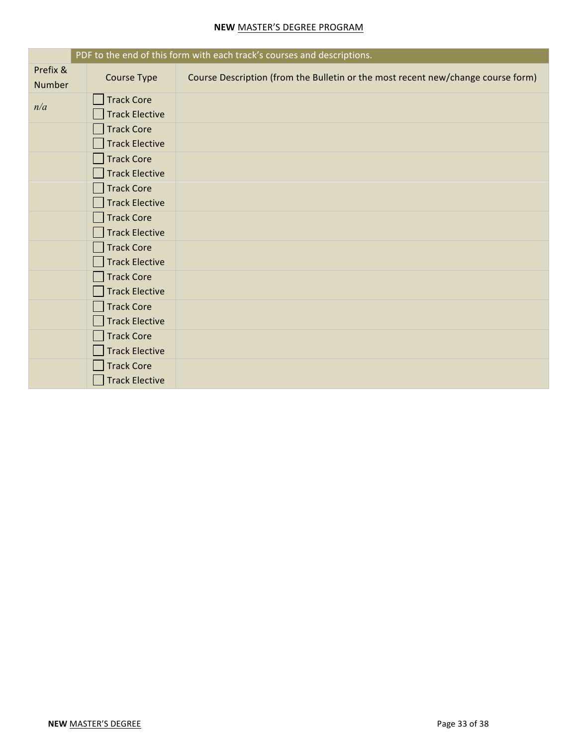|                    |                       | PDF to the end of this form with each track's courses and descriptions.          |
|--------------------|-----------------------|----------------------------------------------------------------------------------|
| Prefix &<br>Number | <b>Course Type</b>    | Course Description (from the Bulletin or the most recent new/change course form) |
|                    | <b>Track Core</b>     |                                                                                  |
| n/a                | <b>Track Elective</b> |                                                                                  |
|                    | <b>Track Core</b>     |                                                                                  |
|                    | <b>Track Elective</b> |                                                                                  |
|                    | <b>Track Core</b>     |                                                                                  |
|                    | <b>Track Elective</b> |                                                                                  |
|                    | <b>Track Core</b>     |                                                                                  |
|                    | <b>Track Elective</b> |                                                                                  |
|                    | <b>Track Core</b>     |                                                                                  |
|                    | <b>Track Elective</b> |                                                                                  |
|                    | <b>Track Core</b>     |                                                                                  |
|                    | <b>Track Elective</b> |                                                                                  |
|                    | <b>Track Core</b>     |                                                                                  |
|                    | <b>Track Elective</b> |                                                                                  |
|                    | <b>Track Core</b>     |                                                                                  |
|                    | <b>Track Elective</b> |                                                                                  |
|                    | <b>Track Core</b>     |                                                                                  |
|                    | <b>Track Elective</b> |                                                                                  |
|                    | <b>Track Core</b>     |                                                                                  |
|                    | <b>Track Elective</b> |                                                                                  |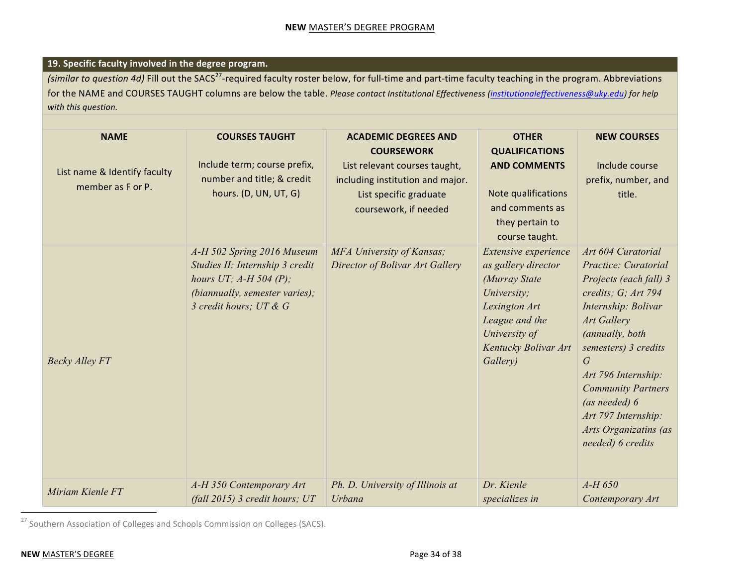## **19. Specific faculty involved in the degree program.**

*(similar to question 4d)* Fill out the SACS<sup>27</sup>-required faculty roster below, for full-time and part-time faculty teaching in the program. Abbreviations for the NAME and COURSES TAUGHT columns are below the table. *Please contact Institutional Effectiveness* (*institutionaleffectiveness@uky.edu)* for help *with this question.*

| <b>NAME</b><br>List name & Identify faculty<br>member as F or P. | <b>COURSES TAUGHT</b><br>Include term; course prefix,<br>number and title; & credit<br>hours. (D, UN, UT, G)                                          | <b>ACADEMIC DEGREES AND</b><br><b>COURSEWORK</b><br>List relevant courses taught,<br>including institution and major.<br>List specific graduate<br>coursework, if needed | <b>OTHER</b><br><b>QUALIFICATIONS</b><br><b>AND COMMENTS</b><br>Note qualifications<br>and comments as<br>they pertain to<br>course taught.                         | <b>NEW COURSES</b><br>Include course<br>prefix, number, and<br>title.                                                                                                                                                                                                                                                       |
|------------------------------------------------------------------|-------------------------------------------------------------------------------------------------------------------------------------------------------|--------------------------------------------------------------------------------------------------------------------------------------------------------------------------|---------------------------------------------------------------------------------------------------------------------------------------------------------------------|-----------------------------------------------------------------------------------------------------------------------------------------------------------------------------------------------------------------------------------------------------------------------------------------------------------------------------|
| <b>Becky Alley FT</b>                                            | A-H 502 Spring 2016 Museum<br>Studies II: Internship 3 credit<br>hours UT; $A-H$ 504 (P);<br>(biannually, semester varies);<br>3 credit hours; UT & G | MFA University of Kansas;<br>Director of Bolivar Art Gallery                                                                                                             | Extensive experience<br>as gallery director<br>(Murray State<br>University;<br>Lexington Art<br>League and the<br>University of<br>Kentucky Bolivar Art<br>Gallery) | Art 604 Curatorial<br>Practice: Curatorial<br>Projects (each fall) 3<br>credits; G; Art 794<br>Internship: Bolivar<br>Art Gallery<br>(annually, both<br>semesters) 3 credits<br>G<br>Art 796 Internship:<br><b>Community Partners</b><br>(as needed) 6<br>Art 797 Internship:<br>Arts Organizatins (as<br>needed) 6 credits |
| Miriam Kienle FT                                                 | A-H 350 Contemporary Art<br>(fall $2015$ ) 3 credit hours; UT                                                                                         | Ph. D. University of Illinois at<br>Urbana                                                                                                                               | Dr. Kienle<br>specializes in                                                                                                                                        | $A-H$ 650<br>Contemporary Art                                                                                                                                                                                                                                                                                               |

 $^{27}$  Southern Association of Colleges and Schools Commission on Colleges (SACS).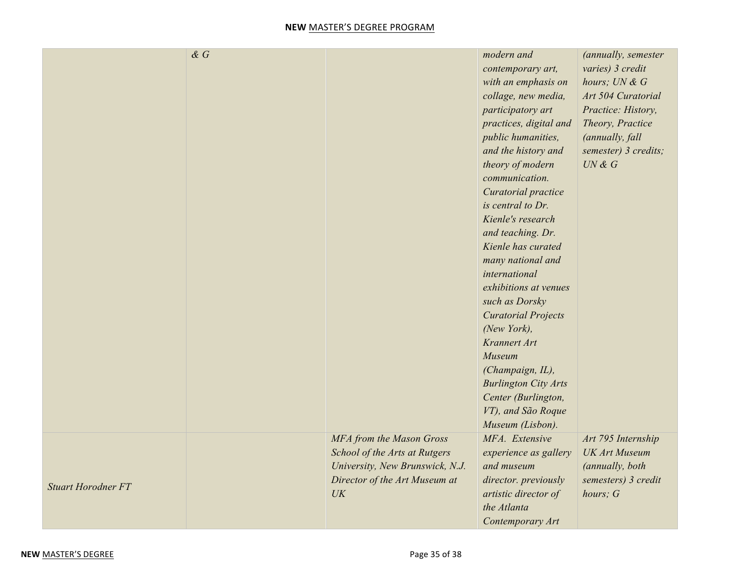|                           | $\& G$ |                                                                                                                                                                    | modern and<br>contemporary art,<br>with an emphasis on<br>collage, new media,<br>participatory art<br>practices, digital and<br>public humanities,<br>and the history and<br>theory of modern<br>communication.<br>Curatorial practice<br>is central to Dr.<br>Kienle's research<br>and teaching. Dr.<br>Kienle has curated<br>many national and<br>international<br>exhibitions at venues<br>such as Dorsky<br><b>Curatorial Projects</b><br>(New York),<br>Krannert Art<br>Museum<br>(Champaign, IL),<br><b>Burlington City Arts</b><br>Center (Burlington,<br>VT), and São Roque<br>Museum (Lisbon). | (annually, semester<br>varies) 3 credit<br>hours; UN & G<br>Art 504 Curatorial<br>Practice: History,<br>Theory, Practice<br>(annually, fall<br>semester) 3 credits;<br>UN & G |
|---------------------------|--------|--------------------------------------------------------------------------------------------------------------------------------------------------------------------|---------------------------------------------------------------------------------------------------------------------------------------------------------------------------------------------------------------------------------------------------------------------------------------------------------------------------------------------------------------------------------------------------------------------------------------------------------------------------------------------------------------------------------------------------------------------------------------------------------|-------------------------------------------------------------------------------------------------------------------------------------------------------------------------------|
| <b>Stuart Horodner FT</b> |        | MFA from the Mason Gross<br>School of the Arts at Rutgers<br>University, New Brunswick, N.J.<br>Director of the Art Museum at<br>$\ensuremath{\textit{UK}}\xspace$ | MFA. Extensive<br>experience as gallery<br>and museum<br>director. previously<br>artistic director of<br>the Atlanta<br>Contemporary Art                                                                                                                                                                                                                                                                                                                                                                                                                                                                | Art 795 Internship<br><b>UK Art Museum</b><br>(annually, both<br>semesters) 3 credit<br>hours; G                                                                              |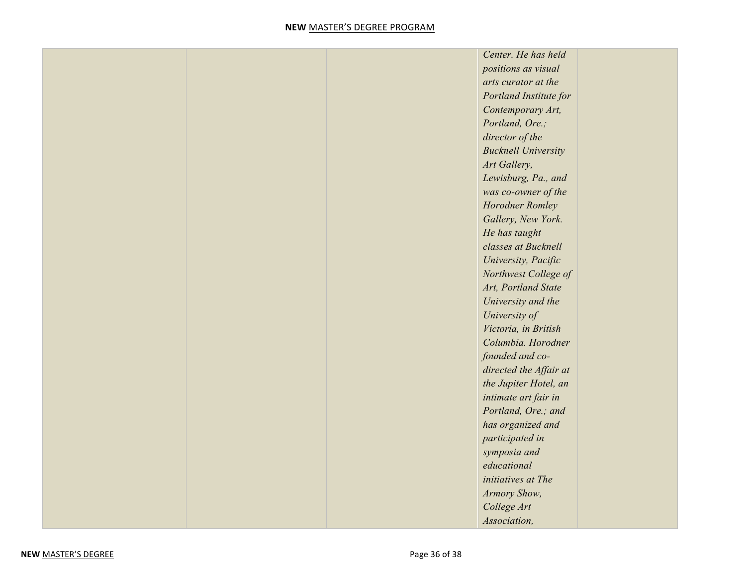|  | Center. He has held        |
|--|----------------------------|
|  | positions as visual        |
|  | arts curator at the        |
|  | Portland Institute for     |
|  | Contemporary Art,          |
|  | Portland, Ore.;            |
|  | director of the            |
|  | <b>Bucknell University</b> |
|  | Art Gallery,               |
|  | Lewisburg, Pa., and        |
|  | was co-owner of the        |
|  | Horodner Romley            |
|  | Gallery, New York.         |
|  | He has taught              |
|  | classes at Bucknell        |
|  | University, Pacific        |
|  | Northwest College of       |
|  | Art, Portland State        |
|  | University and the         |
|  | University of              |
|  | Victoria, in British       |
|  | Columbia. Horodner         |
|  | founded and co-            |
|  | directed the Affair at     |
|  | the Jupiter Hotel, an      |
|  | intimate art fair in       |
|  | Portland, Ore.; and        |
|  | has organized and          |
|  | participated in            |
|  | symposia and               |
|  | educational                |
|  | initiatives at The         |
|  | Armory Show,               |
|  | College Art                |
|  | Association,               |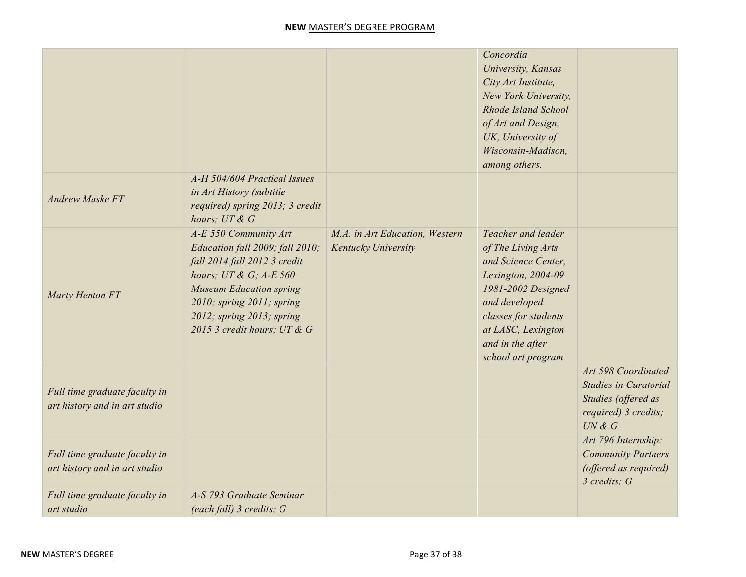|                                                                |                                                                                                                                                                                                                                                   |                                                       | Concordia<br>University, Kansas<br>City Art Institute,<br>New York University,<br>Rhode Island School<br>of Art and Design,<br>UK, University of<br>Wisconsin-Madison,<br>among others.                              |                                                                                                              |
|----------------------------------------------------------------|---------------------------------------------------------------------------------------------------------------------------------------------------------------------------------------------------------------------------------------------------|-------------------------------------------------------|----------------------------------------------------------------------------------------------------------------------------------------------------------------------------------------------------------------------|--------------------------------------------------------------------------------------------------------------|
| <b>Andrew Maske FT</b>                                         | A-H 504/604 Practical Issues<br>in Art History (subtitle<br>required) spring 2013; 3 credit<br>hours; $UT \& G$                                                                                                                                   |                                                       |                                                                                                                                                                                                                      |                                                                                                              |
| Marty Henton FT                                                | A-E 550 Community Art<br>Education fall 2009; fall 2010;<br>fall 2014 fall 2012 3 credit<br>hours; $UT \& G$ ; A-E 560<br><b>Museum Education spring</b><br>2010; spring 2011; spring<br>2012; spring 2013; spring<br>2015 3 credit hours; UT & G | M.A. in Art Education, Western<br>Kentucky University | Teacher and leader<br>of The Living Arts<br>and Science Center,<br>Lexington, 2004-09<br>1981-2002 Designed<br>and developed<br>classes for students<br>at LASC, Lexington<br>and in the after<br>school art program |                                                                                                              |
| Full time graduate faculty in<br>art history and in art studio |                                                                                                                                                                                                                                                   |                                                       |                                                                                                                                                                                                                      | Art 598 Coordinated<br><b>Studies in Curatorial</b><br>Studies (offered as<br>required) 3 credits;<br>UN & G |
| Full time graduate faculty in<br>art history and in art studio |                                                                                                                                                                                                                                                   |                                                       |                                                                                                                                                                                                                      | Art 796 Internship:<br><b>Community Partners</b><br>(offered as required)<br>3 credits; G                    |
| Full time graduate faculty in<br>art studio                    | A-S 793 Graduate Seminar<br>(each fall) 3 credits; G                                                                                                                                                                                              |                                                       |                                                                                                                                                                                                                      |                                                                                                              |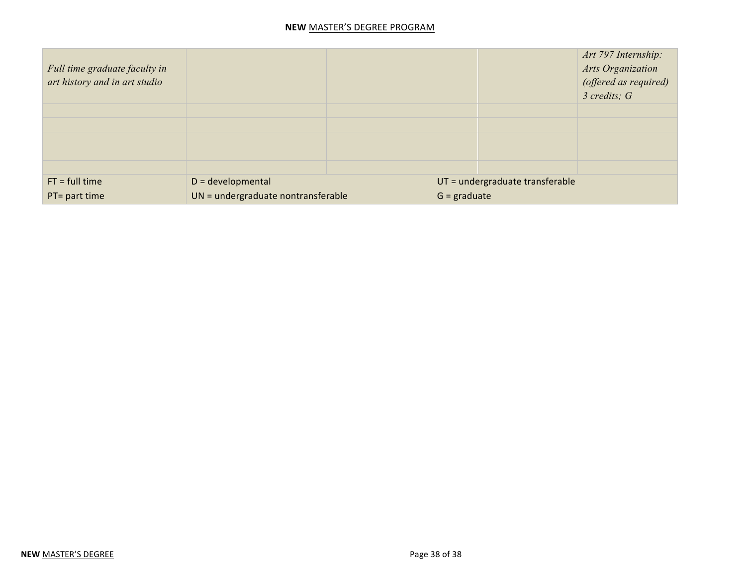| Full time graduate faculty in<br>art history and in art studio |                                    |                                 | Art 797 Internship:<br><b>Arts Organization</b><br>(offered as required)<br>$3$ credits; $G$ |  |
|----------------------------------------------------------------|------------------------------------|---------------------------------|----------------------------------------------------------------------------------------------|--|
|                                                                |                                    |                                 |                                                                                              |  |
|                                                                |                                    |                                 |                                                                                              |  |
|                                                                |                                    |                                 |                                                                                              |  |
|                                                                |                                    |                                 |                                                                                              |  |
|                                                                |                                    |                                 |                                                                                              |  |
| $FT = full time$                                               | $D = development$                  | UT = undergraduate transferable |                                                                                              |  |
| PT= part time                                                  | UN = undergraduate nontransferable | $G =$ graduate                  |                                                                                              |  |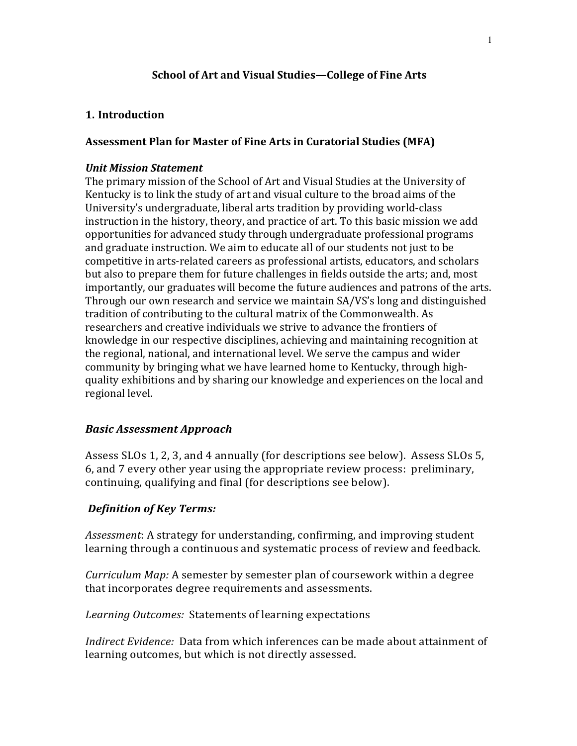# **School of Art and Visual Studies—College of Fine Arts**

# **1. Introduction**

# **Assessment Plan for Master of Fine Arts in Curatorial Studies (MFA)**

# *Unit Mission Statement*

The primary mission of the School of Art and Visual Studies at the University of Kentucky is to link the study of art and visual culture to the broad aims of the University's undergraduate, liberal arts tradition by providing world-class instruction in the history, theory, and practice of art. To this basic mission we add opportunities for advanced study through undergraduate professional programs and graduate instruction. We aim to educate all of our students not just to be competitive in arts-related careers as professional artists, educators, and scholars but also to prepare them for future challenges in fields outside the arts; and, most importantly, our graduates will become the future audiences and patrons of the arts. Through our own research and service we maintain SA/VS's long and distinguished tradition of contributing to the cultural matrix of the Commonwealth. As researchers and creative individuals we strive to advance the frontiers of knowledge in our respective disciplines, achieving and maintaining recognition at the regional, national, and international level. We serve the campus and wider community by bringing what we have learned home to Kentucky, through highquality exhibitions and by sharing our knowledge and experiences on the local and regional level.

# *Basic Assessment Approach*

Assess SLOs 1, 2, 3, and 4 annually (for descriptions see below). Assess SLOs 5, 6, and 7 every other year using the appropriate review process: preliminary, continuing, qualifying and final (for descriptions see below).

# *Definition of Key Terms:*

*Assessment:* A strategy for understanding, confirming, and improving student learning through a continuous and systematic process of review and feedback.

*Curriculum Map:* A semester by semester plan of coursework within a degree that incorporates degree requirements and assessments.

Learning Outcomes: Statements of learning expectations

*Indirect Evidence:* Data from which inferences can be made about attainment of learning outcomes, but which is not directly assessed.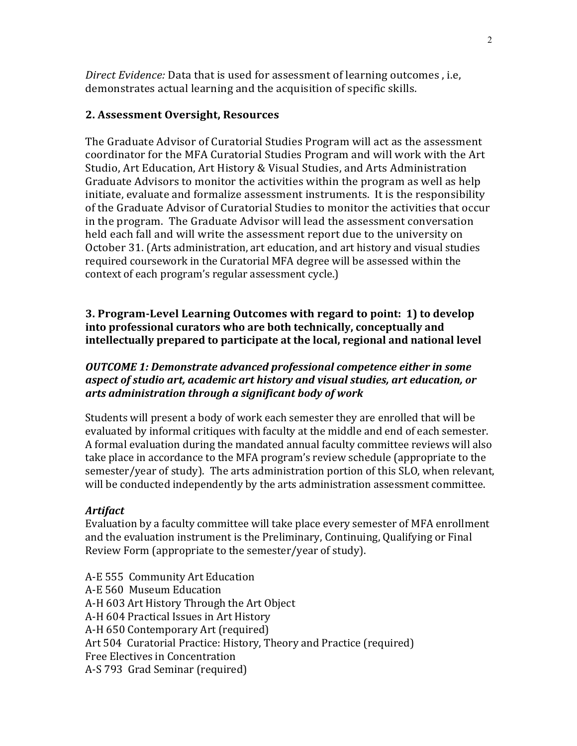*Direct Evidence:* Data that is used for assessment of learning outcomes, i.e, demonstrates actual learning and the acquisition of specific skills.

## **2. Assessment Oversight, Resources**

The Graduate Advisor of Curatorial Studies Program will act as the assessment coordinator for the MFA Curatorial Studies Program and will work with the Art Studio, Art Education, Art History & Visual Studies, and Arts Administration Graduate Advisors to monitor the activities within the program as well as help initiate, evaluate and formalize assessment instruments. It is the responsibility of the Graduate Advisor of Curatorial Studies to monitor the activities that occur in the program. The Graduate Advisor will lead the assessment conversation held each fall and will write the assessment report due to the university on October 31. (Arts administration, art education, and art history and visual studies required coursework in the Curatorial MFA degree will be assessed within the context of each program's regular assessment cycle.)

**3. Program-Level Learning Outcomes with regard to point: 1) to develop into** professional curators who are both technically, conceptually and **intellectually prepared to participate at the local, regional and national level** 

# *OUTCOME* 1: Demonstrate advanced professional competence either in some *aspect of studio art, academic art history and visual studies, art education, or arts administration through a significant body of work*

Students will present a body of work each semester they are enrolled that will be evaluated by informal critiques with faculty at the middle and end of each semester. A formal evaluation during the mandated annual faculty committee reviews will also take place in accordance to the MFA program's review schedule (appropriate to the semester/year of study). The arts administration portion of this SLO, when relevant, will be conducted independently by the arts administration assessment committee.

# *Artifact*

Evaluation by a faculty committee will take place every semester of MFA enrollment and the evaluation instrument is the Preliminary, Continuing, Qualifying or Final Review Form (appropriate to the semester/year of study).

A-E 555 Community Art Education A-E 560 Museum Education A-H 603 Art History Through the Art Object A-H 604 Practical Issues in Art History A-H 650 Contemporary Art (required) Art 504 Curatorial Practice: History, Theory and Practice (required) Free Electives in Concentration A-S 793 Grad Seminar (required)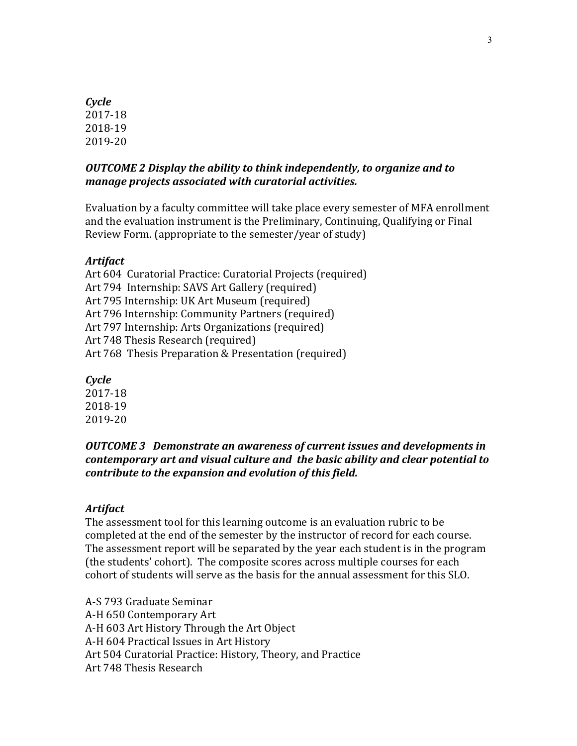# *Cycle* 2017-18 2018-19 2019-20

# *OUTCOME 2 Display the ability to think independently, to organize and to manage projects associated with curatorial activities.*

Evaluation by a faculty committee will take place every semester of MFA enrollment and the evaluation instrument is the Preliminary, Continuing, Qualifying or Final Review Form. (appropriate to the semester/year of study)

# *Artifact*

Art 604 Curatorial Practice: Curatorial Projects (required) Art 794 Internship: SAVS Art Gallery (required) Art 795 Internship: UK Art Museum (required) Art 796 Internship: Community Partners (required) Art 797 Internship: Arts Organizations (required) Art 748 Thesis Research (required) Art 768 Thesis Preparation & Presentation (required)

*Cycle*

2017-18 2018-19 2019-20

# *OUTCOME 3* Demonstrate an awareness of current issues and developments in *contemporary art and visual culture and the basic ability and clear potential to contribute to the expansion and evolution of this field.*

## *Artifact*

The assessment tool for this learning outcome is an evaluation rubric to be completed at the end of the semester by the instructor of record for each course. The assessment report will be separated by the year each student is in the program (the students' cohort). The composite scores across multiple courses for each cohort of students will serve as the basis for the annual assessment for this SLO.

A-S 793 Graduate Seminar A-H 650 Contemporary Art A-H 603 Art History Through the Art Object A-H 604 Practical Issues in Art History Art 504 Curatorial Practice: History, Theory, and Practice Art 748 Thesis Research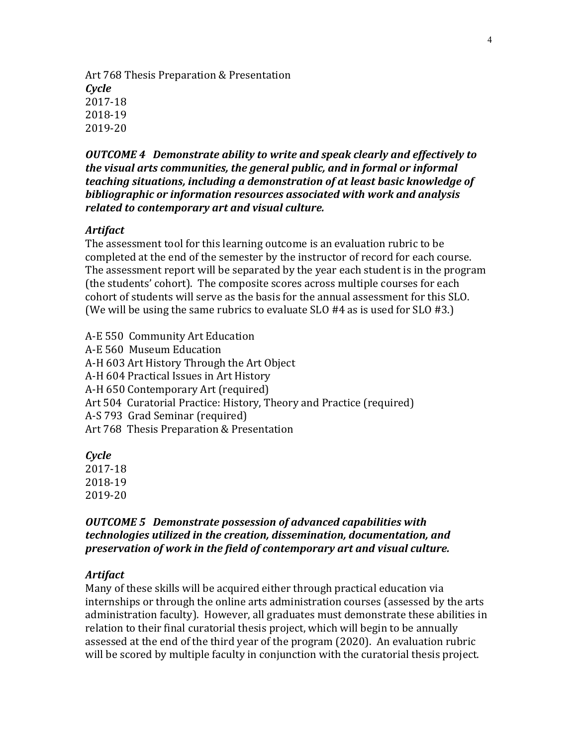Art 768 Thesis Preparation & Presentation *Cycle* 2017-18 2018-19 2019-20

**OUTCOME 4** Demonstrate ability to write and speak clearly and effectively to *the visual arts communities, the general public, and in formal or informal teaching situations, including a demonstration of at least basic knowledge of bibliographic or information resources associated with work and analysis related to contemporary art and visual culture.* 

## *Artifact*

The assessment tool for this learning outcome is an evaluation rubric to be completed at the end of the semester by the instructor of record for each course. The assessment report will be separated by the year each student is in the program (the students' cohort). The composite scores across multiple courses for each cohort of students will serve as the basis for the annual assessment for this SLO. (We will be using the same rubrics to evaluate SLO #4 as is used for SLO #3.)

A-E 550 Community Art Education A-E 560 Museum Education A-H 603 Art History Through the Art Object A-H 604 Practical Issues in Art History A-H 650 Contemporary Art (required) Art 504 Curatorial Practice: History, Theory and Practice (required) A-S 793 Grad Seminar (required) Art 768 Thesis Preparation & Presentation

*Cycle* 2017-18 2018-19 2019-20

# *OUTCOME 5* Demonstrate possession of advanced capabilities with *technologies* utilized in the creation, dissemination, documentation, and *preservation of work in the field of contemporary art and visual culture.*

### *Artifact*

Many of these skills will be acquired either through practical education via internships or through the online arts administration courses (assessed by the arts administration faculty). However, all graduates must demonstrate these abilities in relation to their final curatorial thesis project, which will begin to be annually assessed at the end of the third year of the program (2020). An evaluation rubric will be scored by multiple faculty in conjunction with the curatorial thesis project.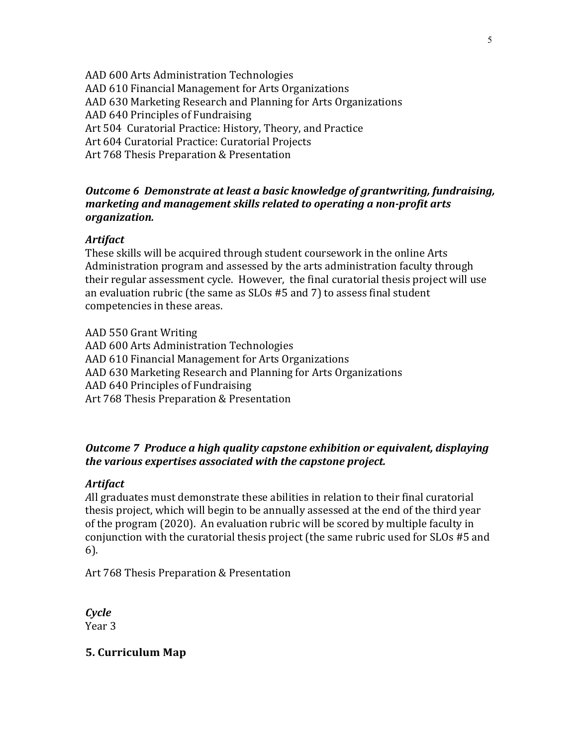AAD 600 Arts Administration Technologies AAD 610 Financial Management for Arts Organizations AAD 630 Marketing Research and Planning for Arts Organizations AAD 640 Principles of Fundraising Art 504 Curatorial Practice: History, Theory, and Practice Art 604 Curatorial Practice: Curatorial Projects Art 768 Thesis Preparation & Presentation

# *Outcome 6 Demonstrate at least a basic knowledge of grantwriting, fundraising, marketing and management skills related to operating a non-profit arts organization.*

## *Artifact*

These skills will be acquired through student coursework in the online Arts Administration program and assessed by the arts administration faculty through their regular assessment cycle. However, the final curatorial thesis project will use an evaluation rubric (the same as  $SLOs$  #5 and  $7$ ) to assess final student competencies in these areas.

AAD 550 Grant Writing AAD 600 Arts Administration Technologies AAD 610 Financial Management for Arts Organizations AAD 630 Marketing Research and Planning for Arts Organizations AAD 640 Principles of Fundraising Art 768 Thesis Preparation & Presentation

# *Outcome* 7 Produce a high quality capstone exhibition or equivalent, displaying the various expertises associated with the capstone project.

## *Artifact*

All graduates must demonstrate these abilities in relation to their final curatorial thesis project, which will begin to be annually assessed at the end of the third year of the program (2020). An evaluation rubric will be scored by multiple faculty in conjunction with the curatorial thesis project (the same rubric used for SLOs #5 and 6).

Art 768 Thesis Preparation & Presentation

*Cycle* Year 3

## **5. Curriculum Map**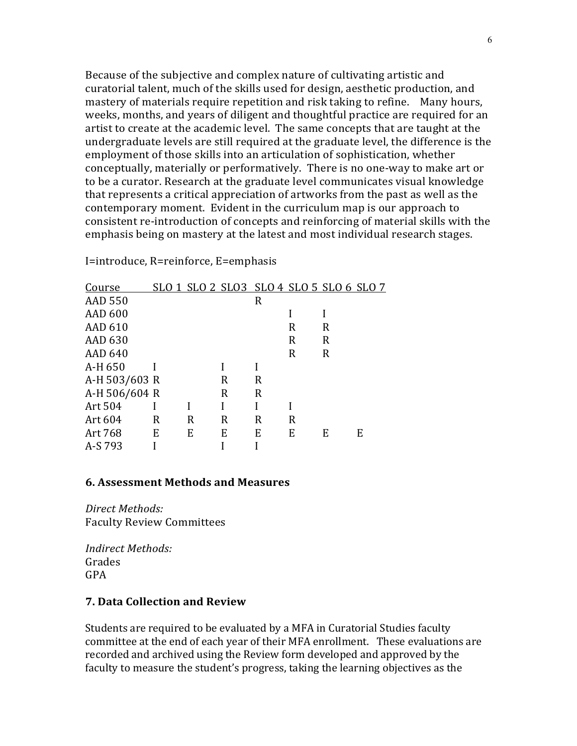Because of the subjective and complex nature of cultivating artistic and curatorial talent, much of the skills used for design, aesthetic production, and mastery of materials require repetition and risk taking to refine. Many hours, weeks, months, and years of diligent and thoughtful practice are required for an artist to create at the academic level. The same concepts that are taught at the undergraduate levels are still required at the graduate level, the difference is the employment of those skills into an articulation of sophistication, whether conceptually, materially or performatively. There is no one-way to make art or to be a curator. Research at the graduate level communicates visual knowledge that represents a critical appreciation of artworks from the past as well as the contemporary moment. Evident in the curriculum map is our approach to consistent re-introduction of concepts and reinforcing of material skills with the emphasis being on mastery at the latest and most individual research stages.

I=introduce, R=reinforce, E=emphasis

| Course         |   |   |   | SLO 1 SLO 2 SLO 3 SLO 4 SLO 5 SLO 6 SLO 7 |   |   |   |
|----------------|---|---|---|-------------------------------------------|---|---|---|
| <b>AAD 550</b> |   |   |   | R                                         |   |   |   |
| <b>AAD 600</b> |   |   |   |                                           |   |   |   |
| <b>AAD 610</b> |   |   |   |                                           | R | R |   |
| AAD 630        |   |   |   |                                           | R | R |   |
| <b>AAD 640</b> |   |   |   |                                           | R | R |   |
| A-H 650        |   |   |   |                                           |   |   |   |
| A-H 503/603 R  |   |   | R | R                                         |   |   |   |
| A-H 506/604 R  |   |   | R | R                                         |   |   |   |
| Art 504        |   |   |   |                                           |   |   |   |
| Art 604        | R | R | R | R                                         | R |   |   |
| Art 768        | E | E | E | E                                         | E | E | E |
| A-S 793        |   |   |   |                                           |   |   |   |

## **6. Assessment Methods and Measures**

*Direct Methods:* Faculty Review Committees

*Indirect Methods:* Grades GPA 

# **7. Data Collection and Review**

Students are required to be evaluated by a MFA in Curatorial Studies faculty committee at the end of each year of their MFA enrollment. These evaluations are recorded and archived using the Review form developed and approved by the faculty to measure the student's progress, taking the learning objectives as the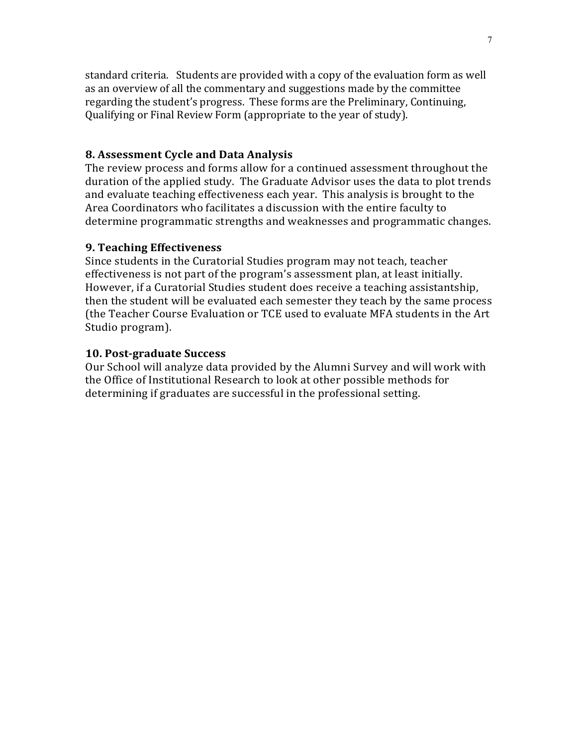standard criteria. Students are provided with a copy of the evaluation form as well as an overview of all the commentary and suggestions made by the committee regarding the student's progress. These forms are the Preliminary, Continuing, Qualifying or Final Review Form (appropriate to the year of study).

### **8. Assessment Cycle and Data Analysis**

The review process and forms allow for a continued assessment throughout the duration of the applied study. The Graduate Advisor uses the data to plot trends and evaluate teaching effectiveness each year. This analysis is brought to the Area Coordinators who facilitates a discussion with the entire faculty to determine programmatic strengths and weaknesses and programmatic changes.

## **9. Teaching Effectiveness**

Since students in the Curatorial Studies program may not teach, teacher effectiveness is not part of the program's assessment plan, at least initially. However, if a Curatorial Studies student does receive a teaching assistantship, then the student will be evaluated each semester they teach by the same process (the Teacher Course Evaluation or TCE used to evaluate MFA students in the Art Studio program).

## **10. Post-graduate Success**

Our School will analyze data provided by the Alumni Survey and will work with the Office of Institutional Research to look at other possible methods for determining if graduates are successful in the professional setting.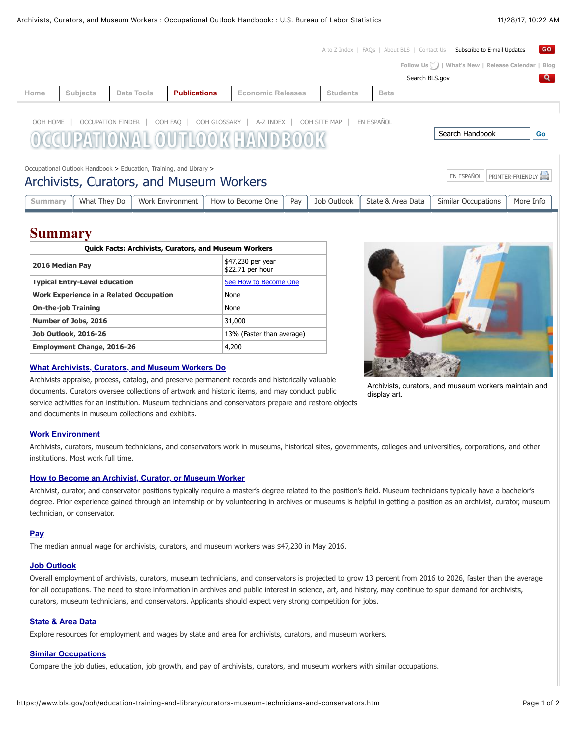[A to Z Index](https://www.bls.gov/bls/topicsaz.htm) | [FAQs](https://www.bls.gov/bls/faqs.htm) | [About BLS](https://www.bls.gov/bls/infohome.htm) | [Contact Us](https://www.bls.gov/bls/contact.htm) Subscribe to E-mail Updates GO. **[Follow Us](http://twitter.com/BLS_gov) | [What's New](https://www.bls.gov/newsroom/) | [Release Calendar](https://www.bls.gov/schedule/news_release/) | [Blog](https://blogs.bls.gov/blog/)** Search BLS.gov ୍ଦ **[Home](https://www.bls.gov/home.htm) [Subjects](https://www.bls.gov/bls/proghome.htm) [Data Tools](https://www.bls.gov/data/) [Publications](https://www.bls.gov/opub/) [Economic Releases](https://www.bls.gov/bls/newsrels.htm) [Students](https://www.bls.gov/k12/) [Beta](https://beta.bls.gov/)**[OOH HOME](https://www.bls.gov/ooh/home.htm) | [OCCUPATION FINDER](https://www.bls.gov/ooh/occupation-finder.htm) | [OOH FAQ](https://www.bls.gov/ooh/about/ooh-faqs.htm) | [OOH GLOSSARY](https://www.bls.gov/ooh/about/glossary.htm) | [A-Z INDEX](https://www.bls.gov/ooh/a-z-index.htm) | [OOH SITE MAP](https://www.bls.gov/ooh/ooh-site-map.htm) | [EN ESPAÑOL](https://www.bls.gov/es/ooh/home.htm) Search Handbook **Go** AL OUTLOOK FANDROO [Occupational Outlook Handbook](https://www.bls.gov/ooh/home.htm) > [Education, Training, and Library](https://www.bls.gov/ooh/education-training-and-library/home.htm) > Archivists, Curators, and Museum Workers **Expansion Contract Contract Contract Contract Contract Contract Contract Contract Contract Contract Contract Contract Contract Contract Contract Contract Contract Contract Contract** [Summary](https://www.bls.gov/ooh/education-training-and-library/curators-museum-technicians-and-conservators.htm#tab-1) || [What They Do](https://www.bls.gov/ooh/education-training-and-library/curators-museum-technicians-and-conservators.htm#tab-2) || [Work Environment](https://www.bls.gov/ooh/education-training-and-library/curators-museum-technicians-and-conservators.htm#tab-3) || [How to Become One](https://www.bls.gov/ooh/education-training-and-library/curators-museum-technicians-and-conservators.htm#tab-4) || [Pay](https://www.bls.gov/ooh/education-training-and-library/curators-museum-technicians-and-conservators.htm#tab-5) || [Job Outlook](https://www.bls.gov/ooh/education-training-and-library/curators-museum-technicians-and-conservators.htm#tab-6) || [State & Area Data](https://www.bls.gov/ooh/education-training-and-library/curators-museum-technicians-and-conservators.htm#tab-7) || [Similar Occupations](https://www.bls.gov/ooh/education-training-and-library/curators-museum-technicians-and-conservators.htm#tab-8) || [More Info](https://www.bls.gov/ooh/education-training-and-library/curators-museum-technicians-and-conservators.htm#tab-9)

# **Summary**

| <b>Quick Facts: Archivists, Curators, and Museum Workers</b> |                                       |  |  |
|--------------------------------------------------------------|---------------------------------------|--|--|
| 2016 Median Pay                                              | \$47,230 per year<br>\$22.71 per hour |  |  |
| <b>Typical Entry-Level Education</b>                         | See How to Become One                 |  |  |
| <b>Work Experience in a Related Occupation</b>               | None                                  |  |  |
| <b>On-the-job Training</b>                                   | None                                  |  |  |
| Number of Jobs, 2016                                         | 31,000                                |  |  |
| <b>Job Outlook, 2016-26</b>                                  | 13% (Faster than average)             |  |  |
| <b>Employment Change, 2016-26</b>                            | 4,200                                 |  |  |

#### **[What Archivists, Curators, and Museum Workers Do](https://www.bls.gov/ooh/education-training-and-library/curators-museum-technicians-and-conservators.htm#tab-2)**

Archivists appraise, process, catalog, and preserve permanent records and historically valuable documents. Curators oversee collections of artwork and historic items, and may conduct public service activities for an institution. Museum technicians and conservators prepare and restore objects and documents in museum collections and exhibits.



Archivists, curators, and museum workers maintain and display art.

#### **[Work Environment](https://www.bls.gov/ooh/education-training-and-library/curators-museum-technicians-and-conservators.htm#tab-3)**

Archivists, curators, museum technicians, and conservators work in museums, historical sites, governments, colleges and universities, corporations, and other institutions. Most work full time.

#### **[How to Become an Archivist, Curator, or Museum Worker](https://www.bls.gov/ooh/education-training-and-library/curators-museum-technicians-and-conservators.htm#tab-4)**

Archivist, curator, and conservator positions typically require a master's degree related to the position's field. Museum technicians typically have a bachelor's degree. Prior experience gained through an internship or by volunteering in archives or museums is helpful in getting a position as an archivist, curator, museum technician, or conservator.

#### **[Pay](https://www.bls.gov/ooh/education-training-and-library/curators-museum-technicians-and-conservators.htm#tab-5)**

The median annual wage for archivists, curators, and museum workers was \$47,230 in May 2016.

#### **[Job Outlook](https://www.bls.gov/ooh/education-training-and-library/curators-museum-technicians-and-conservators.htm#tab-6)**

Overall employment of archivists, curators, museum technicians, and conservators is projected to grow 13 percent from 2016 to 2026, faster than the average for all occupations. The need to store information in archives and public interest in science, art, and history, may continue to spur demand for archivists, curators, museum technicians, and conservators. Applicants should expect very strong competition for jobs.

#### **[State & Area Data](https://www.bls.gov/ooh/education-training-and-library/curators-museum-technicians-and-conservators.htm#tab-7)**

Explore resources for employment and wages by state and area for archivists, curators, and museum workers.

#### **[Similar Occupations](https://www.bls.gov/ooh/education-training-and-library/curators-museum-technicians-and-conservators.htm#tab-8)**

Compare the job duties, education, job growth, and pay of archivists, curators, and museum workers with similar occupations.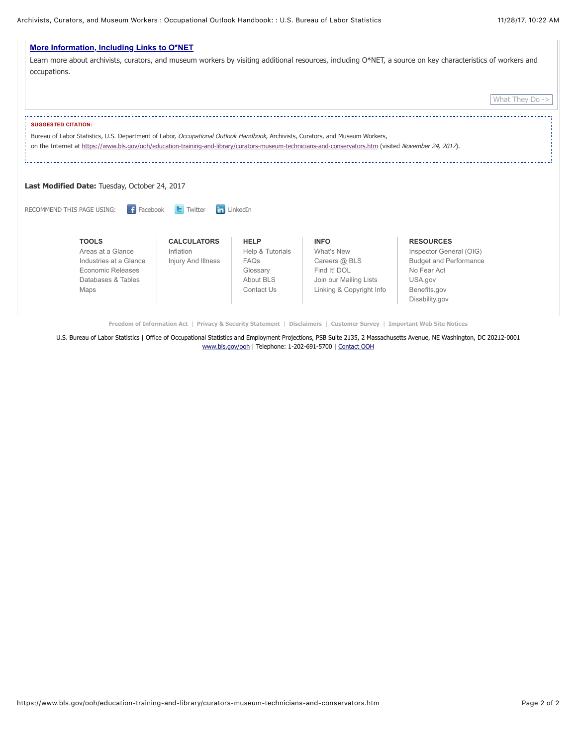

**[Freedom of Information Act](https://www.bls.gov/bls/blsfoia.htm)** | **[Privacy & Security Statement](https://www.bls.gov/bls/pss.htm)** | **[Disclaimers](https://www.bls.gov/bls/disclaimer.htm)** | **[Customer Survey](https://www.bls.gov/bls/customer_survey.htm)** | **[Important Web Site Notices](https://www.bls.gov/bls/website-policies.htm)**

U.S. Bureau of Labor Statistics | Office of Occupational Statistics and Employment Projections, PSB Suite 2135, 2 Massachusetts Avenue, NE Washington, DC 20212-0001 [www.bls.gov/ooh](https://www.bls.gov/ooh/home.htm) | Telephone: 1-202-691-5700 | [Contact OOH](https://data.bls.gov/ooh/about/ooh-faqs.htm)